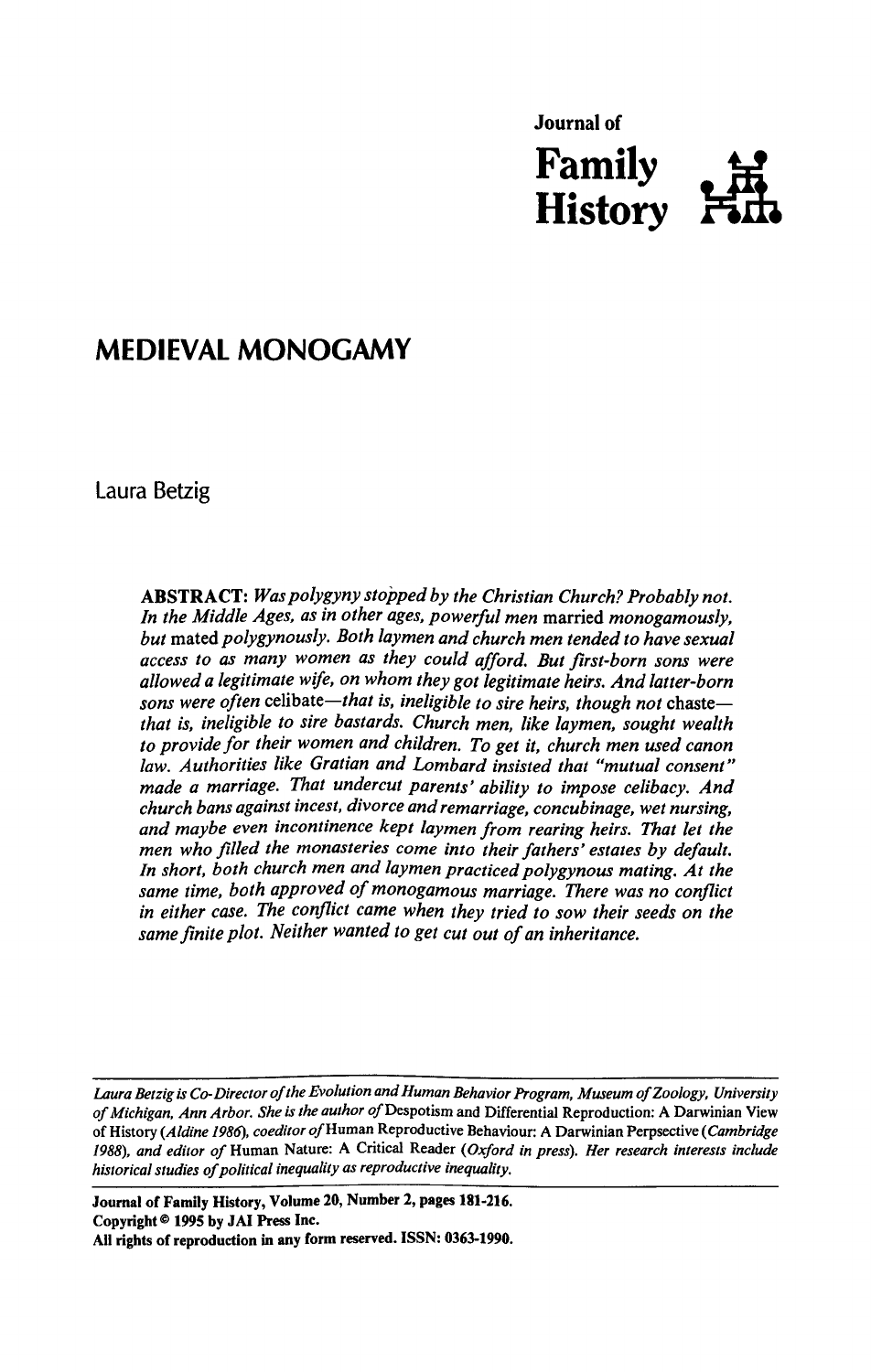

# MEDIEVAL MONOGAMY

Laura Betzig

ABSTRACT: Was polygyny stopped by the Christian Church? Probably not. In the Middle Ages, as in other ages, powerful men married monogamously, but mated polygynously. Both laymen and church men tended to have sexual access to as many women as they could afford. But first-born sons were allowed a legitimate wife, on whom they got legitimate heirs. And latter-born sons were often celibate—that is, ineligible to sire heirs, though not chaste that is, ineligible to sire bastards. Church men, like laymen, sought wealth to provide for their women and children. To get it, church men used canon law. Authorities like Gratian and Lombard insisted that "mutual consent" made a marriage. That undercut parents' ability to impose celibacy. And church bans against incest, divorce and remarriage, concubinage, wet nursing, and maybe even incontinence kept laymen from rearing heirs. That let the men who filled the monasteries come into their fathers' estates by default. In short, both church men and laymen practiced polygynous mating. At the same time, both approved of monogamous marriage. There was no conflict in either case. The conflict came when they tried to sow their seeds on the Journal of<br> **Family**<br> **Family**<br> **Family**<br> **Family**<br> **Family**<br> **Family**<br> **Family**<br> **Family**<br> **Family**<br> **Family**<br> **Family**<br> **Family**<br> **Family**<br> **Family**<br> **Family**<br> **Family**<br> **Family**<br> **Family**<br> **Family**<br> **Family**<br> **Family**<br> same finite plot. Neither wanted to get cut out of an inheritance. **Sournal of**<br> **Family**<br> **Family**<br> **Family**<br> **Family**<br> **Family**<br> **Family**<br> **Family**<br> **FAMISORY**<br> **FAMISORY**<br> **FAMISORY**<br> **FAMISORY**<br> **FAMISORY**<br> **FAMISORY**<br> **FAMISORY**<br> **EXECT:** We proby my stopped by the Christian Church?

Laura Betzig is Co-Director of the Evolution and Human Behavior Program, Museum of Zoology, University of Michigan, Ann Arbor. She is the author of Despotism and Differential Reproduction: A Darwinian View of History (Aldine 1986), coeditor of Human Reproductive Behaviour: A Darwinian Perpsective (Cambridge 1988), and editor of Human Nature: A Critical Reader (Oxford in press). Her research interests include historical studies of political inequality as reproductive inequality.

Journal of Family History, Volume 20, Number2, pages 181-216. Copyright © 1995 by JAI Press Inc. Ail rights of reproduction in any form reserved. ISSN: 0363-1990.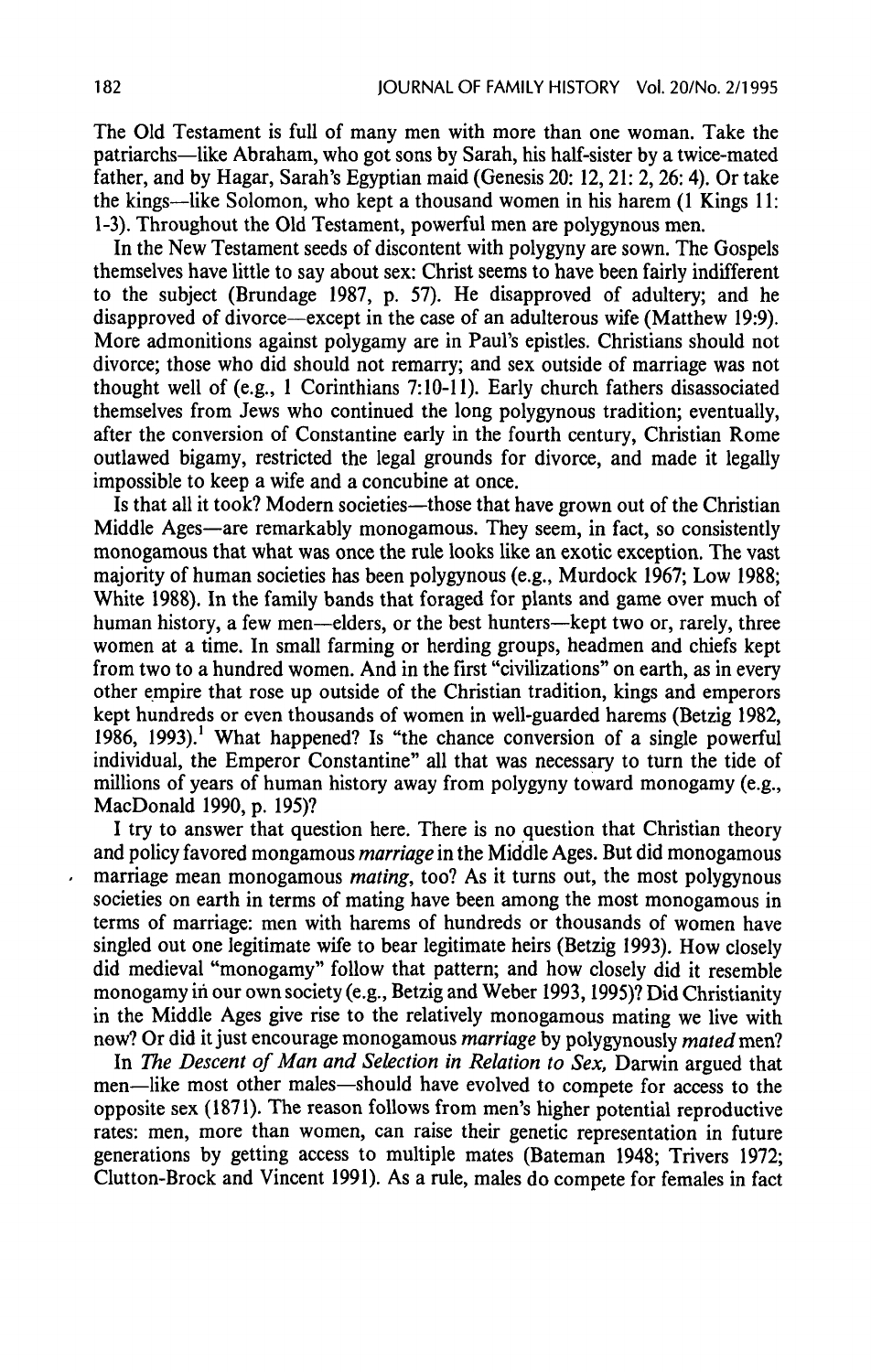The Old Testament is full of many men with more than one woman. Take the patriarchs—like Abraham, who got sons by Sarah, his half-sister by a twice-mated father, and by Hagar, Sarah's Egyptian maid (Genesis 20: 12, 21: 2, 26: 4). Or take the kings—like Solomon, who kept a thousand women in his harem (1 Kings 11: 1-3). Throughout the Old Testament, powerful men are polygynous men.

In the New Testament seeds of discontent with polygyny are sown. The Gospels themselves have little to say about sex: Christ seems to have been fairly indifferent to the subject (Brundage 1987, p. 57). He disapproved of adultery; and he disapproved of divorce—except in the case of an adulterous wife (Matthew 19:9). More admonitions against polygamy are in Paul's epistles. Christians should not divorce; those who did should not remarry; and sex outside of marriage was not thought well of (e.g., <sup>|</sup> Corinthians 7:10-11). Early church fathers disassociated themselves from Jews who continued the long polygynous tradition; eventually, after the conversion of Constantine early in the fourth century, Christian Rome outlawed bigamy, restricted the legal grounds for divorce, and made it legally impossible to keep a wife and a concubine at once.

Is that all it took? Modern societies—those that have grown out of the Christian Middle Ages—are remarkably monogamous. They seem, in fact, so consistently monogamous that what was once the rule looks like an exotic exception. The vast majority of human societies has been polygynous (e.g., Murdock 1967; Low 1988; White 1988). In the family bands that foraged for plants and game over much of human history, a few men—elders, or the best hunters—kept two or, rarely, three women at a time. In small farming or herding groups, headmen and chiefs kept from two to a hundred women. And in the first "civilizations" on earth, as in every other empire that rose up outside of the Christian tradition, kings and emperors kept hundreds or even thousands of women in well-guarded harems (Betzig 1982, 1986, 1993).! What happened? Is "the chance conversion of a single powerful individual, the Emperor Constantine"all that was necessary to turn the tide of millions of years of human history away from polygyny toward monogamy(e.g., MacDonald 1990, p. 195)?

<sup>I</sup> try to answer that question here. There is no question that Christian theory and policy favored mongamous marriage in the Middle Ages. But did monogamous marriage mean monogamous *mating*, too? As it turns out, the most polygynous societies on earth in terms of mating have been among the most monogamous in terms of marriage: men with harems of hundreds or thousands of women have singled out one legitimate wife to bear legitimate heirs (Betzig 1993). How closely did medieval "monogamy"follow that pattern; and how closely did it resemble monogamyin our own society (e.g., Betzig and Weber 1993, 1995)? Did Christianity in the Middle Ages give rise to the relatively monogamous mating welive with new? Or did it just encourage monogamous marriage by polygynously mated men?

In The Descent of Man and Selection in Relation to Sex, Darwin argued that men—like most other males—should have evolved to compete for access to the opposite sex (1871). The reason follows from men's higher potential reproductive rates: men, more than women, can raise their genetic representation in future generations by getting access to multiple mates (Bateman 1948; Trivers 1972; Clutton-Brock and Vincent 1991). As <sup>a</sup> rule, males do compete for femalesin fact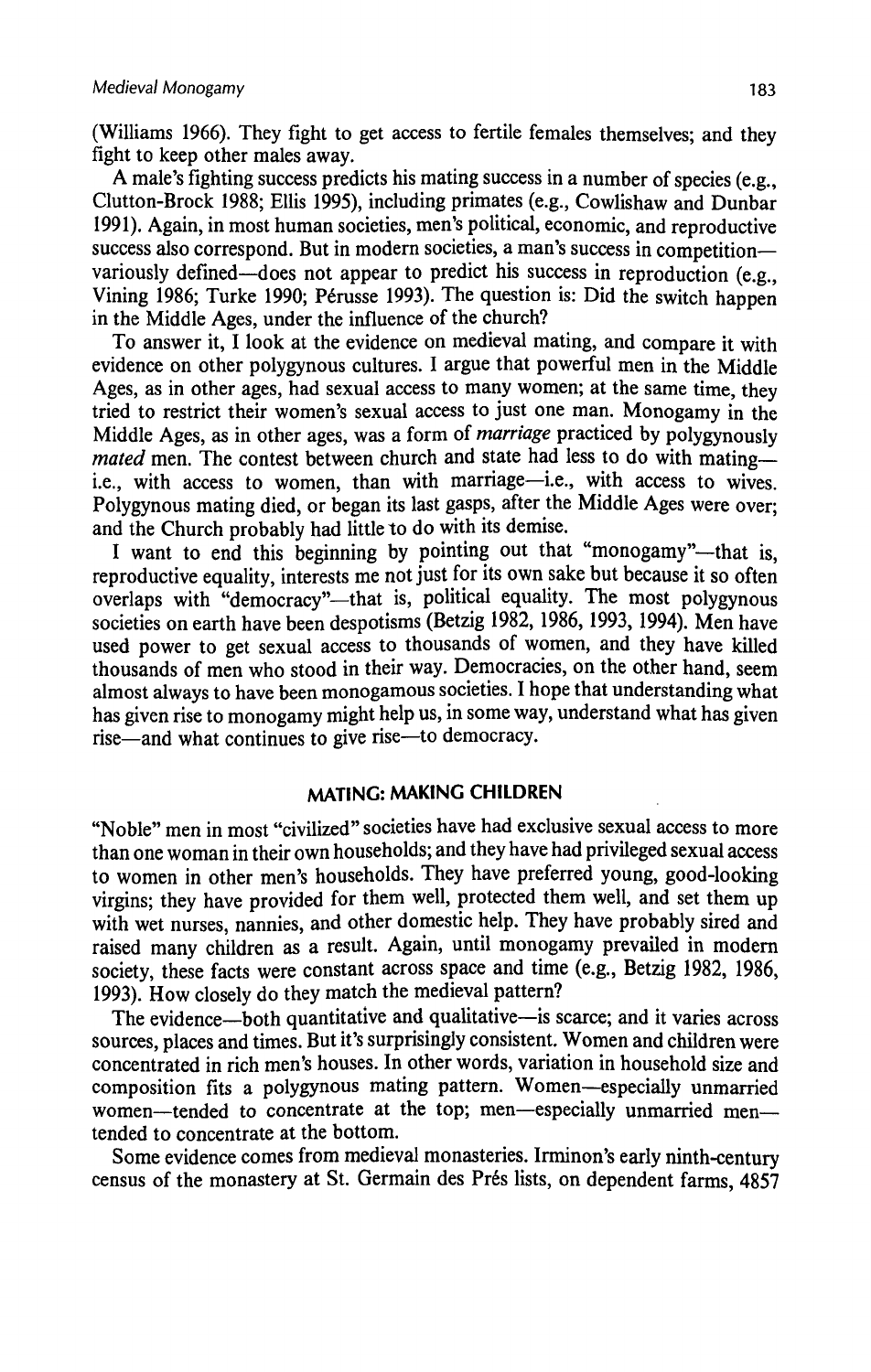(Williams 1966). They fight to get access to fertile females themselves; and they fight to keep other males away.

A male's fighting success predicts his mating success in a number of species (e.g., Clutton-Brock 1988; Ellis 1995), including primates (e.g., Cowlishaw and Dunbar 1991). Again, in most human societies, men's political, economic, and reproductive success also correspond. But in modern societies, a man's success in competition variously defined—does not appear to predict his success in reproduction (e.g., Vining 1986; Turke 1990; Pérusse 1993). The question is: Did the switch happen in the Middle Ages, under the influence of the church?

To answer it, I look at the evidence on medieval mating, and compare it with evidence on other polygynous cultures. I argue that powerful men in the Middle Ages, as in other ages, had sexual access to many women; at the same time, they tried to restrict their women's sexual access to just one man. Monogamy in the Middle Ages, as in other ages, was a form of *marriage* practiced by polygynously mated men. The contest between church and state had less to do with mating ie., with access to women, than with marriage—i.e., with access to wives. Polygynous mating died, or began its last gasps, after the Middle Ages were over: and the Church probably had little to do with its demise.

I want to end this beginning by pointing out that "monogamy"-that is. reproductive equality, interests me not just for its own sake but because it so often overlaps with "democracy"—that is, political equality. The most polygynous societies on earth have been despotisms(Betzig 1982, 1986, 1993, 1994). Men have used power to get sexual access to thousands of women, and they have killed thousands of men who stood in their way. Democracies, on the other hand, seem almost always to have been monogamoussocieties. <sup>I</sup> hope that understanding what has given rise to monogamy might help us, in some way, understand what has given rise—and what continues to give rise—to democracy.

## MATING: MAKING CHILDREN

"Noble" menin most "civilized" societies have had exclusive sexual access to more than one woman in their own households; and they have had privileged sexual access to women in other men's households. They have preferred young, good-looking virgins; they have provided for them well, protected them well, and set them up with wet nurses, nannies, and other domestic help. They have probably sired and raised many children as a result. Again, until monogamy prevailed in modern society, these facts were constant across space and time (e.g., Betzig 1982, 1986, 1993). How closely do they match the medieval pattern?

The evidence—both quantitative and qualitative—is scarce; and it varies across sources, places and times. But it's surprisingly consistent. Women and children were concentrated in rich men's houses. In other words, variation in household size and composition fits a polygynous mating pattern. Women—especially unmarried women—tended to concentrate at the top; men—especially unmarried men tended to concentrate at the bottom.

Some evidence comes from medieval monasteries. Irminon's early ninth-century census of the monastery at St. Germain des Préslists, on dependent farms, 4857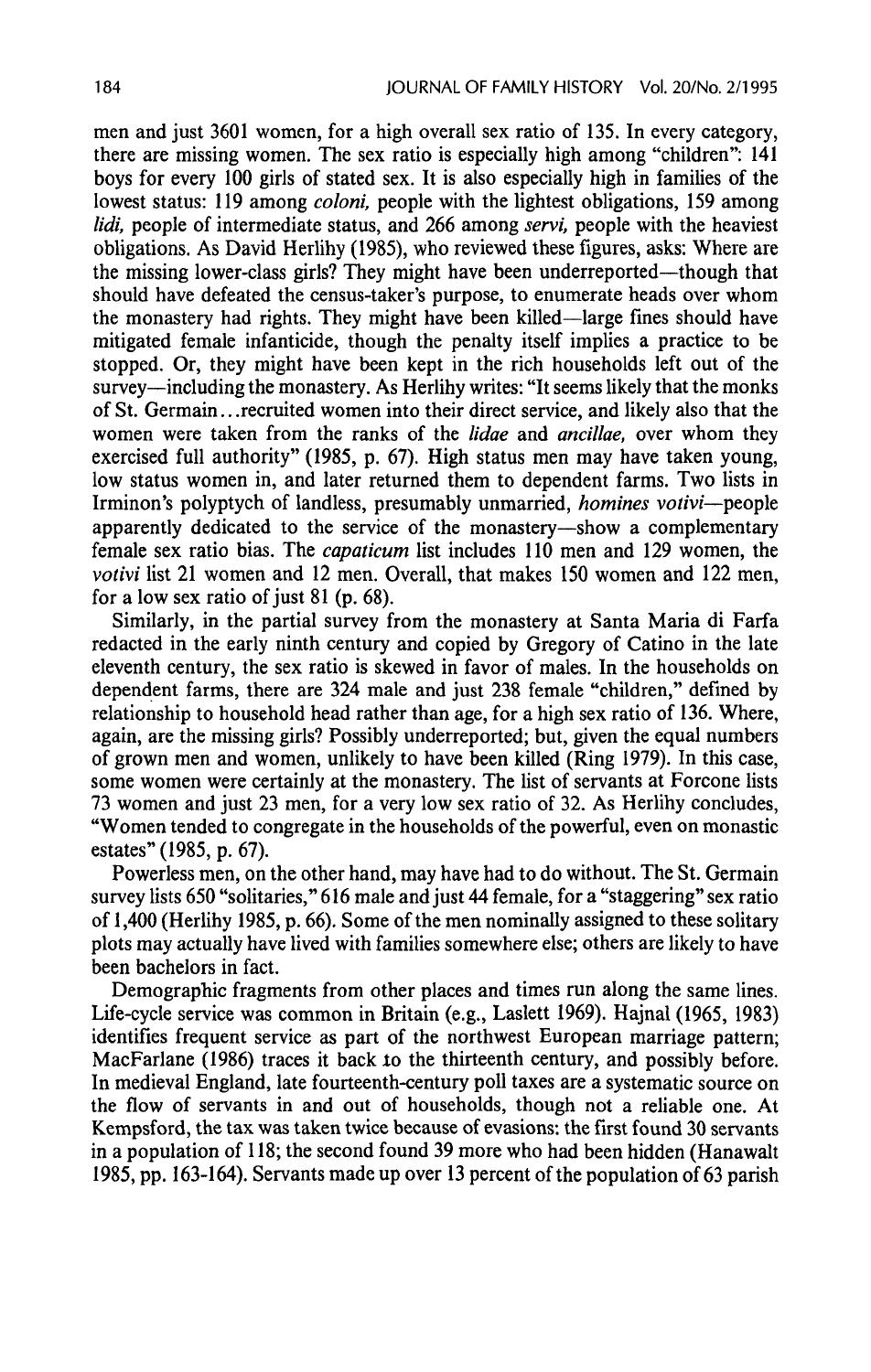men and just 3601 women, for a high overall sex ratio of 135. In every category, there are missing women. The sex ratio is especially high among "children": 141 boys for every 100 girls of stated sex. It is also especially high in families of the lowest status: 119 among *coloni*, people with the lightest obligations, 159 among lidi, people of intermediate status, and 266 among servi, people with the heaviest obligations. As David Herlihy (1985), who reviewed these figures, asks: Where are the missing lower-class girls? They might have been underreported—though that should have defeated the census-taker's purpose, to enumerate heads over whom the monastery had rights. They might have been killed—large fines should have mitigated female infanticide, though the penalty itself implies a practice to be stopped. Or, they might have been kept in the rich households left out of the survey—including the monastery. As Herlihy writes: "It seems likely that the monks of St. Germain...recruited womeninto their direct service, and likely also that the women were taken from the ranks of the *lidae* and *ancillae*, over whom they exercised full authority" (1985, p. 67). High status men may have taken young, low status women in, and later returned them to dependent farms. Two lists in Irminon's polyptych of landless, presumably unmarried, homines votivi—people apparently dedicated to the service of the monastery—show a complementary female sex ratio bias. The *capaticum* list includes 110 men and 129 women, the votivi list 21 women and <sup>12</sup> men. Overall, that makes 150 women and 122 men, for a low sex ratio of just  $81$  (p. 68).

Similarly, in the partial survey from the monastery at Santa Maria di Farfa redacted in the early ninth century and copied by Gregory of Catino in the late eleventh century, the sex ratio is skewed in favor of males. In the households on dependent farms, there are 324 male and just 238 female "children," defined by relationship to household head rather than age, for a high sex ratio of 136. Where, again, are the missing girls? Possibly underreported; but, given the equal numbers of grown men and women, unlikely to have been killed (Ring 1979). In this case, some women were certainly at the monastery. The list of servants at Forcone lists 73 women and just 23 men, for a very low sex ratio of 32. As Herlihy concludes, "Women tended to congregate in the households of the powerful, even on monastic estates" (1985, p. 67).

Powerless men, on the other hand, may have had to do without. The St. Germain survey lists 650 "solitaries," 616 male and just 44 female, for a "staggering" sex ratio of 1,400 (Herlihy 1985, p. 66). Some of the men nominally assigned to these solitary plots may actually have lived with families somewhere else; others are likely to have been bachelors in fact.

Demographic fragments from other places and times run along the same lines. Life-cycle service was common in Britain (e.g., Laslett 1969). Hajnal (1965, 1983) identifies frequent service as part of the northwest European marriage pattern; MacFarlane (1986) traces it back to the thirteenth century, and possibly before. In medieval England, late fourteenth-century poll taxes are a systematic source on the flow of servants in and out of households, though not a reliable one. At Kempsford, the tax was taken twice because of evasions: the first found 30 servants in <sup>a</sup> population of 118; the second found <sup>39</sup> more whohad been hidden (Hanawalt 1985, pp. 163-164). Servants made up over 13 percent of the population of 63 parish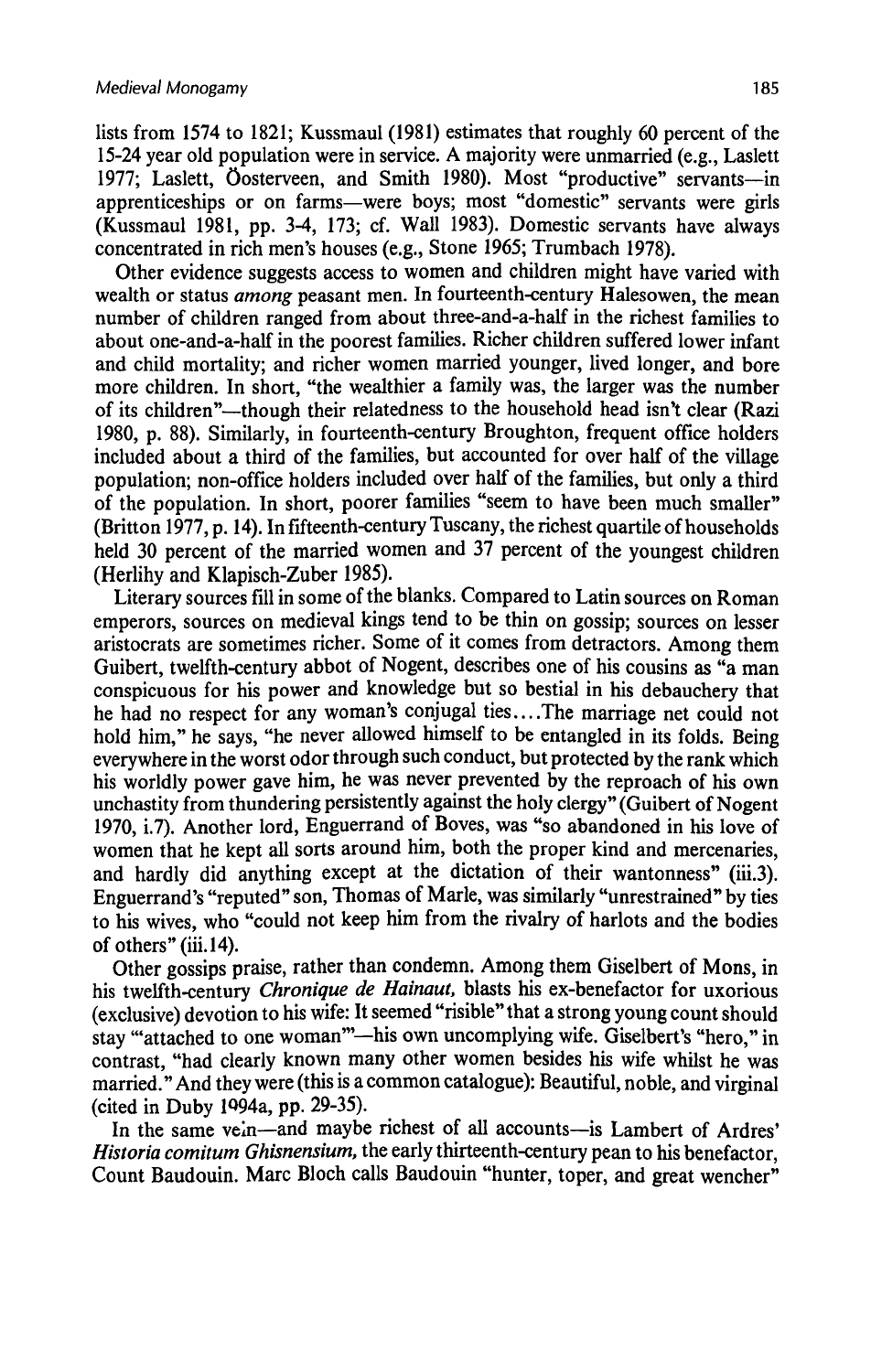lists from 1574 to 1821; Kussmaul  $(1981)$  estimates that roughly 60 percent of the 15-24 year old population were in service. A majority were unmarried (e.g., Laslett 1977; Laslett, Oosterveen, and Smith 1980). Most "productive" servants—in apprenticeships or on farms—were boys; most "domestic" servants were girls (Kussmaul 1981, pp. 3-4, 173; cf. Wall 1983). Domestic servants have always concentrated in rich men's houses(e.g., Stone 1965; Trumbach 1978).

Other evidence suggests access to women and children might have varied with wealth or status *among* peasant men. In fourteenth-century Halesowen, the mean number of children ranged from about three-and-a-half in the richest families to about one-and-a-half in the poorest families. Richer children suffered lower infant and child mortality; and richer women married younger, lived longer, and bore more children. In short, "the wealthier a family was, the larger was the number of its children"—though their relatedness to the household head isn't clear (Razi 1980, p. 88). Similarly, in fourteenth-century Broughton, frequent office holders included abouta third of the families, but accounted for over half of the village population; non-office holders included over half of the families, but only a third of the population. In short, poorer families "seem to have been much smaller" (Britton 1977, p. 14). In fifteenth-century Tuscany, the richest quartile of households held 30 percent of the married women and 37 percent of the youngest children (Herlihy and Klapisch-Zuber 1985).

Literary sources fill in some of the blanks. Compared to Latin sources on Roman emperors, sources on medieval kings tend to be thin on gossip; sources on lesser aristocrats are sometimes richer. Some of it comes from detractors. Among them Guibert, twelfth-century abbot of Nogent, describes one of his cousins as "a man conspicuous for his power and knowledge but so bestial in his debauchery that he had no respect for any woman's conjugal ties....The marriage net could not hold him," he says, "he never allowed himself to be entangled in its folds. Being everywhere in the worst odor through such conduct, but protected by the rank which his worldly power gave him, he was never prevented by the reproach of his own unchastity from thundering persistently against the holy clergy" (Guibert of Nogent 1970, i.7). Another lord, Enguerrand of Boves, was "so abandonedin his love of women that he kept all sorts around him, both the proper kind and mercenaries, and hardly did anything except at the dictation of their wantonness"(iii.3). Enguerrand's "reputed" son, Thomas of Marle, was similarly "unrestrained" byties to his wives, who "could not keep him from the rivalry of harlots and the bodies of others" (iii.14).

Other gossips praise, rather than condemn. Among them Giselbert of Mons, in his twelfth-century Chronique de Hainaut, blasts his ex-benefactor for uxorious (exclusive) devotionto his wife: It seemed "risible" that <sup>a</sup> strong young count should stay "attached to one woman"—his own uncomplying wife. Giselbert's "hero,"in contrast, "had clearly known many other women besides his wife whilst he was married." And they were (this is a common catalogue): Beautiful, noble, and virginal (cited in Duby 1994a, pp. 29-35).

In the same vein—and maybe richest of all accounts—is Lambert of Ardres' Historia comitum Ghisnensium, the early thirteenth-century pean to his benefactor. Count Baudouin. Marc Bloch calls Baudouin "hunter, toper, and great wencher"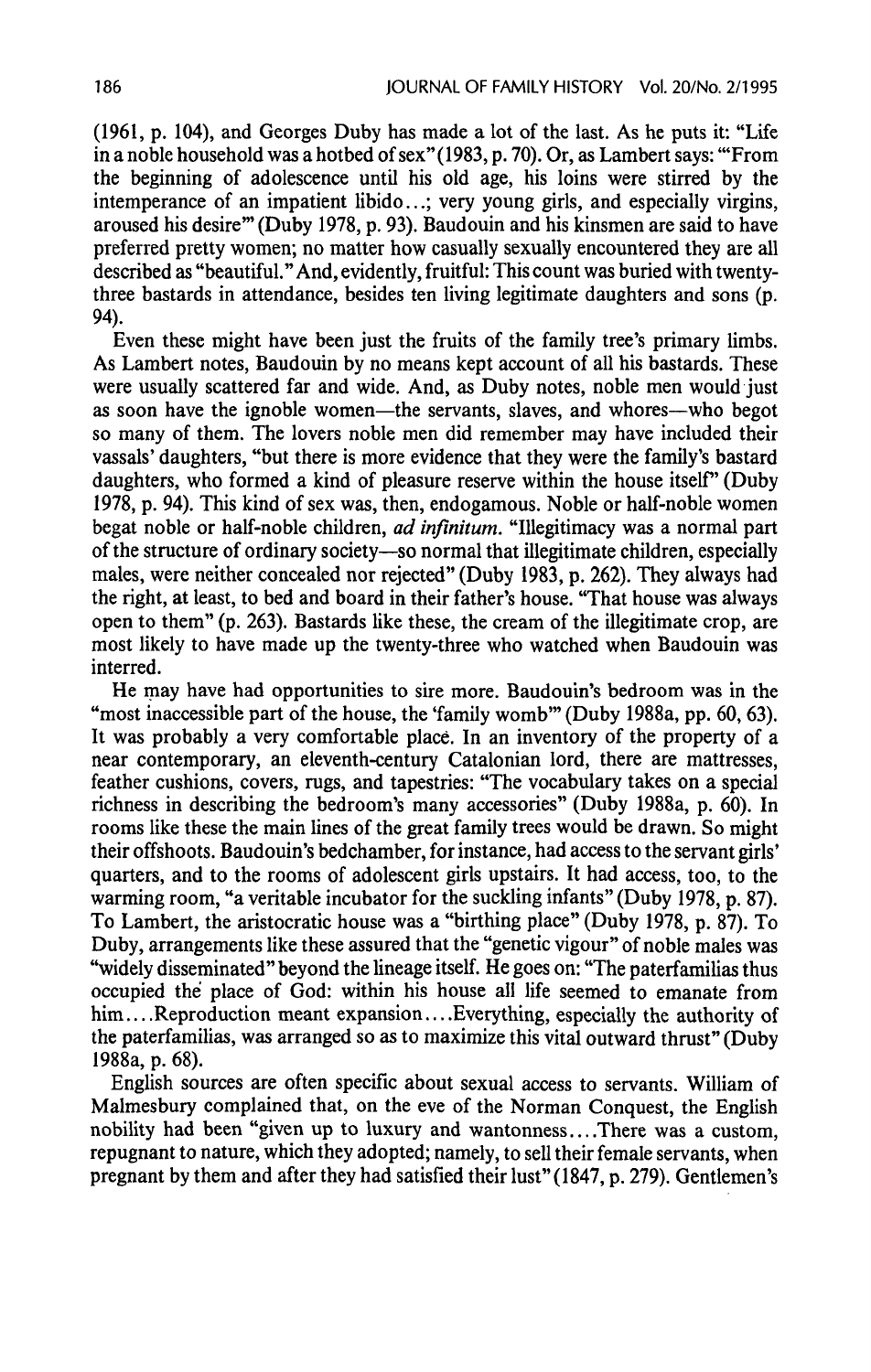(1961, p. 104), and Georges Duby has madea lot of the last. As he puts it: "Life in a noble household was a hotbed of sex" (1983, p. 70). Or, as Lambert says: "'From the beginning of adolescence until his old age, his loins were stirred by the intemperance of an impatient libido...; very young girls, and especially virgins, aroused his desire" (Duby 1978, p. 93). Baudouin and his kinsmen are said to have preferred pretty women; no matter how casually sexually encountered they are all described as "beautiful." And,evidently, fruitful: This count was buried with twentythree bastards in attendance, besides ten living legitimate daughters and sons(p. 94).

Even these might have been just the fruits of the family tree's primary limbs. As Lambert notes, Baudouin by no means kept account of all his bastards. These were usually scattered far and wide. And, as Duby notes, noble men would just as soon have the ignoble women—the servants, slaves, and whores—who begot so many of them. The lovers noble men did remember may have included their vassals' daughters, "but there is more evidence that they were the family's bastard daughters, who formed a kind of pleasure reserve within the house itself" (Duby 1978, p. 94). This kind of sex was, then, endogamous. Noble or half-noble women begat noble or half-noble children, ad infinitum. "Illegitimacy was a normal part of the structure of ordinary society—so normal that illegitimate children, especially males, were neither concealed nor rejected" (Duby 1983, p. 262). They always had the right, at least, to bed and board in their father's house. "That house was always open to them"  $(p. 263)$ . Bastards like these, the cream of the illegitimate crop, are most likely to have made up the twenty-three who watched when Baudouin was interred.

He may have had opportunities to sire more. Baudouin's bedroom was in the "most inaccessible part of the house, the 'family womb'" (Duby 1988a, pp. 60, 63). It was probably a very comfortable placé. In an inventory of the property of a near contemporary, an eleventh-century Catalonian lord, there are mattresses, feather cushions, covers, rugs, and tapestries: "The vocabulary takes on a special richness in describing the bedroom's manyaccessories" (Duby 1988a, p. 60). In rooms like these the main lines of the great family trees would be drawn. So might their offshoots. Baudouin's bedchamber, for instance, had access to the servant girls' quarters, and to the rooms of adolescent girls upstairs. It had access, too, to the warming room, "a veritable incubator for the suckling infants" (Duby 1978, p. 87). To Lambert, the aristocratic house was a "birthing place" (Duby 1978, p. 87). To Duby, arrangements like these assured that the "genetic vigour" of noble males was "widely disseminated" beyond the lineage itself. He goes on: "The paterfamilias thus occupied the place of God: within his house all life seemed to emanate from him....Reproduction meant expansion....Everything, especially the authority of the paterfamilias, was arranged so as to maximize this vital outward thrust" (Duby 1988a,p. 68).

English sources are often specific about sexual access to servants. William of Malmesbury complained that, on the eve of the Norman Conquest, the English nobility had been "given up to luxury and wantonness....There was a custom, repugnant to nature, which they adopted; namely, to sell their female servants, when pregnant by them and after they had satisfied their lust" (1847, p. 279). Gentlemen's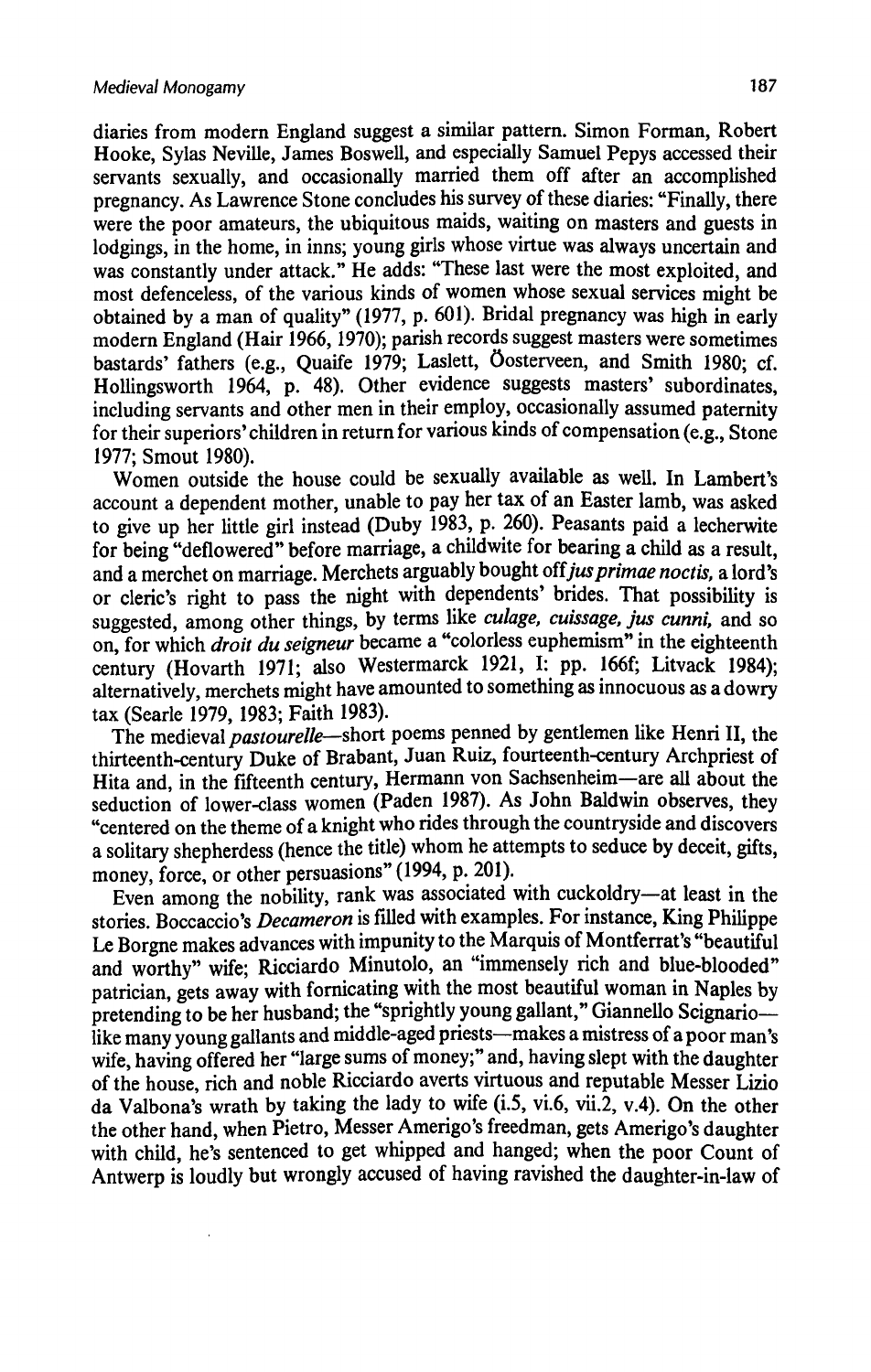diaries from modern England suggest a similar pattern. Simon Forman, Robert Hooke, Sylas Neville, James Boswell, and especially Samuel Pepys accessed their servants sexually, and occasionally married them off after an accomplished pregnancy. As Lawrence Stone concludeshis survey of these diaries: "Finally, there were the poor amateurs, the ubiquitous maids, waiting on masters and guests in lodgings, in the home, in inns; young girls whose virtue was always uncertain and was constantly under attack." He adds: "These last were the most exploited, and most defenceless, of the various kinds of women whose sexual services might be obtained by a man of quality" (1977, p. 601). Bridal pregnancy was high in early modern England (Hair 1966, 1970); parish records suggest masters were sometimes bastards' fathers (e.g., Quaife 1979; Laslett, Oosterveen, and Smith 1980; cf. Hollingsworth 1964, p. 48). Other evidence suggests masters' subordinates. including servants and other men in their employ, occasionally assumed paternity for their superiors' children in return for various kinds of compensation(e.g., Stone 1977; Smout 1980).

Women outside the house could be sexually available as well. In Lambert's account a dependent mother, unable to pay her tax of an Easter lamb, was asked to give up her little girl instead (Duby 1983, p. 260). Peasants paid a lecherwite for being "deflowered" before marriage, a childwite for bearing a child as a result, and a merchet on marriage. Merchets arguably bought off jus primae noctis, a lord's or cleric's right to pass the night with dependents' brides. That possibility is suggested, among other things, by terms like *culage, cuissage, jus cunni*, and so<br>on, for which *droit du seigneur* became a "colorless euphemism" in the eighteenth century (Hovarth 1971; also Westermarck 1921, I: pp. 166f; Litvack 1984): alternatively, merchets might have amounted to something as innocuous as a dowry tax (Searle 1979, 1983; Faith 1983).

The medieval *pastourelle*—short poems penned by gentlemen like Henri II, the thirteenth-century Duke of Brabant, Juan Ruiz, fourteenth-century Archpriest of Hita and, in the fifteenth century, Hermann von Sachsenheim-are all about the seduction of lower-class women (Paden 1987). As John Baldwin observes, they "centered on the theme of a knight who rides through the countryside and discovers a solitary shepherdess (hence the title) whom he attempts to seduce by deceit, gifts, money, force, or other persuasions" (1994, p. 201).

Even among the nobility, rank was associated with cuckoldry-at least in the stories. Boccaccio's *Decameron* is filled with examples. For instance, King Philippe Le Borgne makes advances with impunity to the Marquis of Montferrat's "beautiful and worthy" wife; Ricciardo Minutolo, an "immensely rich and blue-blooded" patrician, gets away with fornicating with the most beautiful woman in Naples by pretending to be her husband; the "sprightly young gallant," Giannello Scignario like many young gallants and middle-aged priests—makes a mistress of a poor man's wife, having offered her "large sums of money;" and, having slept with the daughter of the house, rich and noble Ricciardo averts virtuous and reputable Messer Lizio da Valbona's wrath by taking the lady to wife (1.5, vi.6, vii.2, v.4). On the other the other hand, when Pietro, Messer Amerigo's freedman, gets Amerigo's daughter with child, he's sentenced to get whipped and hanged; when the poor Count of Antwerp is loudly but wrongly accused of having ravished the daughter-in-law of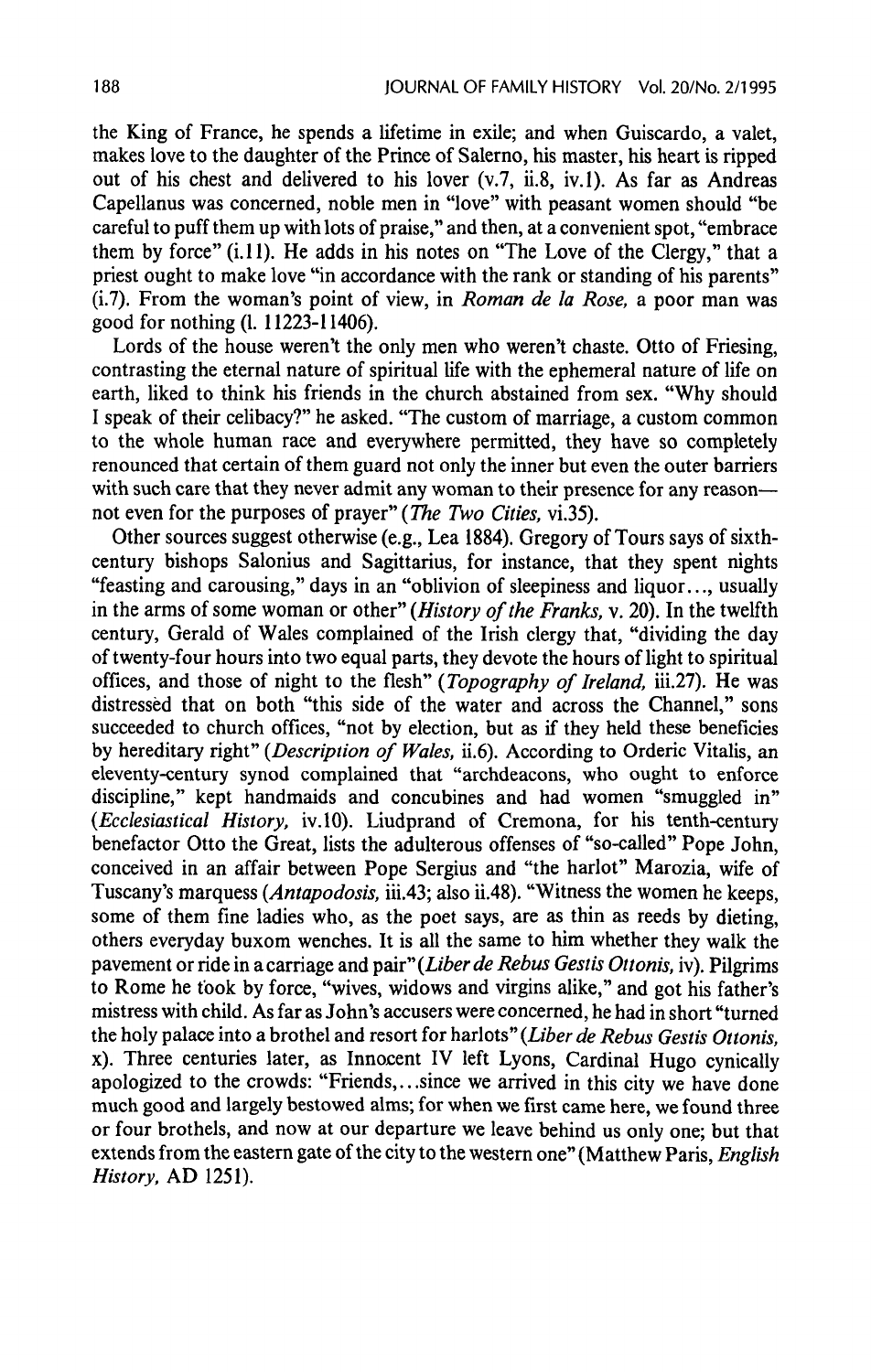the King of France, he spends a lifetime in exile; and when Guiscardo, a valet, makes love to the daughter of the Prince of Salerno, his master, his heart is ripped out of his chest and delivered to his lover (v.7, ii.8, iv.1). As far as Andreas Capellanus was concerned, noble men in "love" with peasant women should "be careful to puff them up with lots of praise," and then, at a convenient spot, "embrace them by force"  $(i.11)$ . He adds in his notes on "The Love of the Clergy," that a priest ought to make love "in accordance with the rank or standing of his parents" (i.7). From the woman's point of view, in Roman de la Rose, a poor man was good for nothing(1. 11223-11406).

Lords of the house weren't the only men who weren't chaste. Otto of Friesing, contrasting the eternal nature of spiritual life with the ephemeral nature of life on earth, liked to think his friends in the church abstained from sex. "Why should <sup>I</sup> speak of their celibacy?" he asked. "The custom of marriage, a custom common to the whole human race and everywhere permitted, they have so completely renounced that certain of them guard not only the inner but even the outer barriers with such care that they never admit any womanto their presence for any reason not even for the purposes of prayer" (The Two Cities, vi.35).

Other sources suggest otherwise (e.g., Lea 1884). Gregory of Tours says of sixthcentury bishops Salonius and Sagittarius, for instance, that they spent nights "feasting and carousing," days in an "oblivion of sleepiness and liquor..., usually in the arms of some woman or other" (History of the Franks, v. 20). In the twelfth century, Gerald of Wales complained of the Irish clergy that, "dividing the day of twenty-four hours into two equal parts, they devote the hours of light to spiritual offices, and those of night to the flesh" (Topography of Ireland, iii.27). He was distressed that on both "this side of the water and across the Channel," sons succeeded to church offices, "not by election, but as if they held these beneficies by hereditary right" (Description of Wales, ii.6). According to Orderic Vitalis, an eleventy-century synod complained that "archdeacons, who ought to enforce discipline," kept handmaids and concubines and had women "smuggled in" (Ecclesiastical History, iv.10). Liudprand of Cremona, for his tenth-century benefactor Otto the Great, lists the adulterous offenses of "so-called" Pope John, conceived in an affair between Pope Sergius and "the harlot" Marozia, wife of Tuscany's marquess (Antapodosis, iii.43; also ii.48). "Witness the women he keeps, some of them fine ladies who, as the poet says, are as thin as reeds by dieting, others everyday buxom wenches.It is all the same to him whether they walk the pavement or ride in a carriage and pair" (Liber de Rebus Gestis Ottonis, iv). Pilgrims to Rome he took by force, "wives, widows and virgins alike," and got his father's mistress with child. As far as John's accusers were concerned,he had in short "turned the holy palace into a brothel and resort for harlots" (Liber de Rebus Gestis Ottonis, x). Three centuries later, as Innocent IV left Lyons, Cardinal Hugo cynically apologized to the crowds: "Friends, ...since we arrived in this city we have done much good and largely bestowed alms; for when we first came here, we found three or four brothels, and now at our departure we leave behind us only one; but that extends from the eastern gate of the city to the western one" (Matthew Paris, English History, AD 1251).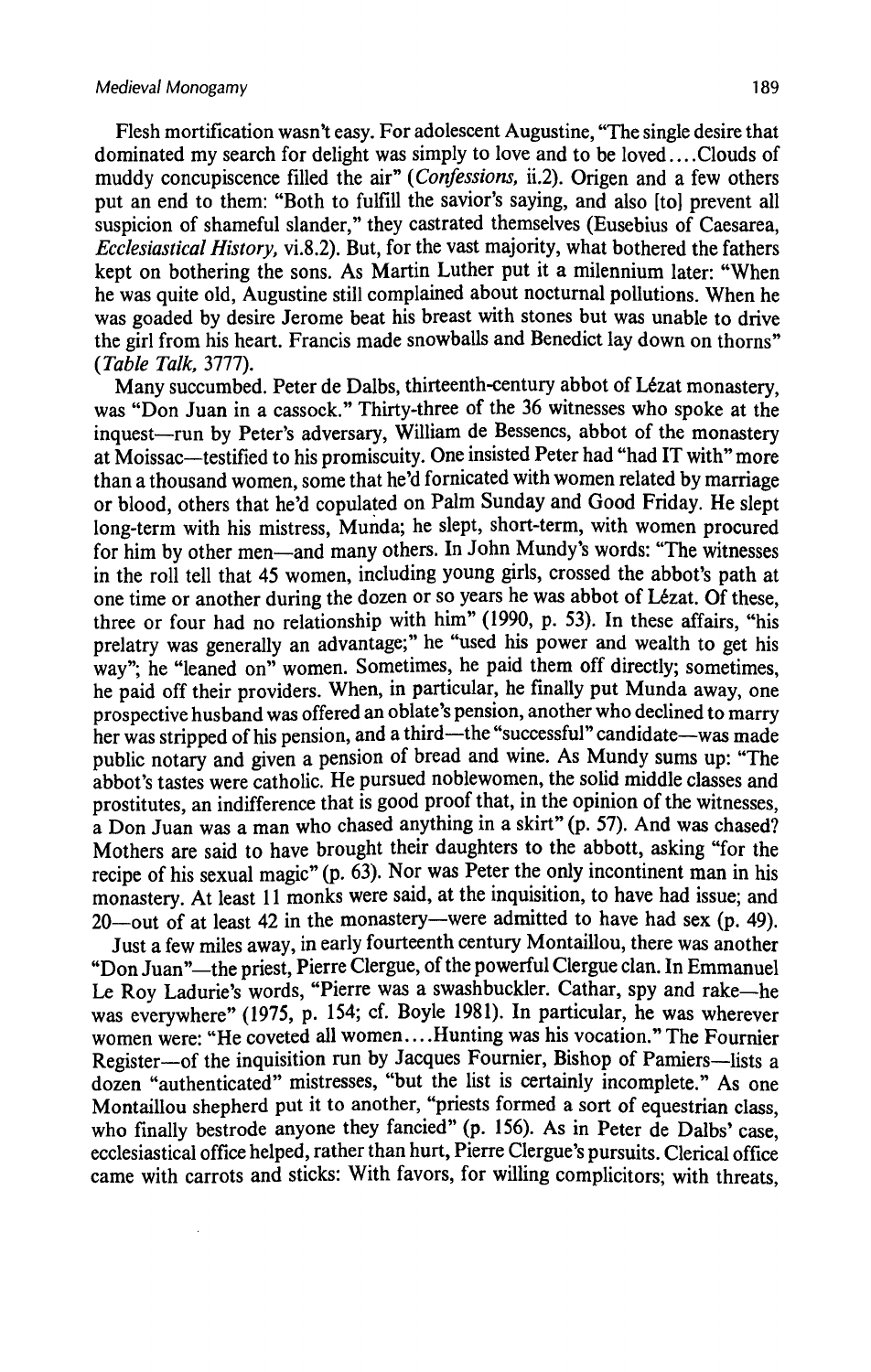Flesh mortification wasn't easy. For adolescent Augustine, "The single desire that dominated mysearch for delight was simply to love and to be loved....Clouds of muddy concupiscence filled the air" (Confessions, ii.2). Origen and a few others put an end to them: "Both to fulfill the savior's saying, and also [to] preventall suspicion of shameful slander," they castrated themselves (Eusebius of Caesarea, Ecclesiastical History, vi.8.2). But, for the vast majority, what bothered the fathers kept on bothering the sons. As Martin Luther put it a milennium later: "When he was quite old, Augustine still complained about nocturnal pollutions. When he was goaded by desire Jerome beat his breast with stones but was unable to drive the girl from his heart. Francis made snowballs and Benedict lay down on thorns" (Table Talk, 3777).

Many succumbed. Peter de Dalbs, thirteenth-century abbot of Lézat monastery, was "Don Juan in a cassock." Thirty-three of the 36 witnesses who spoke at the inquest—run by Peter's adversary, William de Bessencs, abbot of the monastery at Moissac—testified to his promiscuity. One insisted Peter had "had IT with" more than a thousand women, some that he'd fornicated with women related by marriage or blood, others that he'd copulated on Palm Sunday and Good Friday. He slept long-term with his mistress, Munda; he slept, short-term, with women procured for him by other men—and many others. In John Mundy's words: "The witnesses in the roll tell that 45 women, including young girls, crossed the abbot's path at one time or another during the dozen or so years he was abbot of Lézat. Of these, three or four had no relationship with him" (1990, p. 53). In these affairs, "his prelatry was generally an advantage;" he "used his power and wealth to get his way"; he "leaned on" women. Sometimes, he paid them off directly; sometimes. he paid off their providers. When, in particular, he finally put Munda away, one prospective husband was offered an oblate's pension, another who declined to marry her was stripped of his pension, and a third—the "successful" candidate—was made public notary and given a pension of bread and wine. As Mundy sums up: "The abbot's tastes were catholic. He pursued noblewomen, the solid middle classes and prostitutes, an indifference that is good proof that, in the opinion of the witnesses. a Don Juan was a man who chased anything in a skirt" (p. 57). And was chased? Mothers are said to have brought their daughters to the abbott, asking "for the recipe of his sexual magic" (p.  $63$ ). Nor was Peter the only incontinent man in his monastery. At least <sup>11</sup> monks were said, at the inquisition, to have had issue; and 20—out of at least 42 in the monastery—were admitted to have had sex (p. 49).

Just a few miles away, in early fourteenth century Montaillou, there was another "Don Juan"—the priest, Pierre Clergue, of the powerful Clergue clan. In Emmanuel Le Roy Ladurie's words, "Pierre was a swashbuckler. Cathar, spy and rake—he was everywhere"(1975, p. 154; cf. Boyle 1981). In particular, he was wherever women were: "He coveted all women....Hunting was his vocation." The Fournier Register—of the inquisition run by Jacques Fournier, Bishop of Pamiers—lists a dozen "authenticated" mistresses, "but the list is certainly incomplete." As one Montaillou shepherd put it to another, "priests formed a sort of equestrian class, who finally bestrode anyone they fancied" (p. 156). As in Peter de Dalbs' case, ecclesiastical office helped, rather than hurt, Pierre Clergue's pursuits. Clerical office came with carrots and sticks: With favors, for willing complicitors; with threats,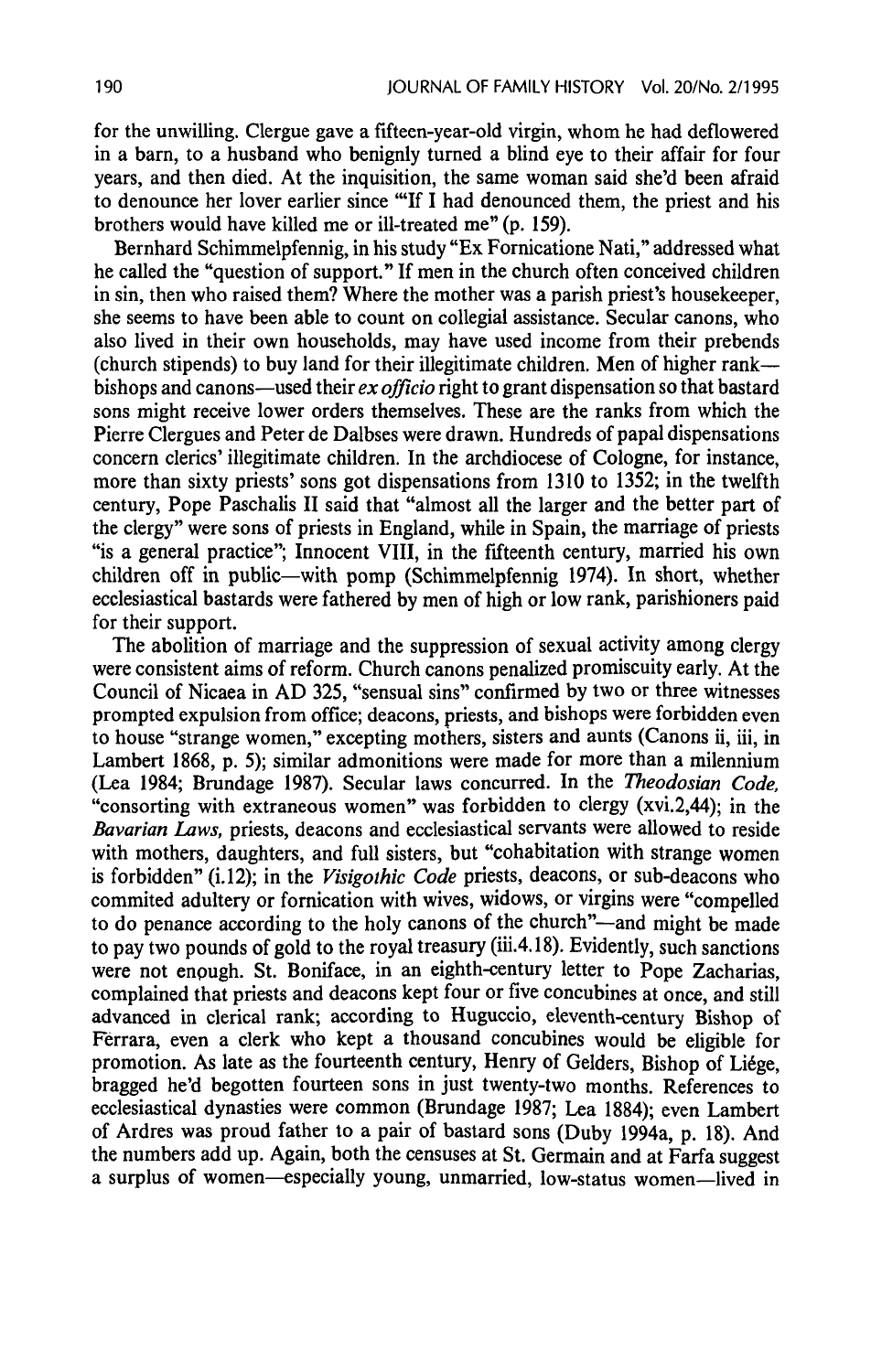for the unwilling. Clergue gave a fifteen-year-old virgin, whom he had deflowered in a barn, to a husband who benignly turned a blind eye to their affair for four years, and then died. At the inquisition, the same woman said she'd been afraid to denounce her lover earlier since "If I had denounced them, the priest and his brothers would have killed me or ill-treated me" (p. 159).

Bernhard Schimmelpfennig, in his study "Ex Fornicatione Nati," addressed what he called the "question of support." If men in the church often conceived children in sin, then who raised them? Where the mother was a parish priest's housekeeper, she seems to have been able to count on collegial assistance. Secular canons, who also lived in their own households, may have used income from their prebends (church stipends) to buy land for their illegitimate children. Men of higher rank bishops and canons—used their  $ex$  officio right to grant dispensation so that bastard sons might receive lower orders themselves. These are the ranks from which the Pierre Clergues and Peter de Dalbses were drawn. Hundreds of papal dispensations concern clerics' illegitimate children. In the archdiocese of Cologne, for instance, more than sixty priests' sons got dispensations from 1310 to 1352; in the twelfth century, Pope Paschalis II said that "almost all the larger and the better part of the clergy" were sons of priests in England, while in Spain, the marriage of priests "is a general practice"; Innocent VIII, in the fifteenth century, married his own children off in public—with pomp (Schimmelpfennig 1974). In short, whether ecclesiastical bastards were fathered by men of high or low rank, parishioners paid for their support.

The abolition of marriage and the suppression of sexual activity among clergy were consistent aims of reform. Church canons penalized promiscuity early. At the Council of Nicaea in AD 325, "sensual sins" confirmed by two or three witnesses prompted expulsion from office; deacons, priests, and bishops were forbidden even to house "strange women," excepting mothers, sisters and aunts (Canons ii, iii, in Lambert 1868, p. 5); similar admonitions were made for more than a milennium (Lea 1984; Brundage 1987). Secular laws concurred. In the Theodosian Code, "consorting with extraneous women" was forbidden to clergy (xvi.2,44); in the Bavarian Laws, priests, deacons and ecclesiastical servants were allowed to reside with mothers, daughters, and full sisters, but "cohabitation with strange women is forbidden" (i.12); in the Visigothic Code priests, deacons, or sub-deacons who commited adultery or fornication with wives, widows, or virgins were "compelled to do penance according to the holy canons of the church"—and might be made to pay two pounds of gold to the royal treasury (iii.4.18). Evidently, such sanctions were not enough. St. Boniface, in an eighth-century letter to Pope Zacharias, complained that priests and deacons kept four or five concubines at once, and still advanced in clerical rank; according to Huguccio, eleventh-century Bishop of Ferrara, even a clerk who kept a thousand concubines would be eligible for promotion. As late as the fourteenth century, Henry of Gelders, Bishop of Liége, bragged he'd begotten fourteen sons in just twenty-two months. References to ecclesiastical dynasties were common (Brundage 1987; Lea 1884); even Lambert of Ardres was proud father to a pair of bastard sons (Duby 1994a, p. 18). And the numbers add up. Again, both the censuses at St. Germain and at Farfa suggest a surplus of women—especially young, unmarried, low-status women—lived in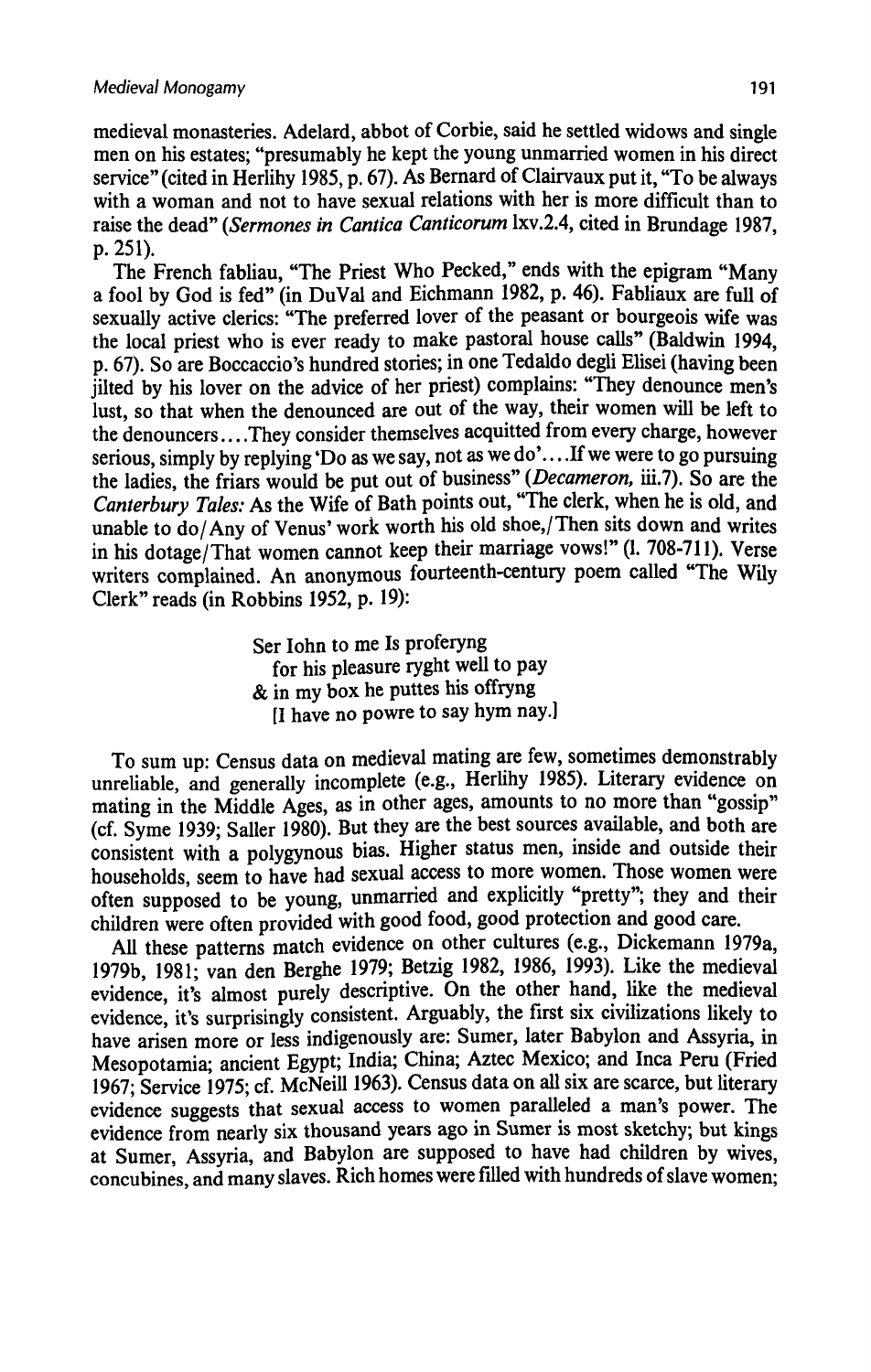medieval monasteries. Adelard, abbot of Corbie, said he settled widows and single men on his estates; "presumably he kept the young unmarried women in his direct service" (cited in Herlihy 1985, p. 67). As Bernard of Clairvaux put it, "To be always with a woman and not to have sexual relations with her is more difficult than to raise the dead" (Sermones in Cantica Canticorum Ixv.2.4, cited in Brundage 1987, p. 251).

The French fabliau, "The Priest Who Pecked," ends with the epigram "Many a fool by God is fed" (in DuVal and Eichmann 1982, p. 46). Fabliaux are full of sexually active clerics: "The preferred lover of the peasant or bourgeois wife was the local priest who is ever ready to make pastoral house calls" (Baldwin 1994, p. 67). So are Boccaccio's hundred stories; in one Tedaldo degli Elisei (having been jilted by his lover on the advice of her priest) complains: "They denounce men's lust, so that when the denounced are out of the way, their women will be left to the denouncers....They consider themselves acquitted from every charge, however serious, simply by replying 'Do as we say, not as we do'... .If we were to go pursuing the ladies, the friars would be put out of business" (Decameron, iii.7). So are the Canterbury Tales: As the Wife of Bath points out, "The clerk, when he is old, and unable to do/ Any of Venus' work worth his old shoe,/Then sits down and writes in his dotage/That women cannot keep their marriage vows!"(I. 708-711). Verse writers complained. An anonymous fourteenth-century poem called "The Wilv Clerk" reads (in Robbins 1952, p. 19):

> Ser Iohn to me Is proferyng for his pleasure ryght well to pay & in my box he puttes his offryng [I have no powre to say hym nay.]

To sum up: Census data on medieval mating are few, sometimes demonstrably unreliable, and generally incomplete (e.g., Herlihy 1985). Literary evidence on mating in the Middle Ages, as in other ages, amounts to no more than "gossip" (cf. Syme 1939; Saller 1980). But they are the best sources available, and both are consistent with a polygynous bias. Higher status men, inside and outside their households, seem to have had sexual access to more women. Those women were often supposed to be young, unmarried and explicitly "pretty", they and their children were often provided with good food, good protection and good care.

All these patterns match evidence on other cultures (e.g., Dickemann 1979a, 1979b, 1981; van den Berghe 1979; Betzig 1982, 1986, 1993). Like the medieval evidence, it's almost purely descriptive. On the other hand, like the medieval evidence, it's surprisingly consistent. Arguably, the first six civilizations likely to have arisen more or less indigenously are: Sumer, later Babylon and Assyria, in Mesopotamia; ancient Egypt; India; China; Aztec Mexico; and Inca Peru (Fried 1967; Service 1975; cf. McNeill 1963). Census data on all six are scarce, but literary evidence suggests that sexual access to women paralleled a man's power. The evidence from nearly six thousand years ago in Sumer is most sketchy; but kings at Sumer, Assyria, and Babylon are supposed to have had children by wives, concubines, and many slaves. Rich homes were filled with hundreds of slave women: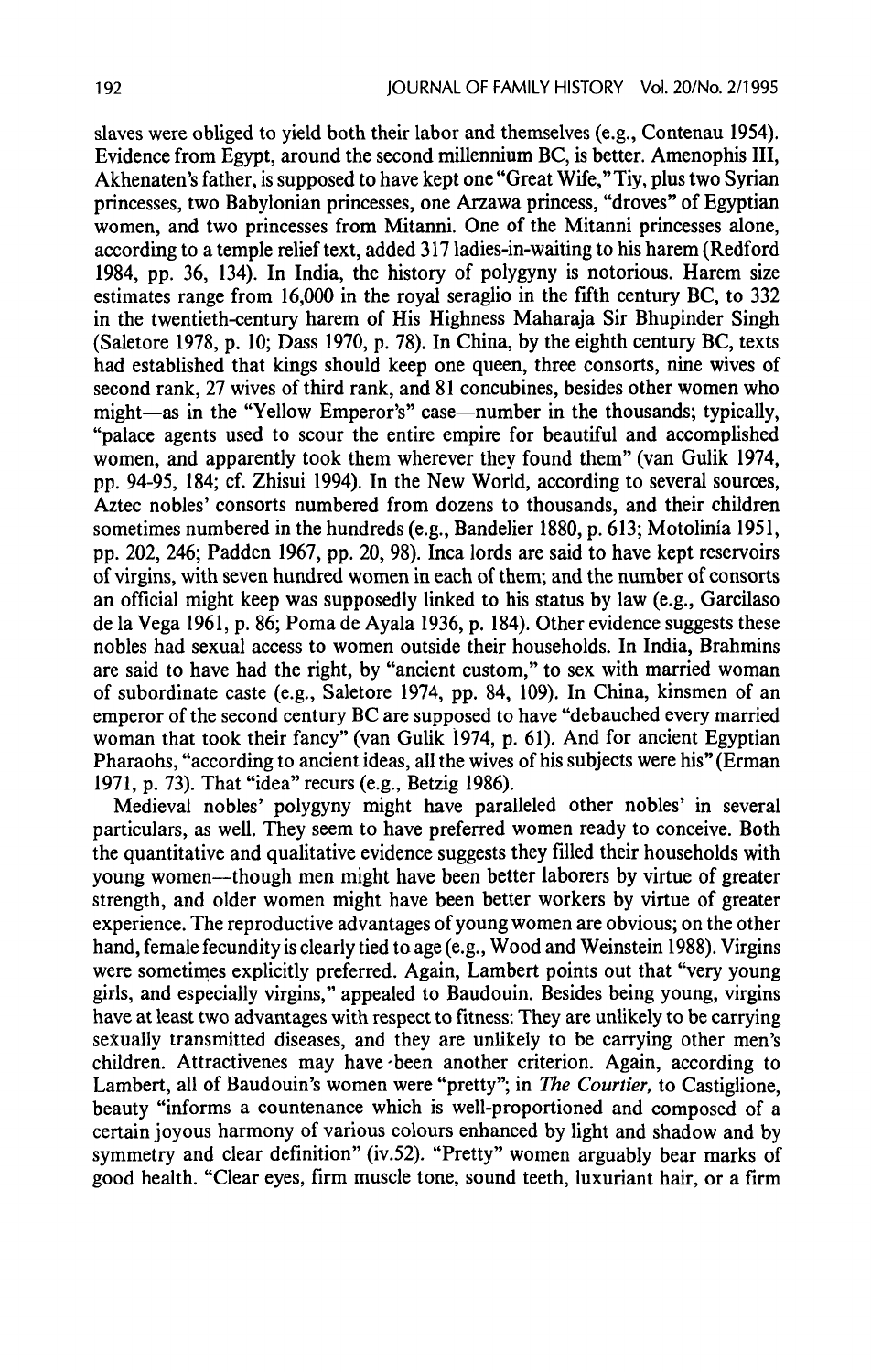slaves were obliged to yield both their labor and themselves(e.g., Contenau 1954). Evidence from Egypt, around the second millennium BC, is better. Amenophis III, Akhenaten's father, is supposed to have kept one "Great Wife," Tiy, plus two Syrian princesses, two Babylonian princesses, one Arzawa princess, "droves" of Egyptian women, and two princesses from Mitanni. One of the Mitanni princesses alone, according to a temple relief text, added 317 ladies-in-waiting to his harem (Redford 1984, pp. 36, 134). In India, the history of polygyny is notorious. Harem size estimates range from 16,000 in the royal seraglio in the fifth century BC, to 332 in the twentieth-century harem of His Highness Maharaja Sir Bhupinder Singh (Saletore 1978, p. 10; Dass 1970, p. 78). In China, by the eighth century BC, texts had established that kings should keep one queen, three consorts, nine wives of second rank, 27 wives of third rank, and <sup>81</sup> concubines, besides other women who might—as in the "Yellow Emperor's" case—number in the thousands; typically, "palace agents used to scour the entire empire for beautiful and accomplished women, and apparently took them wherever they found them" (van Gulik 1974, pp. 94-95, 184; cf. Zhisui 1994), In the New World, according to several sources, Aztec nobles' consorts numbered from dozens to thousands, and their children sometimes numbered in the hundreds(e.g., Bandelier 1880, p. 613; Motolinia 1951, pp. 202, 246; Padden 1967, pp. 20, 98). Inca lords are said to have kept reservoirs of virgins, with seven hundred women in each of them; and the number of consorts an official might keep was supposedly linked to his status by law (e.g., Garcilaso de la Vega 1961, p. 86; Poma de Ayala 1936, p. 184). Other evidence suggests these nobles had sexual access to women outside their households. In India, Brahmins are said to have had the right, by "ancient custom," to sex with married woman of subordinate caste (e.g., Saletore 1974, pp. 84, 109). In China, kinsmen of an emperor of the second century BC are supposed to have "debauched every married woman that took their fancy" (van Gulik 1974, p. 61). And for ancient Egyptian Pharaohs, "according to ancient ideas, all the wives of his subjects were his" (Erman 1971, p. 73). That "idea" recurs (e.g., Betzig 1986).

Medieval nobles' polygyny might have paralleled other nobles' in several particulars, as well. They seem to have preferred women ready to conceive. Both the quantitative and qualitative evidence suggests theyfilled their households with young women—though men might have been better laborers by virtue of greater strength, and older women might have been better workers by virtue of greater experience. The reproductive advantages of young women are obvious; on the other hand, female fecundity is clearly tied to age (e.g., Wood and Weinstein 1988). Virgins were sometimes explicitly preferred. Again, Lambert points out that "very young girls, and especially virgins," appealed to Baudouin. Besides being young, virgins have at least two advantages with respect to fitness: They are unlikely to be carrying sexually transmitted diseases, and they are unlikely to be carrying other men's children. Attractivenes may have-been another criterion. Again, according to Lambert, all of Baudouin's women were "pretty"; in The Courtier, to Castiglione, beauty "informs a countenance which is well-proportioned and composed of a certain joyous harmony of various colours enhanced by light and shadow and by symmetry and clear definition" (iv.52). "Pretty" women arguably bear marks of good health. "Clear eyes, firm muscle tone, sound teeth, luxuriant hair, or a firm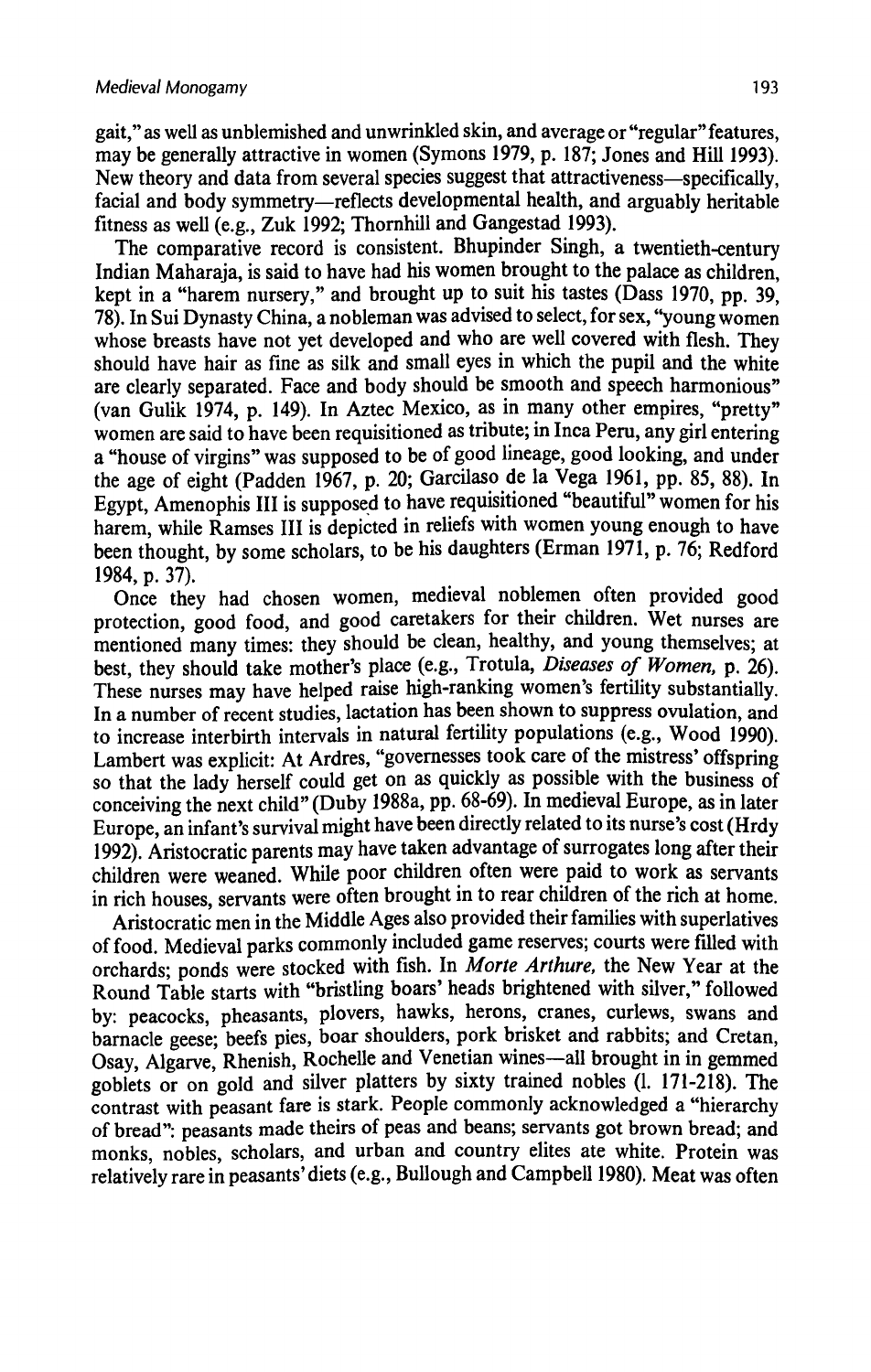gait," as well as unblemished and unwrinkledskin, and average or "regular"features, may be generally attractive in women (Symons 1979, p. 187; Jones and Hill 1993). Newtheory and data from several species suggest that attractiveness—specifically, facial and body symmetry—reflects developmental health, and arguably heritable fitness as well (e.g., Zuk 1992; Thornhill and Gangestad 1993).

The comparative record is consistent. Bhupinder Singh, a twentieth-century Indian Maharaja, is said to have had his women brought to the palace as children, kept in a "harem nursery," and brought up to suit his tastes (Dass 1970, pp. 39, 78). In Sui Dynasty China, a nobleman was advised to select, for sex, "young women whose breasts have not yet developed and who are well covered with flesh. They should have hair as fine as silk and small eyes in which the pupil and the white are clearly separated. Face and body should be smooth and speech harmonious" (van Gulik 1974, p. 149). In Aztec Mexico, as in many other empires, "pretty" women are said to have been requisitioned as tribute; in Inca Peru, any girl entering <sup>a</sup> "house of virgins" was supposedto be of good lineage, good looking, and under the age of eight (Padden 1967, p. 20; Garcilaso de la Vega 1961, pp. 85, 88). In Egypt, Amenophis III is supposed to have requisitioned "beautiful" women for his harem, while Ramses III is depicted in reliefs with women young enough to have been thought, by some scholars, to be his daughters (Erman 1971, p. 76; Redford 1984,p. 37).

Once they had chosen women, medieval noblemen often provided good protection, good food, and good caretakers for their children. Wet nurses are mentioned many times: they should be clean, healthy, and young themselves: at best, they should take mother's place (e.g., Trotula, Diseases of Women, p. 26). These nurses may have helped raise high-ranking women's fertility substantially. In a number of recent studies, lactation has been shown to suppress ovulation, and to increase interbirth intervals in natural fertility populations (e.g., Wood 1990). Lambert was explicit: At Ardres, "governesses took care of the mistress' offspring so that the lady herself could get on as quickly as possible with the business of conceiving the next child" (Duby 1988a, pp. 68-69). In medieval Europe, as in later Europe,an infant's survival might have been directly related to its nurse's cost (Hrdy 1992). Aristocratic parents may have taken advantage of surrogates long after their children were weaned. While poor children often were paid to work as servants in rich houses, servants were often brought in to rear children of the rich at home.

Aristocratic men in the Middle Ages also provided their families with superlatives of food. Medieval parks commonly included game reserves; courts were filled with orchards; ponds were stocked with fish. In Morte Arthure, the New Year at the Round Table starts with "bristling boars' heads brightened with silver," followed by: peacocks, pheasants, plovers, hawks, herons, cranes, curlews, swans and barnacle geese; beefs pies, boar shoulders, pork brisket and rabbits; and Cretan, Osay, Algarve, Rhenish, Rochelle and Venetian wines—all brought in in gemmed goblets or on gold and silver platters by sixty trained nobles  $(1. 171-218)$ . The contrast with peasant fare is stark. People commonly acknowledged a "hierarchy of bread": peasants made theirs of peas and beans; servants got brown bread; and monks, nobles, scholars, and urban and country elites ate white. Protein was relatively rare in peasants'diets (e.g., Bullough and Campbell 1980). Meat was often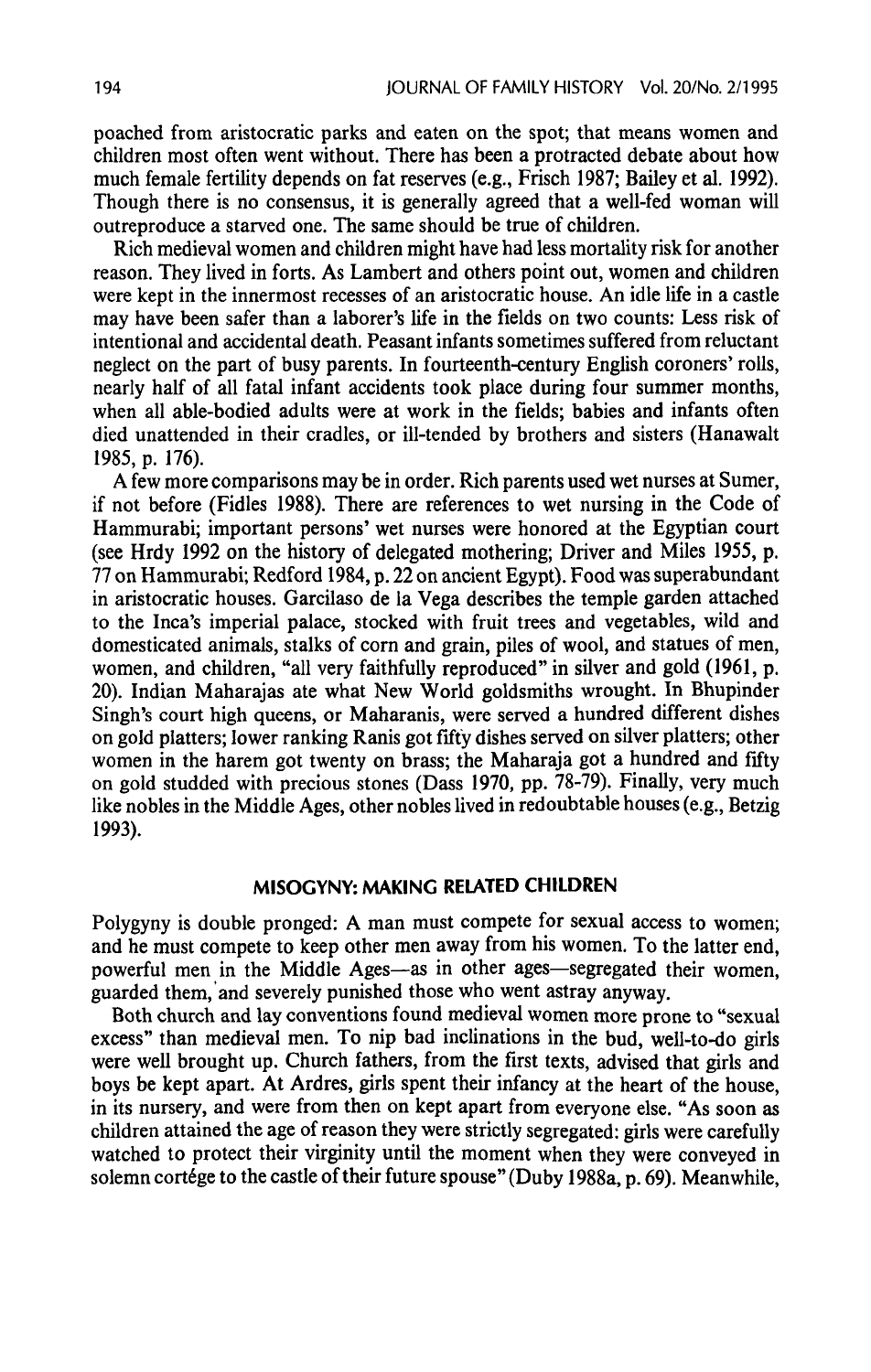poached from aristocratic parks and eaten on the spot; that means women and children most often went without. There has been a protracted debate about how much female fertility depends on fat reserves (e.g., Frisch 1987; Bailey et al. 1992). Though there is no consensus, it is generally agreed that a well-fed woman will outreproduce a starved one. The same should be true of children.

Rich medieval womenand children might have had less mortality risk for another reason. They lived in forts. As Lambert and others point out, women and children were kept in the innermost recesses of an aristocratic house. An idle life in a castle may have been safer than a laborer's life in the fields on two counts: Less risk of intentional and accidental death. Peasant infants sometimes suffered from reluctant neglect on the part of busy parents. In fourteenth-century English coroners'rolls, nearly half of all fatal infant accidents took place during four summer months, when all able-bodied adults were at work in the fields; babies and infants often died unattended in their cradles, or ill-tended by brothers and sisters (Hanawalt 1985, p. 176).

A few more comparisons may be in order. Rich parents used wet nurses at Sumer, if not before (Fidles 1988). There are references to wet nursing in the Code of Hammurabi; important persons' wet nurses were honored at the Egyptian court (see Hrdy 1992 on the history of delegated mothering; Driver and Miles 1955,p. 77 on Hammurabi; Redford 1984,p. 22 on ancient Egypt). Food was superabundant in aristocratic houses. Garcilaso de la Vega describes the temple garden attached to the Inca's imperial palace, stocked with fruit trees and vegetables, wild and domesticated animals, stalks of corn and grain, piles of wool, and statues of men, women, and children, "all very faithfully reproduced" in silver and gold (1961, p. 20). Indian Maharajas ate what New World goldsmiths wrought. In Bhupinder Singh's court high queens, or Maharanis, were served a hundred different dishes on gold platters; lower ranking Ranis got fifty dishes served on silver platters; other women in the harem got twenty on brass; the Maharaja got a hundred and fifty on gold studded with precious stones (Dass 1970, pp. 78-79). Finally, very much like nobles in the Middle Ages, other nobleslived in redoubtable houses(e.g., Betzig 1993).

## MISOGYNY: MAKING RELATED CHILDREN

Polygyny is double pronged: A man must compete for sexual access to women; and he must compete to keep other men away from his women. To the latter end, powerful men in the Middle Ages—as in other ages—segregated their women, guarded them, and severely punished those who went astray anyway.

Both church and lay conventions found medieval women more prone to "sexual excess" than medieval men. To nip bad inclinations in the bud, well-to-do girls were well brought up. Church fathers, from the first texts, advised that girls and boys be kept apart. At Ardres, girls spent their infancy at the heart of the house, in its nursery, and were from then on kept apart from everyone else. "As soon as children attained the age of reason they were strictly segregated: girls were carefully watched to protect their virginity until the moment when they were conveyed in solemn cortége to the castle of their future spouse" (Duby 1988a, p. 69). Meanwhile,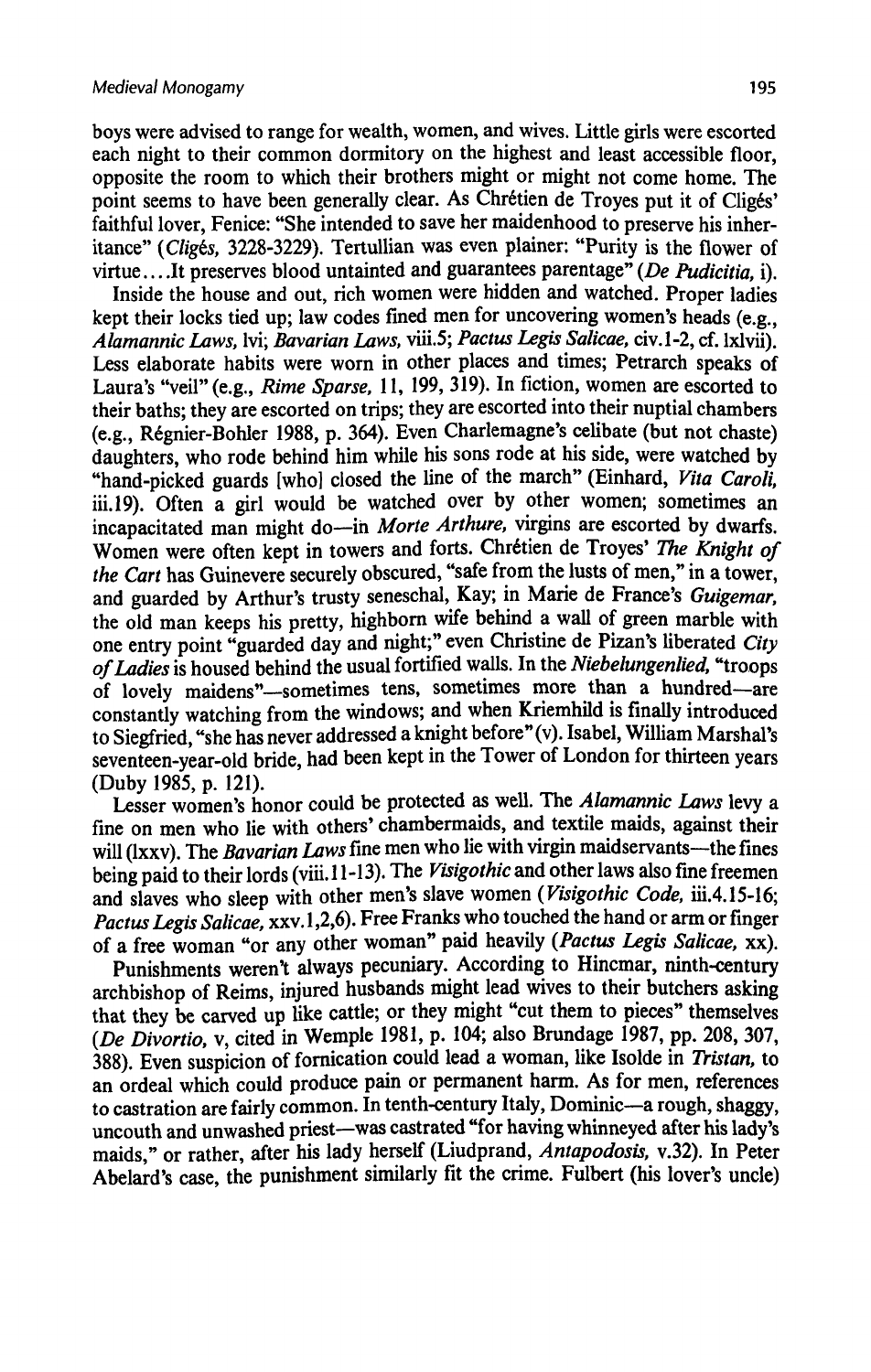boys were advised to range for wealth, women, and wives.Little girls were escorted each night to their common dormitory on the highest and least accessible floor, opposite the room to which their brothers might or might not come home. The point seems to have been generally clear. As Chrétien de Troyes put it of Cligés' faithful lover, Fenice: "She intended to save her maidenhood to preserve his inheritance" (Cligés, 3228-3229). Tertullian was even plainer: "Purity is the flower of virtue....It preserves blood untainted and guarantees parentage" (De Pudicitia, i).

Inside the house and out, rich women were hidden and watched. Proper ladies kept their locks tied up; law codes fined men for uncovering women's heads (e.g., Alamannic Laws, lvi; Bavarian Laws, viii.5; Pactus Legis Salicae, civ.1-2, cf. 1xlvii). Less elaborate habits were worn in other places and times; Petrarch speaks of Laura's "veil" (e.g., Rime Sparse, 11, 199, 319). In fiction, women are escorted to their baths; they are escorted on trips; they are escortedinto their nuptial chambers (e.g., Régnier-Bohler 1988, p. 364). Even Charlemagne's celibate (but not chaste) daughters, who rode behind him while his sons rode at his side, were watched by "hand-picked guards [who] closed the line of the march" (Einhard, Vita Caroli. iii.19). Often a girl would be watched over by other women; sometimes an incapacitated man might do—in Morte Arthure, virgins are escorted by dwarfs. Women were often kept in towers and forts. Chrétien de Troyes' The Knight of the Cart has Guinevere securely obscured, "safe from the lusts of men," in a tower, and guarded by Arthur's trusty seneschal, Kay; in Marie de France's Guigemar, the old man keeps his pretty, highborn wife behind a wall of green marble with one entry point "guarded day and night;" even Christine de Pizan's liberated City ofLadies is housed behind the usual fortified walls. In the Niebelungenlied, "troops of lovely maidens"—sometimes tens, sometimes more than a hundred—are constantly watching from the windows; and when Kriemhild is finally introduced to Siegfried, "she has never addressed a knight before"(v). Isabel, William Marshal's seventeen-year-old bride, had been kept in the Tower of London for thirteen years (Duby 1985, p. 121).

Lesser women's honor could be protected as well. The Alamannic Laws levy a fine on men wholie with others' chambermaids, and textile maids, against their will (Ixxv). The Bavarian Laws fine men who lie with virgin maidservants—the fines being paid to their lords (viii. 11-13). The Visigothic and other laws also fine freemen and slaves who sleep with other men's slave women (Visigothic Code, iii.4.15-16; Pactus Legis Salicae, xxv.1,2,6). Free Franks who touched the hand or arm or finger of a free woman "or any other woman" paid heavily (Pactus Legis Salicae, xx).

Punishments weren't always pecuniary. According to Hincmar, ninth-century archbishop of Reims, injured husbands might lead wives to their butchers asking that they be carved up like cattle; or they might "cut them to pieces" themselves (De Divortio, v, cited in Wemple 1981, p. 104; also Brundage 1987, pp. 208, 307, 388). Even suspicion of fornication could lead a woman, like Isolde in Tristan, to an ordeal which could produce pain or permanent harm. As for men, references to castration are fairly common.In tenth-century Italy, Dominic—a rough, shaggy, uncouth and unwashed priest—was castrated "for having whinneyed after his lady's maids," or rather, after his lady herself (Liudprand, Antapodosis, v.32). In Peter Abelard's case, the punishment similarly fit the crime. Fulbert (his lover's uncle)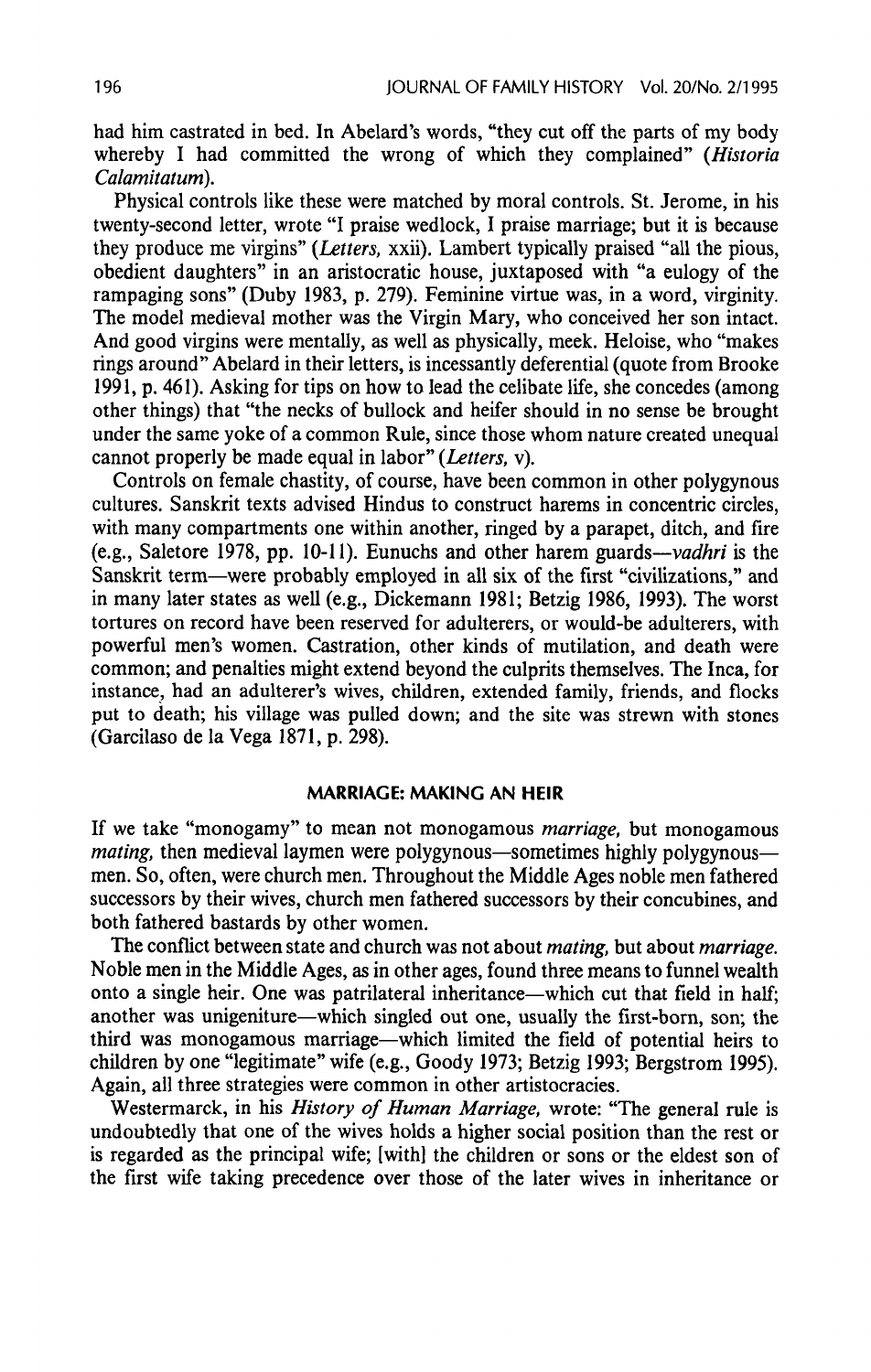had him castrated in bed. In Abelard's words, "they cut off the parts of my body whereby I had committed the wrong of which they complained" (Historia Calamitatum).

Physical controls like these were matched by moral controls. St. Jerome, in his twenty-second letter, wrote "I praise wedlock, <sup>I</sup> praise marriage; but it is because they produce me virgins"(Letters, xxii). Lambert typically praised "all the pious, obedient daughters" in an aristocratic house, juxtaposed with "a eulogy of the rampaging sons" (Duby 1983, p. 279). Feminine virtue was, in a word, virginity. The model medieval mother was the Virgin Mary, who conceived her son intact. And good virgins were mentally, as well as physically, meek. Heloise, who "makes rings around" Abelard in their letters, is incessantly deferential (quote from Brooke 1991, p. 461). Asking for tips on how to lead the celibate life, she concedes (among other things) that "the necks of bullock and heifer should in no sense be brought under the same yoke of a common Rule, since those whom nature created unequal cannot properly be made equal in labor" (Letters, v).

Controls on female chastity, of course, have been common in other polygynous cultures. Sanskrit texts advised Hindus to construct harems in concentric circles, with many compartments one within another, ringed by a parapet, ditch, and fire (e.g., Saletore 1978, pp. 10-11). Eunuchs and other harem guards—vadhriis the Sanskrit term—were probably employed in all six of the first "civilizations," and in manylater states as well (e.g., Dickemann 1981; Betzig 1986, 1993). The worst tortures on record have been reserved for adulterers, or would-be adulterers, with powerful men's women. Castration, other kinds of mutilation, and death were common; and penalties might extend beyond the culprits themselves. The Inca, for instance, had an adulterer's wives, children, extended family, friends, and flocks put to death; his village was pulled down; and the site was strewn with stones (Garcilaso de la Vega 1871, p. 298).

#### MARRIAGE: MAKING AN HEIR

If we take "monogamy" to mean not monogamous marriage, but monogamous mating, then medieval laymen were polygynous—sometimes highly polygynous men. So, often, were church men. Throughout the Middle Ages noble men fathered successors by their wives, church men fathered successors by their concubines, and both fathered bastards by other women.

The conflict between state and church was not about *mating*, but about *marriage*. Noble men in the Middle Ages, as in other ages, found three means to funnel wealth onto a single heir. One was patrilateral inheritance—which cut that field in half; another was unigeniture—which singled out one, usually the first-born, son; the third was monogamous marriage—which limited the field of potential heirs to children by one "legitimate" wife (e.g., Goody 1973; Betzig 1993; Bergstrom 1995). Again, all three strategies were common in other artistocracies.

Westermarck, in his History of Human Marriage, wrote: "The general rule is undoubtedly that one of the wives holds a higher social position than the rest or is regarded as the principal wife; [with] the children or sons or the eldest son of the first wife taking precedence over those of the later wives in inheritance or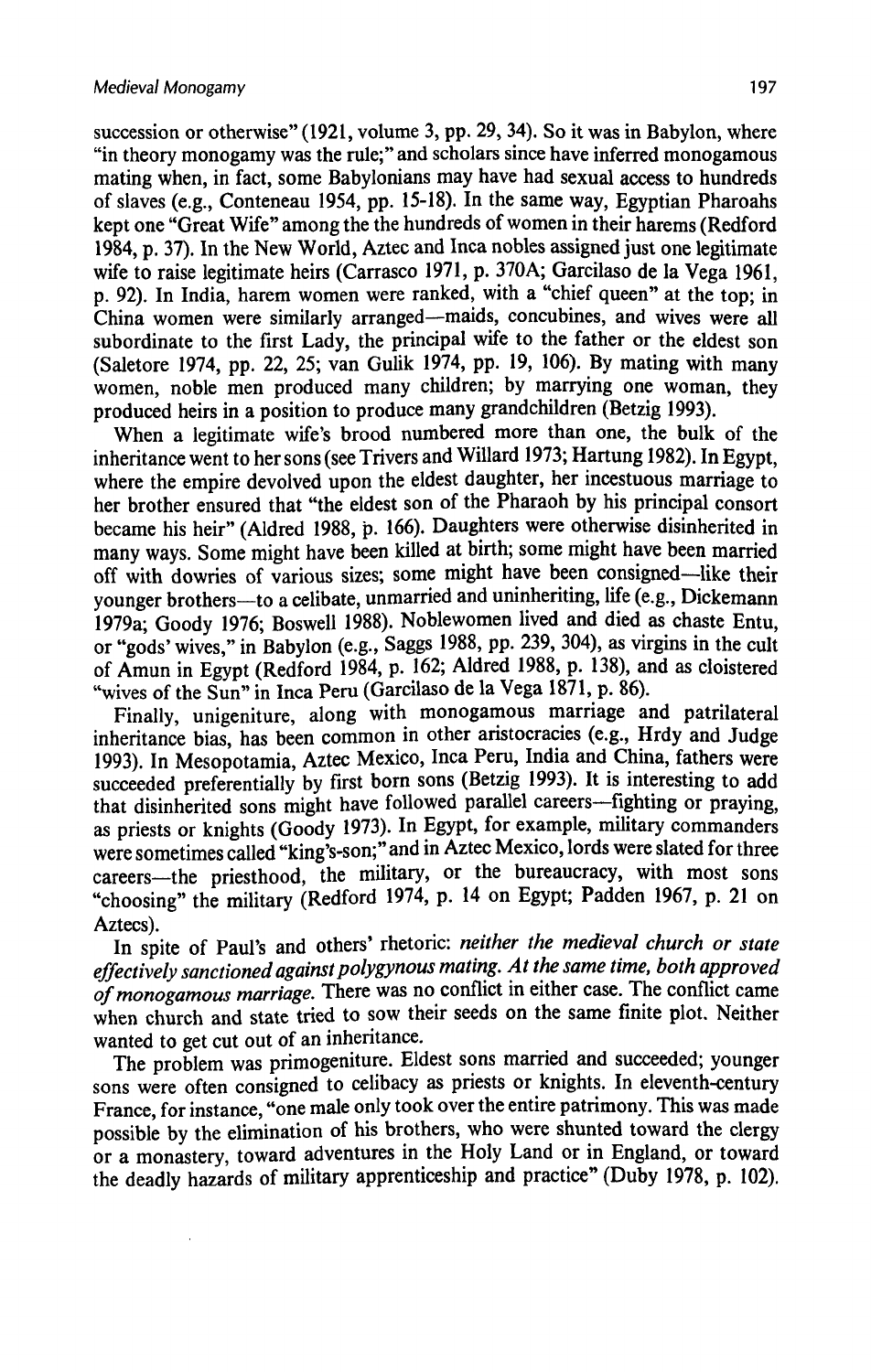succession or otherwise" (1921, volume 3, pp. 29, 34). So it was in Babylon, where "in theory monogamy was the rule;" and scholars since have inferred monogamous mating when, in fact, some Babylonians may have had sexual access to hundreds of slaves (e.g., Conteneau 1954, pp. 15-18). In the same way, Egyptian Pharoahs kept one "Great Wife" among the the hundreds of women in their harems (Redford 1984, p. 37). In the New World, Aztec and Inca nobles assigned just one legitimate wife to raise legitimate heirs (Carrasco 1971, p. 370A; Garcilaso de la Vega 1961, p. 92). In India, harem women were ranked, with a "chief queen"at the top; in China women were similarly arranged—maids, concubines, and wives were all subordinate to the first Lady, the principal wife to the father or the eldest son (Saletore 1974, pp. 22, 25; van Gulik 1974, pp. 19, 106). By mating with many women, noble men produced many children; by marrying one woman, they produced heirs in a position to produce many grandchildren (Betzig 1993).

When a legitimate wife's brood numbered more than one, the bulk of the inheritance went to her sons (see Trivers and Willard 1973; Hartung 1982). In Egypt, where the empire devolved upon the eldest daughter, her incestuous marriage to her brother ensured that "the eldest son of the Pharaoh by his principal consort became his heir" (Aldred 1988, p. 166). Daughters were otherwise disinherited in many ways. Some might have been killed at birth; some might have been married off with dowries of various sizes; some might have been consigned—like their younger brothers—to a celibate, unmarried and uninheriting, life (e.g., Dickemann 1979a; Goody 1976; Boswell 1988). Noblewomen lived and died as chaste Entu, or "gods' wives," in Babylon (e.g., Saggs 1988, pp. 239, 304), as virgins in the cult of Amunin Egypt (Redford 1984, p. 162; Aldred 1988, p. 138), and as cloistered "wives of the Sun" in Inca Peru (Garcilaso de la Vega 1871, p. 86).

Finally, unigeniture, along with monogamous marriage and patrilateral inheritance bias, has been common in other aristocracies (e.g., Hrdy and Judge 1993). In Mesopotamia, Aztec Mexico, Inca Peru, India and China, fathers were succeeded preferentially by first born sons (Betzig 1993). It is interesting to add that disinherited sons might have followed parallel careers—fighting or praying, as priests or knights (Goody 1973). In Egypt, for example, military commanders were sometimes called "king's-son;" and in Aztec Mexico, lords were slated for three careers—the priesthood, the military, or the bureaucracy, with most sons "choosing" the military (Redford 1974, p. <sup>14</sup> on Egypt; Padden 1967, p. <sup>21</sup> on Aztecs).

In spite of Paul's and others' rhetoric: neither the medieval church or state effectively sanctioned against polygynous mating. At the same time, both approved of monogamous marriage. There was no conflict in either case. The conflict came when church and state tried to sow their seeds on the same finite plot. Neither wanted to get cut out of an inheritance.

The problem was primogeniture. Eldest sons married and succeeded; younger sons were often consigned to celibacy as priests or knights. In eleventh-century France, for instance, "one male only took over the entire patrimony. This was made possible by the elimination of his brothers, who were shunted toward the clergy or a monastery, toward adventures in the Holy Land or in England, or toward the deadly hazards of military apprenticeship and practice" (Duby 1978, p. 102).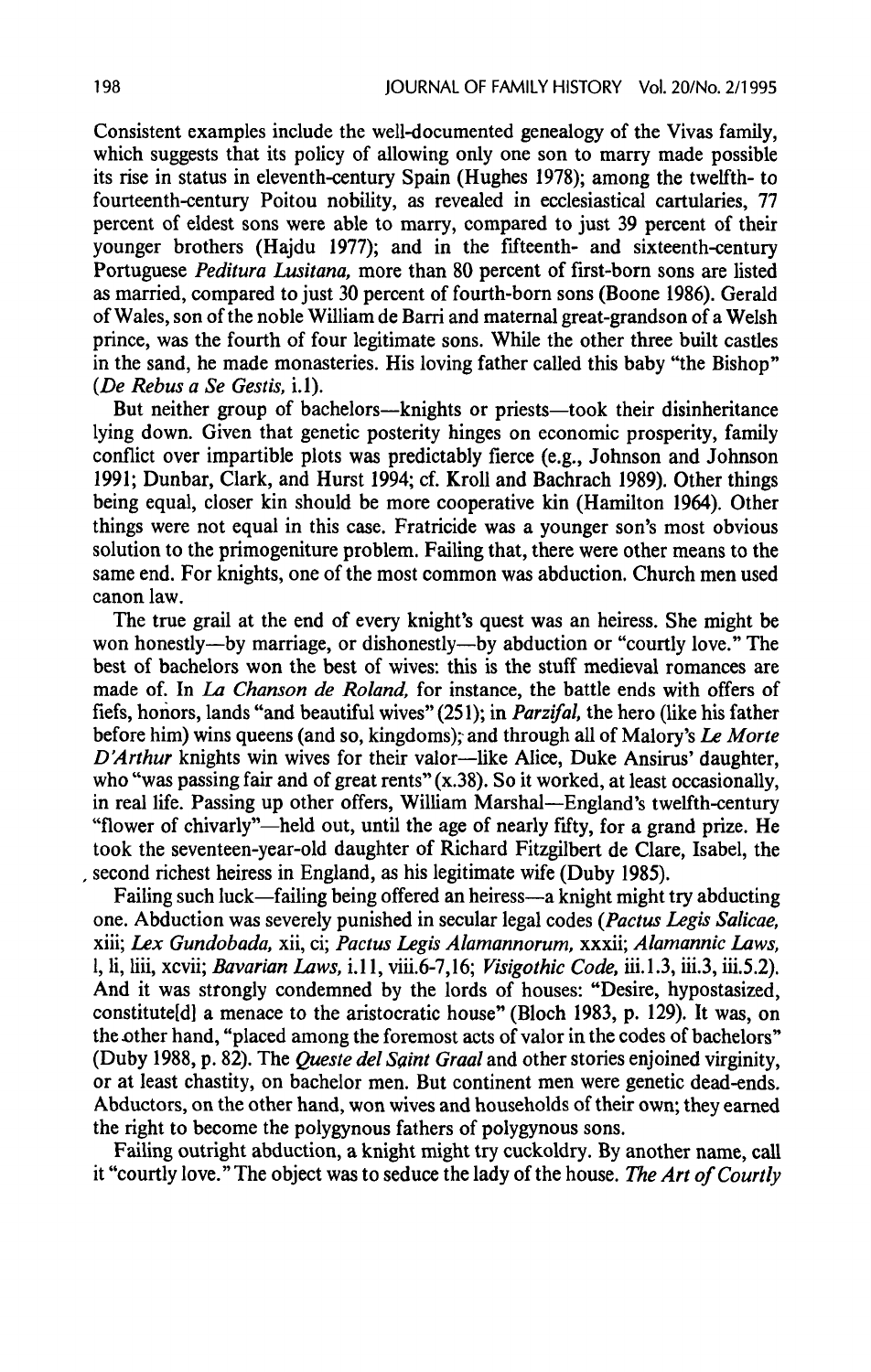Consistent examples include the well-documented genealogy of the Vivas family, which suggests that its policy of allowing only one son to marry made possible its rise in status in eleventh-century Spain (Hughes 1978); among the twelfth- to fourteenth-century Poitou nobility, as revealed in ecclesiastical cartularies, 77 percent of eldest sons were able to marry, compared to just 39 percent of their younger brothers (Hajdu 1977); and in the fifteenth- and sixteenth-century Portuguese Peditura Lusitana, more than 80 percent of first-born sons are listed as married, compared to just 30 percent of fourth-born sons (Boone 1986). Gerald of Wales,son of the noble William de Barri and maternal great-grandson of a Welsh prince, was the fourth of four legitimate sons. While the other three built castles in the sand, he made monasteries. His loving father called this baby "the Bishop" (De Rebus a Se Gestis,  $i.1$ ).

But neither group of bachelors—knights or priests—took their disinheritance lying down. Given that genetic posterity hinges on economic prosperity, family conflict over impartible plots was predictably fierce (e.g., Johnson and Johnson 1991; Dunbar, Clark, and Hurst 1994; cf. Kroll and Bachrach 1989). Other things being equal, closer kin should be more cooperative kin (Hamilton 1964). Other things were not equal in this case. Fratricide was a younger son's most obvious solution to the primogeniture problem. Failing that, there were other means to the same end. For knights, one of the most common was abduction. Church men used canon law.

The true grail at the end of every knight's quest was an heiress. She might be won honestly—by marriage, or dishonestly—by abduction or "courtly love." The best of bachelors won the best of wives: this is the stuff medieval romances are made of. In La Chanson de Roland, for instance, the battle ends with offers of fiefs, honors, lands "and beautiful wives" (251); in *Parzifal*, the hero (like his father before him) wins queens (and so, kingdoms); and through all of Malory's Le Morte D'Arthur knights win wives for their valor—like Alice, Duke Ansirus' daughter, who "was passing fair and of great rents"  $(x.38)$ . So it worked, at least occasionally, in real life. Passing up other offers, William Marshal—England's twelfth-century "flower of chivarly"—held out, until the age of nearly fifty, for a grand prize. He took the seventeen-year-old daughter of Richard Fitzgilbert de Clare, Isabel, the , second richest heiress in England, as his legitimate wife (Duby 1985).

Failing such luck—failing being offered an heiress—a knight might try abducting one, Abduction was severely punished in secular legal codes (Pactus Legis Salicae, xiii; Lex Gundobada,xii, ci; Pactus Legis Alamannorum, xxxii; Alamannic Laws, 1, li, liii, xcvii; *Bavarian Laws, i.11, viii.6-7,16; Visigothic Code, iii.1.3, iii.3, iii.5.2*). And it was strongly condemned by the lords of houses: "Desire, hypostasized, constitute[d] a menace to the aristocratic house" (Bloch 1983, p. 129). It was, on the other hand, "placed among the foremost acts of valor in the codes of bachelors" (Duby 1988, p. 82). The Queste del Saint Graal and other stories enjoined virginity, or at least chastity, on bachelor men. But continent men were genetic dead-ends. Abductors, on the other hand, won wives and households of their own; they earned the right to become the polygynous fathers of polygynous sons.

Failing outright abduction, a knight might try cuckoldry. By another name, call it "courtly love." The object was to seduce the lady of the house. The Art of Courtly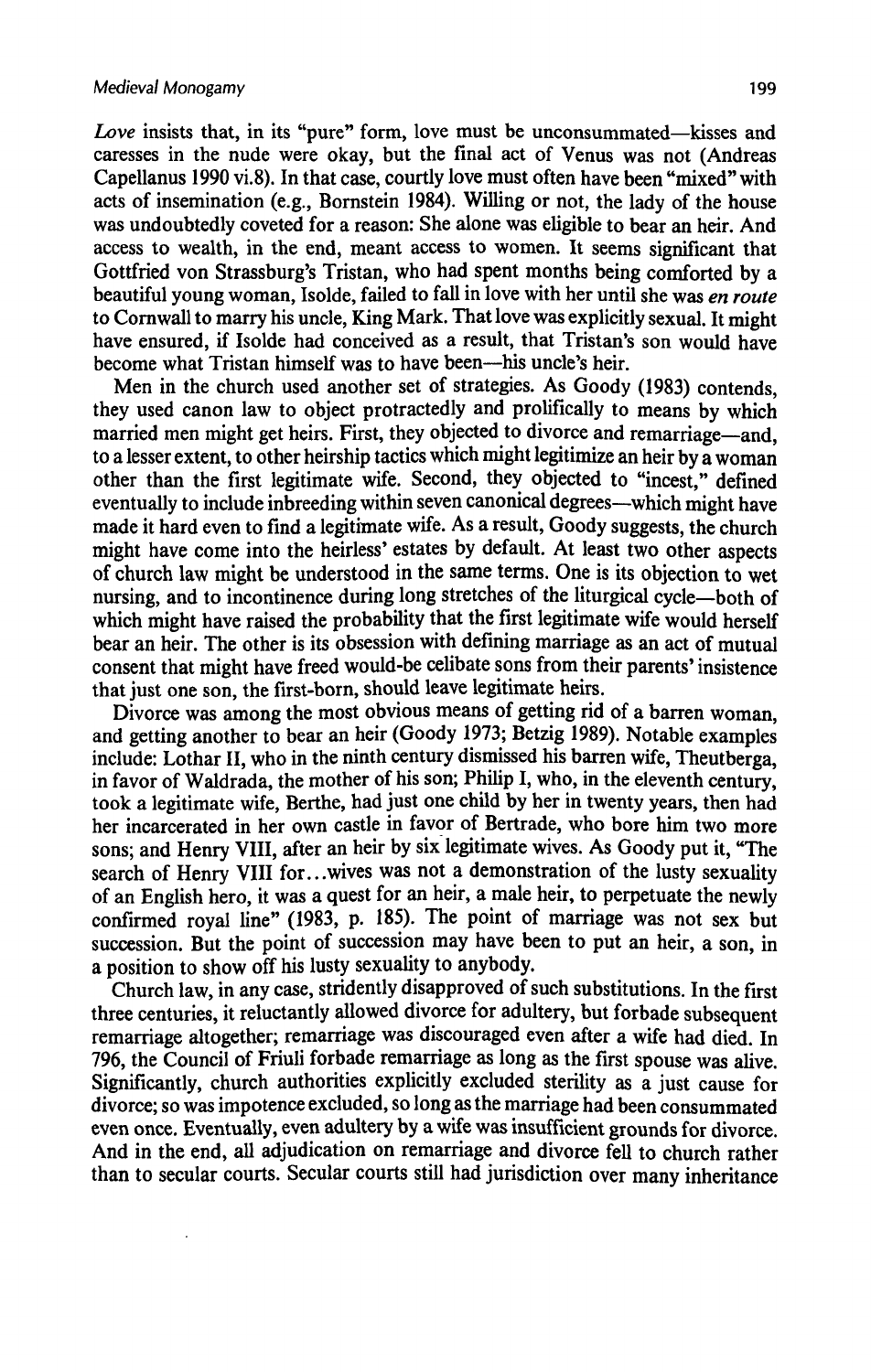Love insists that, in its "pure" form, love must be unconsummated—kisses and caresses in the nude were okay, but the final act of Venus was not (Andreas Capellanus 1990 vi.8). In that case, courtly love must often have been "mixed" with acts of insemination (e.g., Bornstein 1984). Willing or not, the lady of the house was undoubtedly coveted for a reason: She alone was eligible to bear an heir. And access to wealth, in the end, meant access to women. It seems significant that Gottfried von Strassburg's Tristan, who had spent months being comforted by a beautiful young woman, Isolde, failed to fall in love with her until she was en route to Cornwall to marry his uncle, King Mark. Thatlove was explicitly sexual. It might have ensured, if Isolde had conceived as a result, that Tristan's son would have become what Tristan himself was to have been—his uncle's heir.

Men in the church used another set of strategies. As Goody (1983) contends, they used canon law to object protractedly and prolifically to means by which married men might get heirs. First, they objected to divorce and remarriage—and, to a lesser extent, to other heirship tactics which might legitimize an heir by a woman other than the first legitimate wife. Second, they objected to "incest," defined eventually to include inbreeding within seven canonical degrees—which might have made it hard even to find a legitimate wife. As a result, Goody suggests, the church might have come into the heirless' estates by default. At least two other aspects of church law might be understood in the same terms. One is its objection to wet nursing, and to incontinence during long stretches of the liturgical cycle—both of which might have raised the probability that the first legitimate wife would herself bear an heir. The other is its obsession with defining marriage as an act of mutual consent that might have freed would-be celibate sons from their parents' insistence that just one son, the first-born, should leave legitimate heirs.

Divorce was among the most obvious means of getting rid of a barren woman, and getting another to bear an heir (Goody 1973; Betzig 1989). Notable examples include: Lothar II, who in the ninth century dismissed his barren wife, Theutberga, in favor of Waldrada, the mother of his son; Philip I, who, in the eleventh century, took a legitimate wife, Berthe, had just one child by her in twenty years, then had her incarcerated in her own castle in favor of Bertrade, who bore him two more sons; and Henry VIII, after an heir by six legitimate wives. As Goody put it, "The search of Henry VIII for...wives was not a demonstration of the lusty sexuality of an English hero, it was a quest for an heir, a male heir, to perpetuate the newly confirmed royal line" (1983, p. 185). The point of marriage was not sex but succession. But the point of succession may have been to put anheir, a son, in <sup>a</sup> position to showoff his lusty sexuality to anybody.

Church law, in any case, stridently disapproved of such substitutions. In the first three centuries, it reluctantly allowed divorce for adultery, but forbade subsequent remarriage altogether; remarriage was discouraged even after a wife had died. In 796, the Council of Friuli forbade remarriage as long as the first spouse was alive. Significantly, church authorities explicitly excluded sterility as a just cause for divorce; so was impotence excluded, so long as the marriage had been consummated even once. Eventually, even adultery by a wife was insufficient grounds for divorce. And in the end, all adjudication on remarriage and divorce fell to church rather than to secular courts. Secular courts still had jurisdiction over many inheritance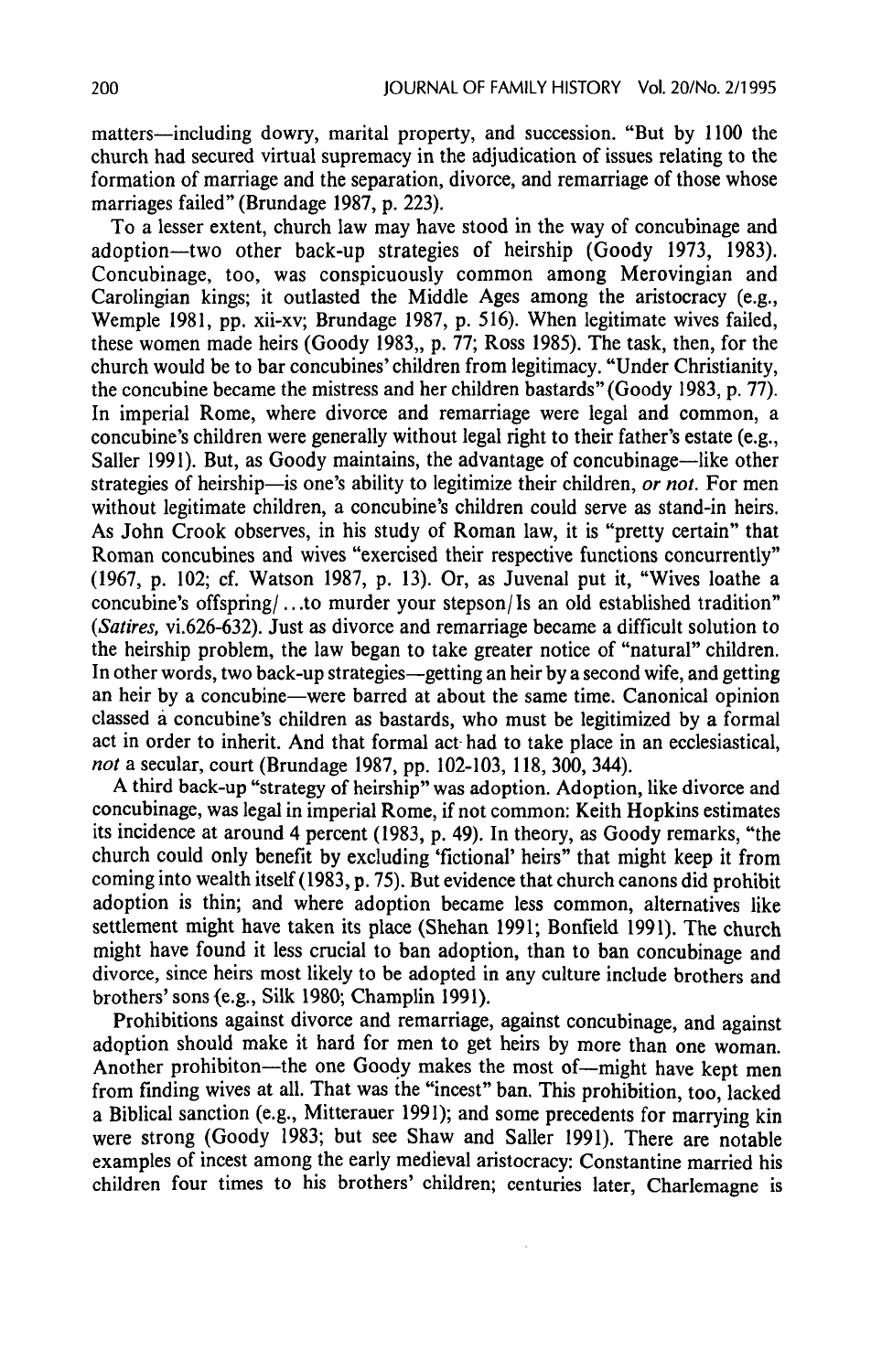matters—including dowry, marital property, and succession. "But by 1100 the church had secured virtual supremacy in the adjudication of issues relating to the formation of marriage and the separation, divorce, and remarriage of those whose marriages failed" (Brundage 1987, p. 223).

To a lesser extent, church law may have stood in the way of concubinage and adoption—two other back-up strategies of heirship (Goody 1973, 1983). Concubinage, too, was conspicuously common among Merovingian and Carolingian kings; it outlasted the Middle Ages among the aristocracy (e.g., Wemple 1981, pp. xii-xv; Brundage 1987, p. 516). When legitimate wives failed, these women made heirs (Goody 1983,, p. 77; Ross 1985). The task, then, for the church would be to bar concubines' children from legitimacy. "Under Christianity, the concubine became the mistress and her children bastards" (Goody 1983, p. 77). In imperial Rome, where divorce and remarriage were legal and common, a concubine's children were generally without legal right to their father's estate (e.g., Saller 1991). But, as Goody maintains, the advantage of concubinage—like other strategies of heirship—is one's ability to legitimize their children, or not. For men without legitimate children, a concubine's children could serve as stand-in heirs. As John Crook observes, in his study of Roman law, it is "pretty certain" that Roman concubines and wives "exercised their respective functions concurrently" (1967, p. 102; cf. Watson 1987, p. 13). Or, as Juvenal put it, "Wives loathe a concubine's offspring/...to murder your stepson/Is an old established tradition" (Satires, vi.626-632). Just as divorce and remarriage became a difficult solution to the heirship problem, the law began to take greater notice of "natural" children. In other words, two back-up strategies—getting an heir by a second wife, and getting an heir by a concubine—were barred at about the same time. Canonical opinion classed a concubine's children as bastards, who must be legitimized by a formal act in order to inherit. And that formal act-had to take place in anecclesiastical, not a secular, court (Brundage 1987, pp. 102-103, 118, 300, 344).

A third back-up "strategy of heirship" was adoption. Adoption, like divorce and concubinage, was legal in imperial Rome, if not common: Keith Hopkins estimates its incidence at around 4 percent (1983, p. 49). In theory, as Goody remarks, "the church could only benefit by excluding 'fictional' heirs" that might keep it from coming into wealth itself (1983, p. 75). But evidence that church canons did prohibit adoption is thin; and where adoption became less common, alternatives like settlement might have taken its place (Shehan 1991; Bonfield 1991). The church might have found it less crucial to ban adoption, than to ban concubinage and divorce, since heirs most likely to be adopted in any culture include brothers and brothers' sons(e.g., Silk 1980; Champlin 199).

Prohibitions against divorce and remarriage, against concubinage, and against adaption should make it hard for men to get heirs by more than one woman. Another prohibiton—the one Goody makes the most of—might have kept men from finding wives at all. That was the "incest" ban. This prohibition, too, lacked a Biblical sanction (e.g., Mitterauer 1991); and some precedents for marrying kin were strong (Goody 1983; but see Shaw and Saller 1991). There are notable examples of incest among the early medieval aristocracy: Constantine married his children four times to his brothers' children; centuries later, Charlemagne is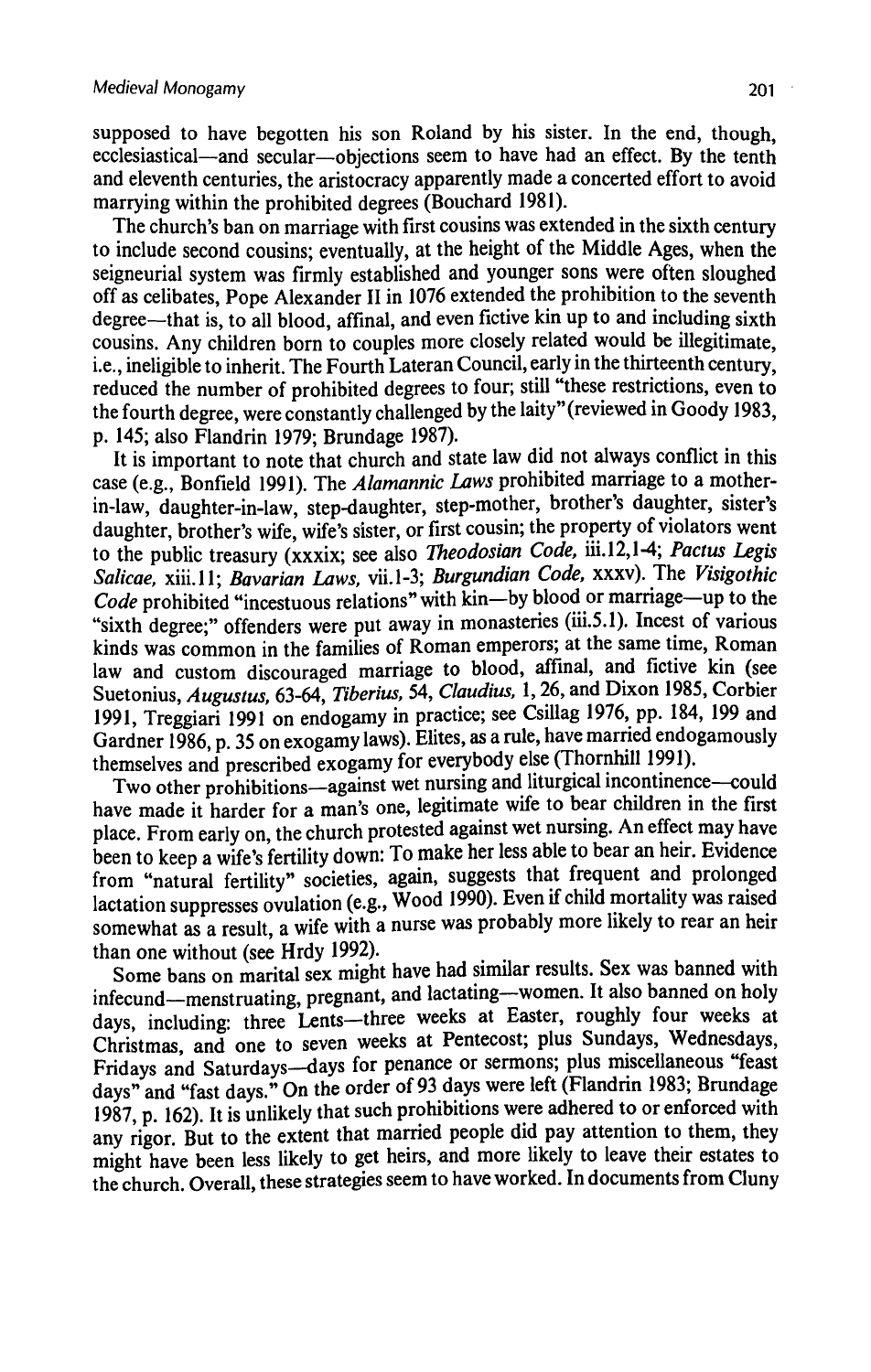supposed to have begotten his son Roland by his sister. In the end, though, ecclesiastical—and secular—objections seem to have had an effect. By the tenth<br>and eleventh centuries, the aristocracy apparently made a concerted effort to avoid and eleventh centuries, the aristocracy apparently made a concerted effort to avoid marrying within the prohibited degrees (Bouchard 1981).

The church's ban on marriage with first cousins was extended in the sixth century to include second cousins; eventually, at the height of the Middle Ages, when the seigneurial system was firmly established and younger sons were often sloughed off as celibates, Pope Alexander II in 1076 extended the prohibition to the seventh degree—that is, to all blood, affinal, and even fictive kin up to and including sixth cousins. Any children born to couples more closely related would be illegitimate. i.e., ineligible to inherit. The Fourth Lateran Council, early in the thirteenth century, reduced the number of prohibited degrees to four; still "these restrictions, even to the fourth degree, were constantly challenged by thelaity" (reviewed in Goody 1983, p. 145; also Flandrin 1979; Brundage 1987).

It is important to note that church and state law did not always conflict in this case (e.g., Bonfield 1991). The Alamannic Laws prohibited marriage to a motherin-law, daughter-in-law, step-daughter, step-mother, brother's daughter, sister's daughter, brother's wife, wife's sister, or first cousin; the property of violators went to the public treasury (xxxix; see also Theodosian Code, iii.12,1-4; Pactus Legis Salicae, xiii.11; Bavarian Laws, vii.1-3; Burgundian Code, xxxv). The Visigothic Code prohibited "incestuous relations" with kin—by blood or marriage—up to the "sixth degree;" offenders were put away in monasteries (iii.5.1). Incest of various kinds was common in the families of Roman emperors; at the same time, Roman law and custom discouraged marriage to blood, affinal, and fictive kin (see Suetonius, Augustus, 63-64, Tiberius, 54, Claudius, 1, 26, and Dixon 1985, Corbier 1991, Treggiari 1991 on endogamy in practice; see Csillag 1976, pp. 184, 199 and Gardner 1986, p. 35 on exogamy laws). Elites, as a rule, have married endogamously themselves and prescribed exogamy for everybody else (Thornhill 1991).

Two other prohibitions—against wet nursing and liturgical incontinence—could have made it harder for a man's one, legitimate wife to bear children in the first place. From early on, the church protested against wet nursing. An effect may have been to keep a wife's fertility down: To make her less able to bear an heir. Evidence from "natural fertility" societies, again, suggests that frequent and prolonged lactation suppresses ovulation (e.g., Wood 1990). Even if child mortality was raised recept to the suppresses overall of edge. We can be the spoke of the somewhat as a result, a wife with a nurse was probably more likely to rear an heir than one without (see Hrdy 1992).

than one without (see Hrdy 1992).<br>Some bans on marital sex might have had similar results. Sex was banned with infecund—menstruating, pregnant, and lactating—women. It also banned on holy days, including: three Lents—three weeks at Easter, roughly four weeks at Christmas, and one to seven weeks at Pentecost; plus Sundays, Wednesdays, Fridays and Saturdays—days for penance or sermons, plus miscellaneous "feast days" and "fast days." On the order of 93 days wereleft (Flandrin 1983; Brundage 1987, p. 162). It is unlikely that such prohibitions were adhered to or enforced with any rigor. But to the extent that married people did pay attention to them, they might have been less likely to get heirs, and more likely to leave their estates to the church. Overall, these strategies seem to have worked. In documents from Cluny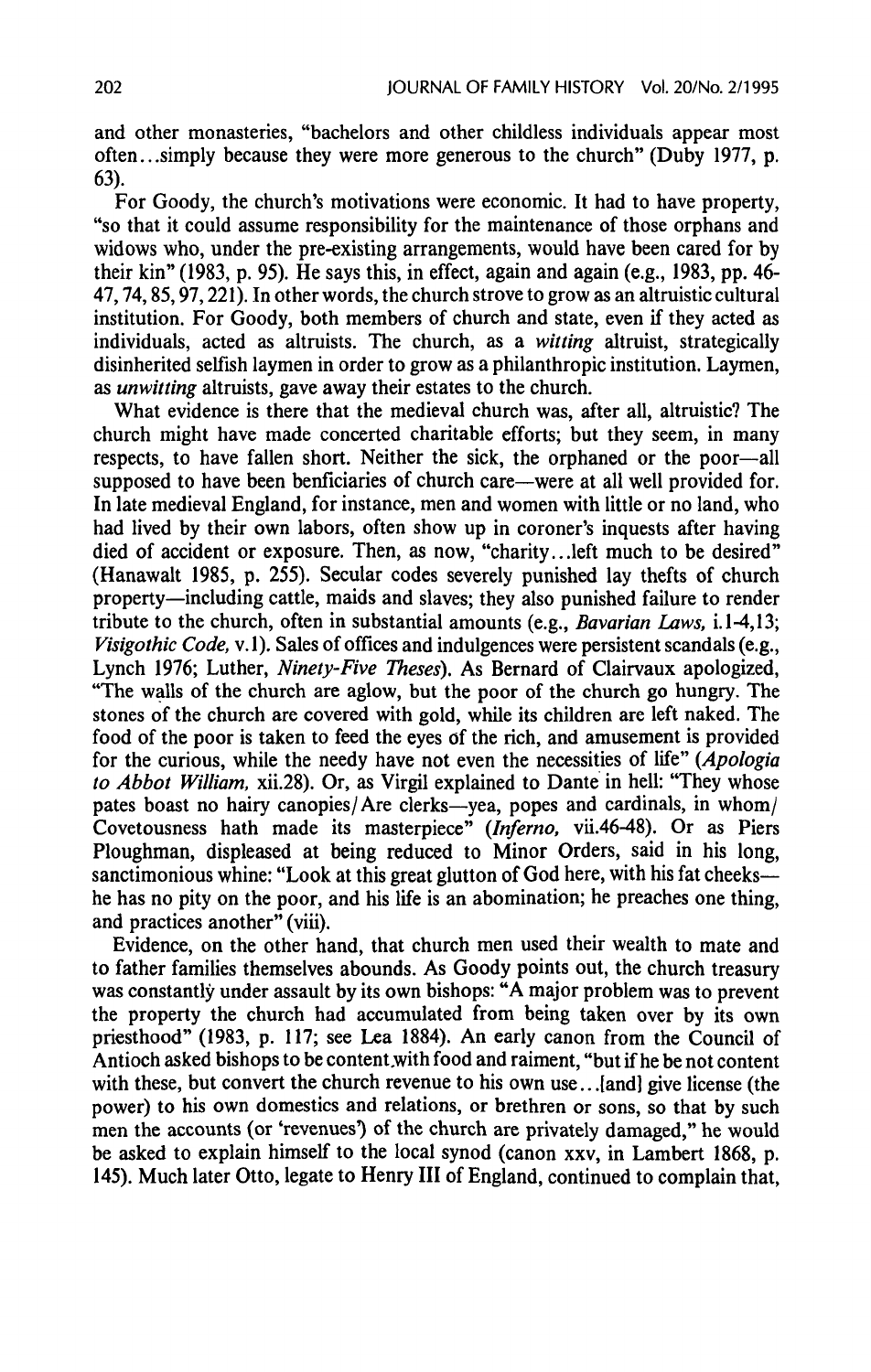and other monasteries, "bachelors and other childless individuals appear most often...simply because they were more generous to the church" (Duby 1977, p. 63).

For Goody, the church's motivations were economic. It had to have property, "so that it could assume responsibility for the maintenance of those orphans and widows who, under the pre-existing arrangements, would have been cared for by their kin" (1983, p. 95). He saysthis, in effect, again and again (e.g., 1983, pp. 46- 47, 74, 85, 97, 221). In other words, the churchstrove to grow as analtruistic cultural institution. For Goody, both members of church and state, even if they acted as individuals, acted as altruists. The church, as a witting altruist, strategically disinherited selfish laymen in order to grow as a philanthropic institution. Laymen, as unwitting altruists, gave away their estates to the church.

What evidence is there that the medieval church was, after all, altruistic? The church might have made concerted charitable efforts; but they seem, in many respects, to have fallen short. Neither the sick, the orphaned or the poor—all supposed to have been benficiaries of church care—were at all well provided for. In late medieval England, for instance, men and women with little or no land, who had lived by their own labors, often show up in coroner's inquests after having died of accident or exposure. Then, as now, "charity...left much to be desired" (Hanawalt 1985, p. 255). Secular codes severely punished lay thefts of church property—including cattle, maids and slaves; they also punished failure to render tribute to the church, often in substantial amounts (e.g., Bavarian Laws, i.1-4,13; Visigothic Code, v.1). Sales of offices and indulgences were persistent scandals (e.g., Lynch 1976; Luther, Ninety-Five Theses). As Bernard of Clairvaux apologized, "The walls of the church are aglow, but the poor of the church go hungry. The stones of the church are covered with gold, while its children are left naked. The food of the poor is taken to feed the eyes of the rich, and amusement is provided for the curious, while the needy have not even the necessities of life" (Apologia to Abbot William, xii.28). Or, as Virgil explained to Dante in hell: "They whose pates boast no hairy canopies/Are clerks—yea, popes and cardinals, in whom/ Covetousness hath made its masterpiece" (Inferno, vii.46-48). Or as Piers Ploughman, displeased at being reduced to Minor Orders, said in his long, sanctimonious whine: "Look at this great glutton of God here, with his fat cheeks he has no pity on the poor, and his life is an abomination; he preaches one thing, and practices another"(viii).

Evidence, on the other hand, that church men used their wealth to mate and to father families themselves abounds. As Goody points out, the church treasury was constantly under assault by its own bishops: "A major problem was to prevent the property the church had accumulated from being taken over by its own priesthood" (1983, p. 117; see Lea 1884). An early canon from the Council of Antioch asked bishops to be content with food and raiment, "but if he be not content with these, but convert the church revenue to his own use...[and] give license (the power) to his own domestics and relations, or brethren or sons, so that by such men the accounts (or 'revenues') of the church are privately damaged," he would be asked to explain himself to the local synod (canon xxv, in Lambert 1868, p. 145). Much later Otto, legate to Henry III of England, continued to complain that,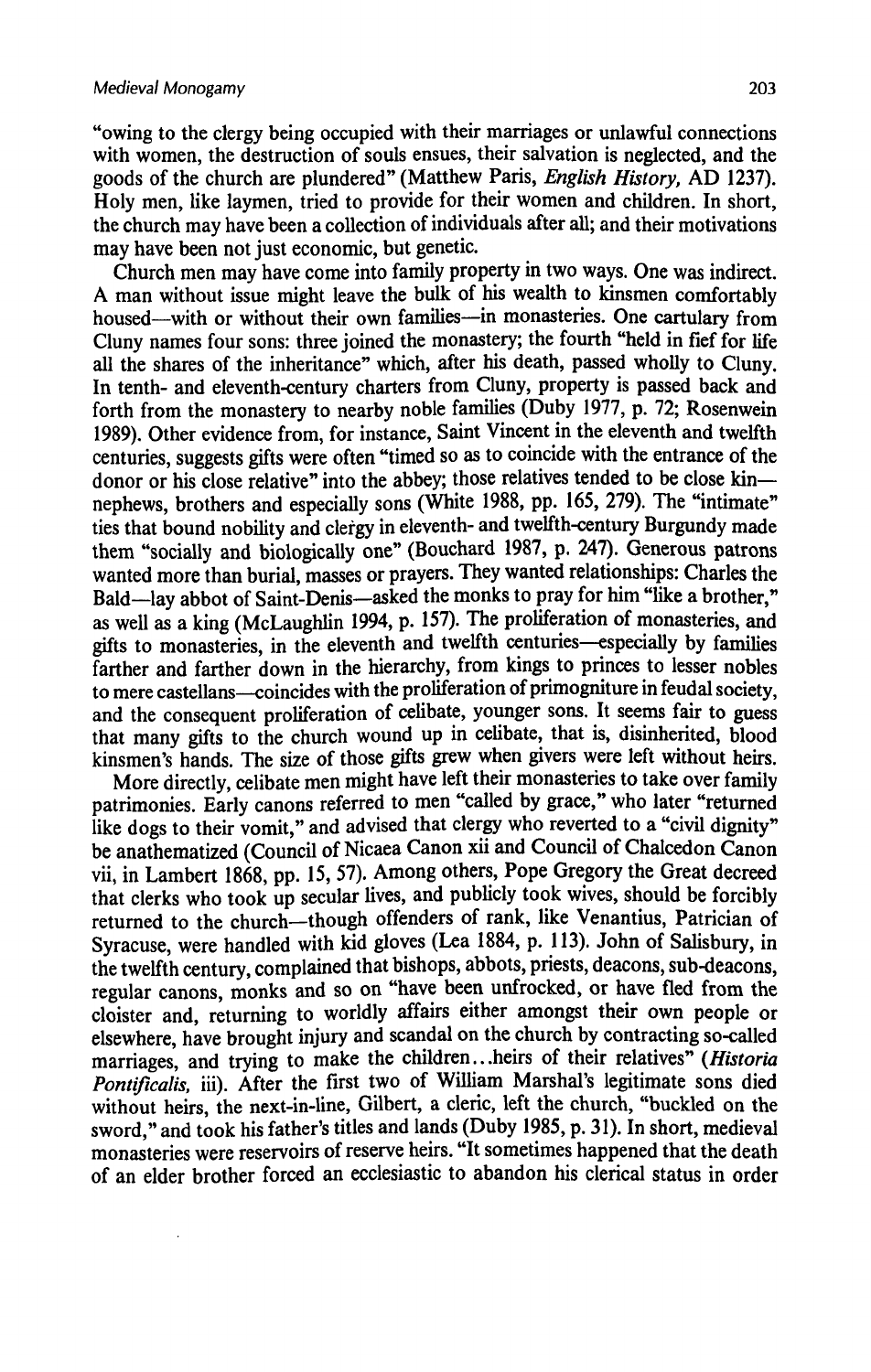$\ddot{\phantom{0}}$ 

"owing to the clergy being occupied with their marriages or unlawful connections with women, the destruction of souls ensues, their salvation is neglected, and the goods of the church are plundered" (Matthew Paris, English History, AD 1237). Holy men, like laymen, tried to provide for their women and children. In short, the church may have been a collection of individuals after all; and their motivations the church may have been a collection of individuals after all; and their motivations may have been not just economic, but genetic.

Church men may have come into family property in two ways. One was indirect. A man without issue might leave the bulk of his wealth to kinsmen comfortably housed—with or without their own families—in monasteries. One cartulary from Cluny names four sons: three joined the monastery; the fourth "held in fief for life all the shares of the inheritance" which, after his death, passed wholly to Cluny. In tenth- and eleventh-century charters from Cluny, property is passed back and forth from the monastery to nearby noble families (Duby 1977, p. 72; Rosenwein 1989). Other evidence from, for instance, Saint Vincent in the eleventh and twelfth centuries, suggests gifts were often "timed so as to coincide with the entrance of the donor or his close relative" into the abbey; those relatives tended to be close kin nephews, brothers and especially sons (White 1988, pp. 165, 279). The "intimate" ties that bound nobility and clergy in eleventh- and twelfth-century Burgundy made them "socially and biologically one" (Bouchard 1987, p. 247). Generous patrons wanted more than burial, masses or prayers. They wanted relationships: Charles the Bald—lay abbot of Saint-Denis—asked the monks to pray for him "like a brother," as well as a king (McLaughlin 1994, p. 157). The proliferation of monasteries, and gifts to monasteries, in the eleventh and twelfth centuries—especially by families farther and farther down in the hierarchy, from kings to princes to lesser nobles to mere castellans—coincides with the proliferation of primogniture in feudal society, and the consequent proliferation of celibate, younger sons. It seems fair to guess that many gifts to the church wound up in celibate, that is, disinherited, blood kinsmen's hands. The size of those gifts grew when givers were left without heirs.

More directly, celibate men might have left their monasteries to take over family patrimonies. Early canons referred to men "called by grace," who later "returned like dogs to their vomit," and advised that clergy who reverted to a "civil dignity" be anathematized (Council of Nicaea Canon xii and Council of Chalcedon Canon vii, in Lambert 1868, pp. 15, 57). Among others, Pope Gregory the Great decreed that clerks who took up secular lives, and publicly took wives, should be forcibly returned to the church—though offenders of rank, like Venantius, Patrician of Syracuse, were handled with kid gloves (Lea 1884, p. 113). John of Salisbury, in the twelfth century, complained that bishops, abbots, priests, deacons, sub-deacons. regular canons, monks and so on "have been unfrocked, or have fled from the cloister and, returning to worldly affairs either amongst their own people or elsewhere, have brought injury and scandal on the church by contracting so-called marriages, and trying to make the children...heirs of their relatives" (Historia Pontificalis, iii). After the first two of William Marshal's legitimate sons died without heirs, the next-in-line, Gilbert, a cleric, left the church, "buckled on the sword," and took his father's titles and lands (Duby 1985, p. 31). In short, medieval monasteries were reservoirs of reserveheirs. "It sometimes happened that the death of an elder brother forced an ecclesiastic to abandon his clerical status in order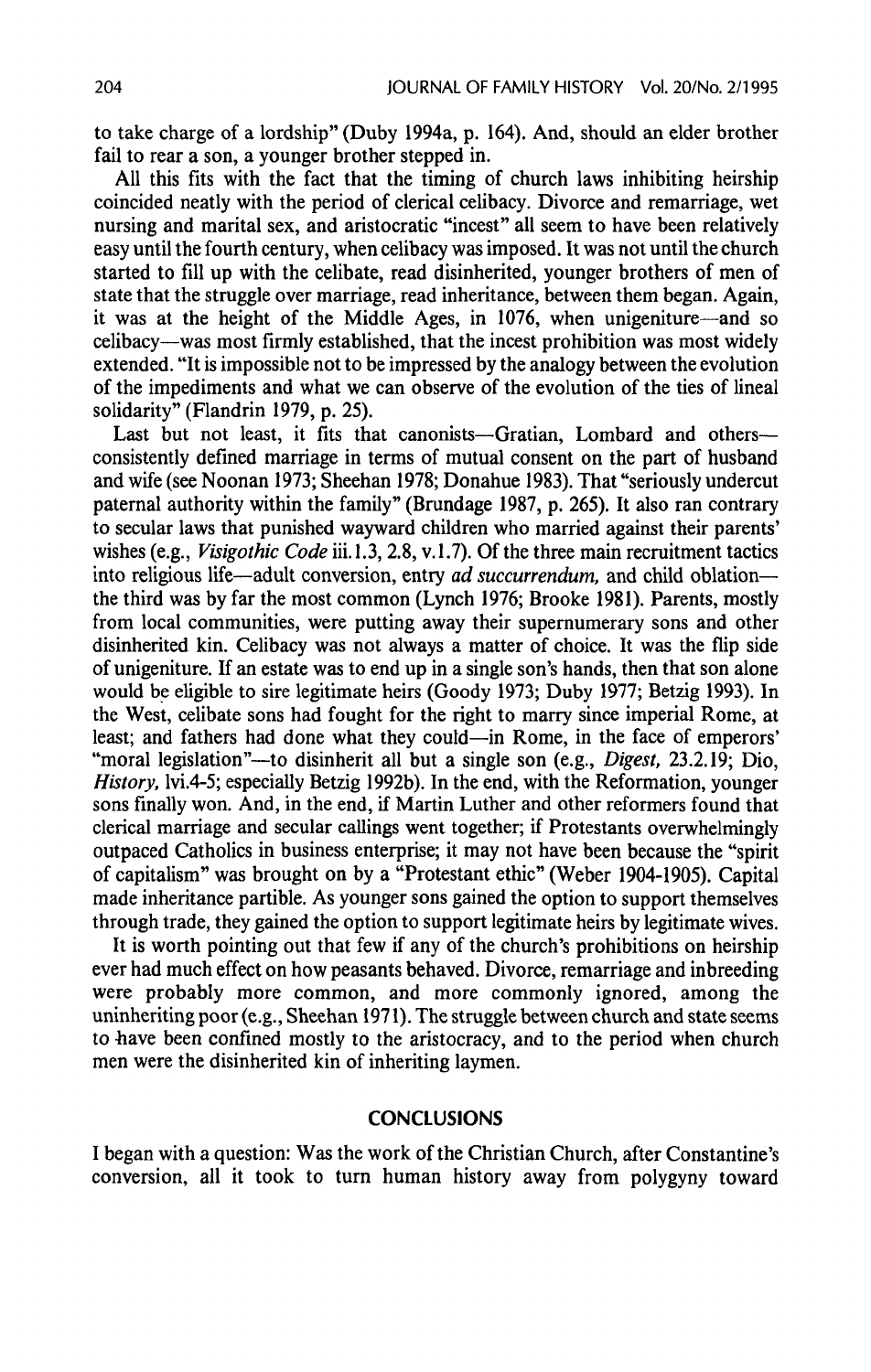to take charge of a lordship" (Duby 1994a, p. 164). And, should an elder brother fail to rear a son, a younger brother stepped in.

All this fits with the fact that the timing of church laws inhibiting heirship coincided neatly with the period of clerical celibacy. Divorce and remarriage, wet nursing and marital sex, and aristocratic "incest" all seem to have been relatively easy until the fourth century, when celibacy was imposed. It was not until the church started to fill up with the celibate, read disinherited, younger brothers of men of state that the struggle over marriage, read inheritance, between them began. Again, it was at the height of the Middle Ages, in 1076, when unigeniture—and so celibacy—was most firmly established, that the incest prohibition was most widely extended. "It is impossible not to be impressed by the analogy between the evolution of the impediments and what we can observe of the evolution of the ties of lineal solidarity" (Flandrin 1979, p. 25).

Last but not least, it fits that canonists—Gratian, Lombard and others consistently defined marriage in terms of mutual consent on the part of husband and wife (see Noonan 1973; Sheehan 1978; Donahue 1983). That "seriously undercut paternal authority within the family" (Brundage 1987, p. 265). It also ran contrary to secular laws that punished wayward children who married against their parents' wishes (e.g., *Visigothic Code* iii.1.3, 2.8, v.1.7). Of the three main recruitment tactics into religious life—adult conversion, entry *ad succurrendum*, and child oblation the third was by far the most common(Lynch 1976; Brooke 1981). Parents, mostly from local communities, were putting away their supernumerary sons and other disinherited kin. Celibacy was not always a matter of choice. It was the flip side of unigeniture. If an estate was to end upin <sup>a</sup> single son's hands, then that son alone would be eligible to sire legitimate heirs (Goody 1973; Duby 1977; Betzig 1993). In the West, celibate sons had fought for the right to marry since imperial Rome, at least; and fathers had done what they could—in Rome, in the face of emperors' "moral legislation"—to disinherit all but a single son (e.g., *Digest*, 23.2.19; Dio, History, lvi.4-5; especially Betzig 1992b). In the end, with the Reformation, younger sons finally won. And, in the end, if Martin Luther and other reformers found that clerical marriage and secular callings went together; if Protestants overwhelmingly outpaced Catholics in business enterprise; it may not have been because the "spirit of capitalism" was brought on by a "Protestant ethic" (Weber 1904-1905). Capital made inheritance partible. As younger sons gained the option to support themselves through trade, they gained the option to support legitimate heirs by legitimate wives.

It is worth pointing out that few if any of the church's prohibitions on heirship ever had mucheffect on how peasants behaved. Divorce, remarriage and inbreeding were probably more common, and more commonly ignored, among the uninheriting poor(e.g., Sheehan 1971). The struggle between church and state seems to have been confined mostly to the aristocracy, and to the period when church men were the disinherited kin of inheriting laymen.

## **CONCLUSIONS**

I began with a question: Was the work of the Christian Church, after Constantine's conversion, all it took to turn human history away from polygyny toward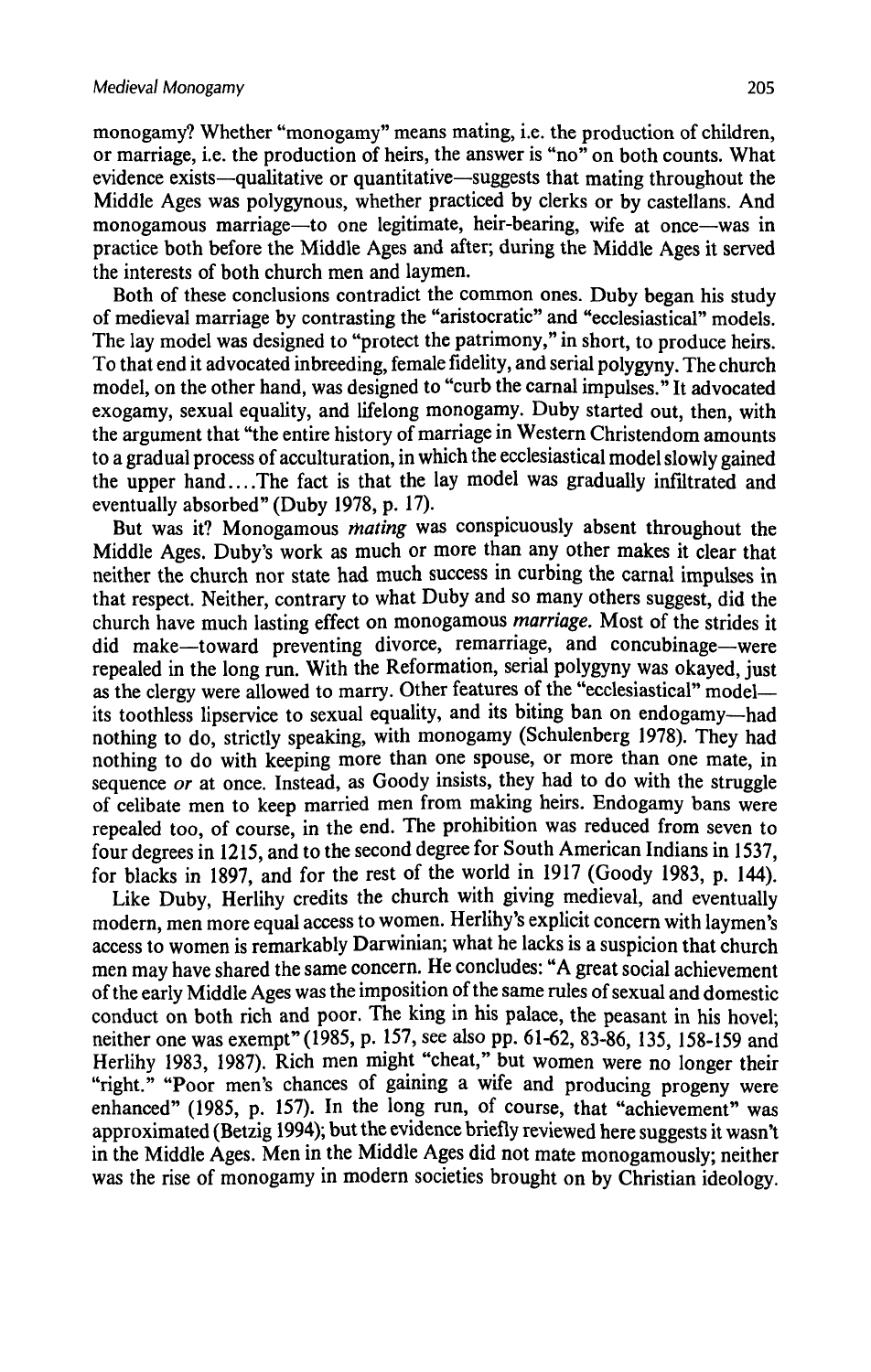monogamy? Whether "monogamy" means mating, i.e. the production of children, or marriage, i.e. the production of heirs, the answer is "no" on both counts. What evidence exists—qualitative or quantitative—suggests that mating throughout the Middle Ages was polygynous, whether practiced by clerks or by castellans. And monogamous marriage—to one legitimate, heir-bearing, wife at once—was in practice both before the Middle Ages and after; during the Middle Ages it served the interests of both church men and laymen.

Both of these conclusions contradict the common ones. Duby began his study of medieval marriage by contrasting the "aristocratic" and "ecclesiastical" models. The lay model was designed to "protect the patrimony," in short, to produce heirs. To that end it advocated inbreeding, female fidelity, and serial polygyny. The church model, on the other hand, was designed to "curb the carnal impulses." It advocated exogamy, sexual equality, and lifelong monogamy. Duby started out, then, with the argument that "the entire history of marriage in Western Christendom amounts to a gradual process of acculturation, in which the ecclesiastical model slowly gained the upper hand....The fact is that the lay model was gradually infiltrated and eventually absorbed" (Duby 1978, p. 17).

But was it? Monogamous *mating* was conspicuously absent throughout the Middle Ages. Duby's work as much or more than any other makes it clear that neither the church nor state had much success in curbing the carnal impulses in that respect. Neither, contrary to what Duby and so many others suggest, did the church have much lasting effect on monogamous marriage. Most of the strides it did make—toward preventing divorce, remarriage, and concubinage—were repealed in the long run. With the Reformation, serial polygyny was okayed, just as the clergy were allowed to marry. Other features of the "ecclesiastical" model its toothless lipservice to sexual equality, and its biting ban on endogamy—had nothing to do, strictly speaking, with monogamy (Schulenberg 1978). They had nothing to do with keeping more than one spouse, or more than one mate, in sequence or at once. Instead, as Goody insists, they had to do with the struggle of celibate men to keep married men from making heirs. Endogamy bans were repealed too, of course, in the end. The prohibition was reduced from seven to four degrees in 1215, and to the second degree for South American Indians in 1537. for blacks in 1897, and for the rest of the world in 1917 (Goody 1983, p. 144).

Like Duby, Herlihy credits the church with giving medieval, and eventually modern, men more equal access to women. Herlihy's explicit concern with laymen's access to women is remarkably Darwinian; what he lacks is a suspicion that church men may have shared the same concern. He concludes: "A great social achievement of the early Middle Ages was the imposition of the same rules of sexual and domestic conduct on both rich and poor. The king in his palace, the peasant in his hovel; neither one was exempt" (1985, p. 157, see also pp. 61-62, 83-86, 135, 158-159 and Herlihy 1983, 1987). Rich men might "cheat," but women were no longer their "right." "Poor men's chances of gaining a wife and producing progeny were enhanced" (1985, p. 157). In the long run, of course, that "achievement" was approximated(Betzig 1994); but the evidence briefly reviewed here suggests it wasn't in the Middle Ages. Men in the Middle Ages did not mate monogamously; neither was the rise of monogamy in modern societies brought on by Christian ideology.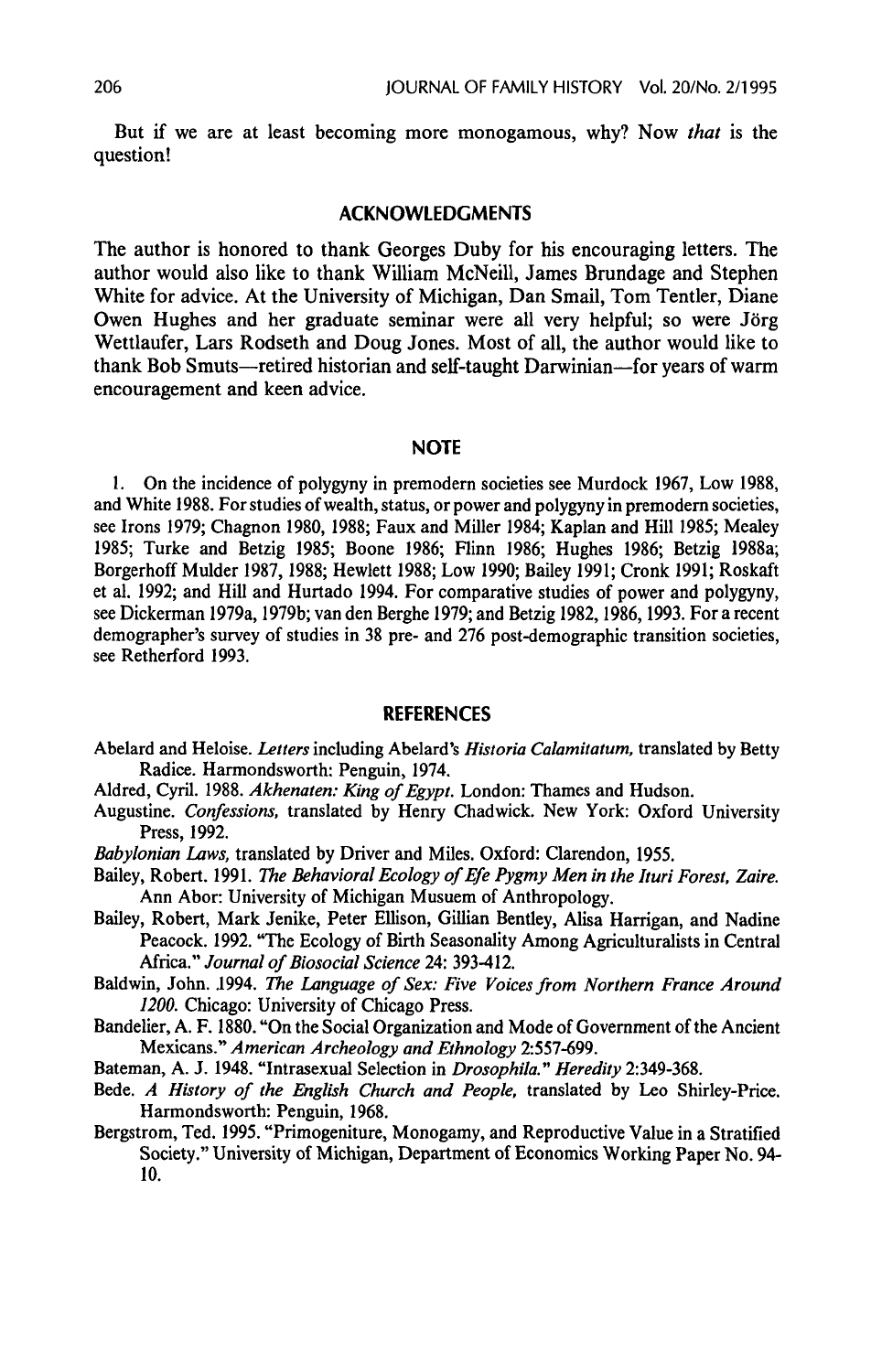But if we are at least becoming more monogamous, why? Now that is the question!

### ACKNOWLEDGMENTS

The author is honored to thank Georges Duby for his encouraging letters. The author would also like to thank William McNeill, James Brundage and Stephen White for advice. At the University of Michigan, Dan Smail, Tom Tentler, Diane Owen Hughes and her graduate seminar were all very helpful; so were Jörg Wettlaufer, Lars Rodseth and Doug Jones. Mostofall, the author would like to thank Bob Smuts—retired historian and self-taught Darwinian—for years of warm encouragement and keen advice.

#### NOTE

1. On the incidence of polygyny in premodern societies see Murdock 1967, Low 1988, and White 1988. Forstudies of wealth, status, or power and polygyny in premodern societies, see Irons 1979; Chagnon 1980, 1988; Faux and Miller 1984; Kaplan and Hill 1985; Mealey 1985; Turke and Betzig 1985; Boone 1986; Flinn 1986; Hughes 1986; Betzig 1988a; Borgerhoff Mulder 1987, 1988; Hewlett 1988; Low 1990; Bailey 1991; Cronk 1991; Roskaft et al. 1992; and Hill and Hurtado 1994. For comparative studies of power and polygyny, see Dickerman 1979a, 1979b; van den Berghe 1979; and Betzig 1982, 1986, 1993. For a recent demographer's survey of studies in 38 pre- and 276 post-demographic transition societies, see Retherford 1993.

#### REFERENCES

- Abelard and Heloise. Letters including Abelard's Historia Calamitatum, translated by Betty Radice. Harmondsworth: Penguin, 1974.
- Aldred, Cyril. 1988. Akhenaten: King of Egypt. London: Thames and Hudson.
- Augustine. Confessions, translated by Henry Chadwick. New York: Oxford University Press, 1992.
- Babylonian Laws, translated by Driver and Miles, Oxford: Clarendon, 1955.
- Bailey, Robert. 1991. The Behavioral Ecology of Efe Pygmy Men in the Ituri Forest, Zaire. Ann Abor: University of Michigan Musuem of Anthropology.
- Bailey, Robert, Mark Jenike, Peter Ellison, Gillian Bentley, Alisa Harrigan, and Nadine Peacock. 1992. "The Ecology of Birth Seasonality Among Agriculturalists in Central Africa." Journal of Biosocial Science 24: 393-412.
- Baldwin, John. 1994. The Language of Sex: Five Voices from Northern France Around 1200. Chicago: University of Chicago Press.
- Bandelier, A. F. 1880. "On the Social Organization and Mode of Government of the Ancient Mexicans." American Archeology and Ethnology 2:557-699.
- Bateman, A. J. 1948. "Intrasexual Selection in Drosophila." Heredity 2:349-368.
- Bede. A History of the English Church and People, translated by Leo Shirley-Price. Harmondsworth: Penguin, 1968.
- Bergstrom, Ted. 1995. "Primogeniture, Monogamy, and Reproductive Value in a Stratified Society." University of Michigan, Department of Economics Working Paper No. 94- 10.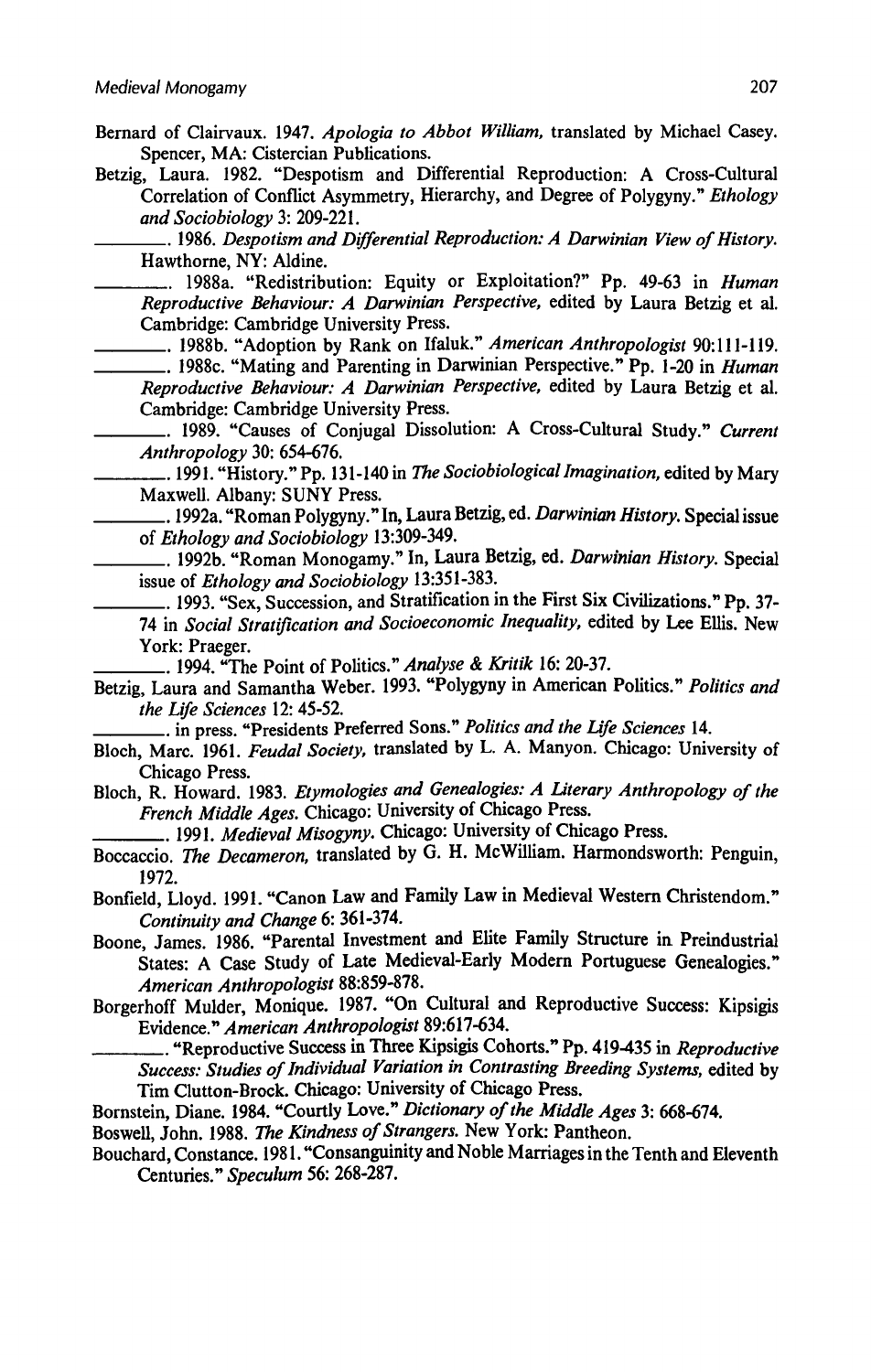- Bernard of Clairvaux. 1947. Apologia to Abbot William, translated by Michael Casey. Spencer, MA:Cistercian Publications.
- Betzig, Laura. 1982. "Despotism and Differential Reproduction: A Cross-Cultural Correlation of Conflict Asymmetry, Hierarchy, and Degree of Polygyny." Ethology and Sociobiology 3: 209-221.

. 1986. Despotism and Differential Reproduction: A Darwinian View of History. Hawthorne, NY: Aldine.

.. 1988a. "Redistribution: Equity or Exploitation?" Pp. 49-63 in Human Reproductive Behaviour: A Darwinian Perspective, edited by Laura Betzig et al. Cambridge: Cambridge University Press.

\_\_\_. 1988b. "Adoption by Rank on Ifaluk." American Anthropologist 90;111-119. ... 1988c. "Mating and Parenting in Darwinian Perspective." Pp. 1-20 in Human Reproductive Behaviour: A Darwinian Perspective, edited by Laura Betzig et al.

Cambridge: Cambridge University Press. .. 1989. "Causes of Conjugal Dissolution: A Cross-Cultural Study." Current Anthropology 30: 654-676.

.. 1991. "History." Pp. 131-140 in The Sociobiological Imagination, edited by Mary Maxwell. Albany: SUNY Press.

.. 1992a. "Roman Polygyny." In, Laura Betzig, ed. Darwinian History. Special issue of Ethology and Sociobiology 13:309-349.

.. 1992b. "Roman Monogamy." In, Laura Betzig, ed. Darwinian History. Special issue of Ethology and Sociobiology 13:351-383.

.. 1993. "Sex, Succession, and Stratification in the First Six Civilizations." Pp. 37-74 in Social Stratification and Socioeconomic Inequality, edited by Lee Ellis. New York: Praeger.

. 1994. "The Point of Politics." Analyse & Kritik 16: 20-37.

Betzig, Laura and Samantha Weber. 1993. "Polygyny in American Politics." Politics and the Life Sciences 12: 45-52.

.. in press. "Presidents Preferred Sons." Politics and the Life Sciences 14.

- Bloch, Marc. 1961. Feudal Society, translated by L. A. Manyon. Chicago: University of Chicago Press.
- Bloch, R. Howard. 1983. Etymologies and Genealogies: A Literary Anthropology of the French Middle Ages. Chicago: University of Chicago Press.

.. 1991. Medieval Misogyny. Chicago: University of Chicago Press.

Boccaccio. The Decameron, translated by G. H. McWilliam. Harmondsworth: Penguin, 1972.

Bonfield, Lloyd. 1991. "Canon Law and Family Law in Medieval Western Christendom." Continuity and Change 6: 361-374.

Boone, James. 1986. "Parental Investment and Elite Family Structure in Preindustrial States: A Case Study of Late Medieval-Early Modern Portuguese Genealogies." American Anthropologist 88:859-878.

Borgerhoff Mulder, Monique. 1987. "On Cultural and Reproductive Success: Kipsigis Evidence." American Anthropologist 89:617-634.

. "Reproductive Success in Three Kipsigis Cohorts." Pp. 419-435 in Reproductive Success: Studies of Individual Variation in Contrasting Breeding Systems, edited by Tim Clutton-Brock. Chicago: University of Chicago Press.

Bornstein, Diane. 1984. "Courtly Love." Dictionary of the Middle Ages 3: 668-674.

Boswell, John. 1988. The Kindness of Strangers. New York: Pantheon.

Bouchard, Constance. 1981. "Consanguinity and Noble Marriages in the Tenth and Eleventh Centuries." Speculum 56: 268-287.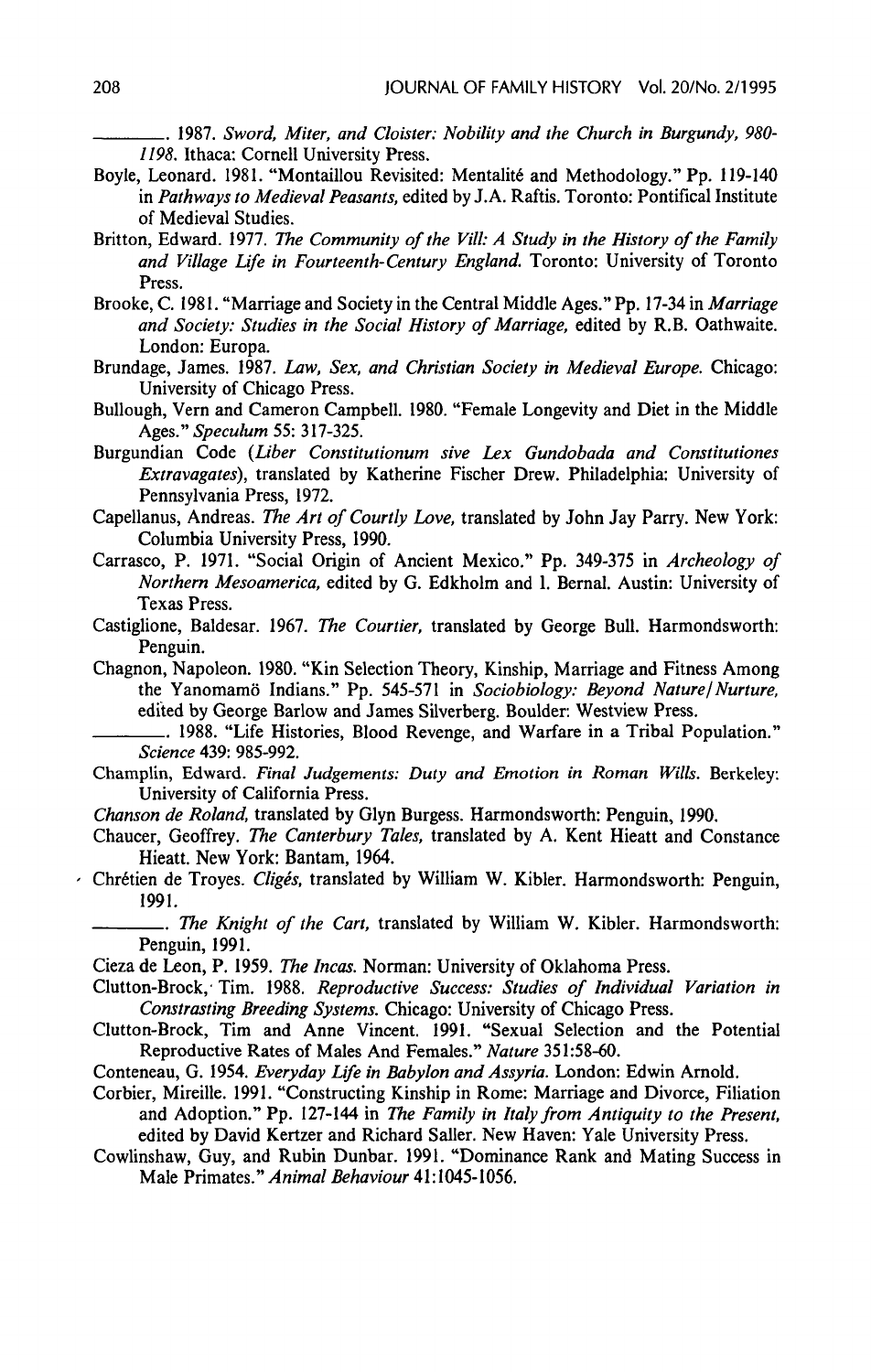—.\_..\_\_\_. 1987. Sword, Miter, and Cloister: Nobility and the Church in Burgundy, 980- 1198. Ithaca: Cornell University Press.

- Boyle, Leonard. 1981. "Montaillou Revisited: Mentalité and Methodology." Pp. 119-140 in Pathways to Medieval Peasants, edited by J.A. Raftis. Toronto: Pontifical Institute of Medieval Studies.
- Britton, Edward. 1977. The Community of the Vill: A Study in the History of the Family and Village Life in Fourteenth-Century England. Toronto: University of Toronto Press.
- Brooke, C. 1981. "Marriage and Society in the Central Middle Ages." Pp. 17-34 in Marriage and Society: Studies in the Social History of Marriage, edited by R.B. Oathwaite. London: Europa.
- Brundage, James. 1987. Law, Sex, and Christian Society in Medieval Europe. Chicago: University of Chicago Press.
- Bullough, Vern and Cameron Campbell. 1980. "Female Longevity and Diet in the Middle Ages." Speculum 55: 317-325.
- Burgundian Code (Liber Constitutionum sive Lex Gundobada and Constitutiones Extravagates), translated by Katherine Fischer Drew. Philadelphia: University of Pennsylvania Press, 1972.
- Capellanus, Andreas. The Art of Courtly Love, translated by John Jay Parry. New York: Columbia University Press, 1990.
- Carrasco, P. 1971. "Social Origin of Ancient Mexico." Pp. 349-375 in Archeology of Northern Mesoamerica, edited by G. Edkholm and I. Bernal. Austin: University of Texas Press.
- Castiglione, Baldesar. 1967. The Courtier, translated by George Bull. Harmondsworth: Penguin.
- Chagnon, Napoleon. 1980. "Kin Selection Theory, Kinship, Marriage and Fitness Among the Yanomamö Indians." Pp. 545-571 in Sociobiology: Beyond Nature/Nurture, edited by George Barlow and James Silverberg. Boulder: Westview Press.
	- —\_\_\_\_\_\_. 1988. "Life Histories, Blood Revenge, and Warfare in a Tribal Population." Science 439: 985-992.
- Champlin, Edward. Final Judgements: Duty and Emotion in Roman Wills. Berkeley: University of California Press.
- Chanson de Roland, translated by Glyn Burgess. Harmondsworth: Penguin, 1990.
- Chaucer, Geoffrey. The Canterbury Tales, translated by A. Kent Hieatt and Constance Hieatt. New York: Bantam, 1964.
- Chrétien de Troyes. Cligés, translated by William W. Kibler. Harmondsworth: Penguin, 1991,
	- .. The Knight of the Cart, translated by William W. Kibler. Harmondsworth: Penguin, 1991.
	- Cieza de Leon, P. 1959. The Incas. Norman: University of Oklahoma Press.
	- Clutton-Brock, Tim. 1988. Reproductive Success: Studies of Individual Variation in Constrasting Breeding Systems. Chicago: University of Chicago Press.
	- Clutton-Brock, Tim and Anne Vincent. 1991. "Sexual Selection and the Potential Reproductive Rates of Males And Females." Nature 351:58-60.
	- Conteneau, G. 1954. Everyday Life in Babylon and Assyria. London: Edwin Arnold.
	- Corbier, Mireille. 1991. "Constructing Kinship in Rome: Marriage and Divorce, Filiation and Adoption." Pp. 127-144 in The Family in Italy from Antiquity to the Present, edited by David Kertzer and Richard Saller. New Haven: Yale University Press.
	- Cowlinshaw, Guy, and Rubin Dunbar. 1991. "Dominance Rank and Mating Success in Male Primates." Animal Behaviour 41:1045-1056.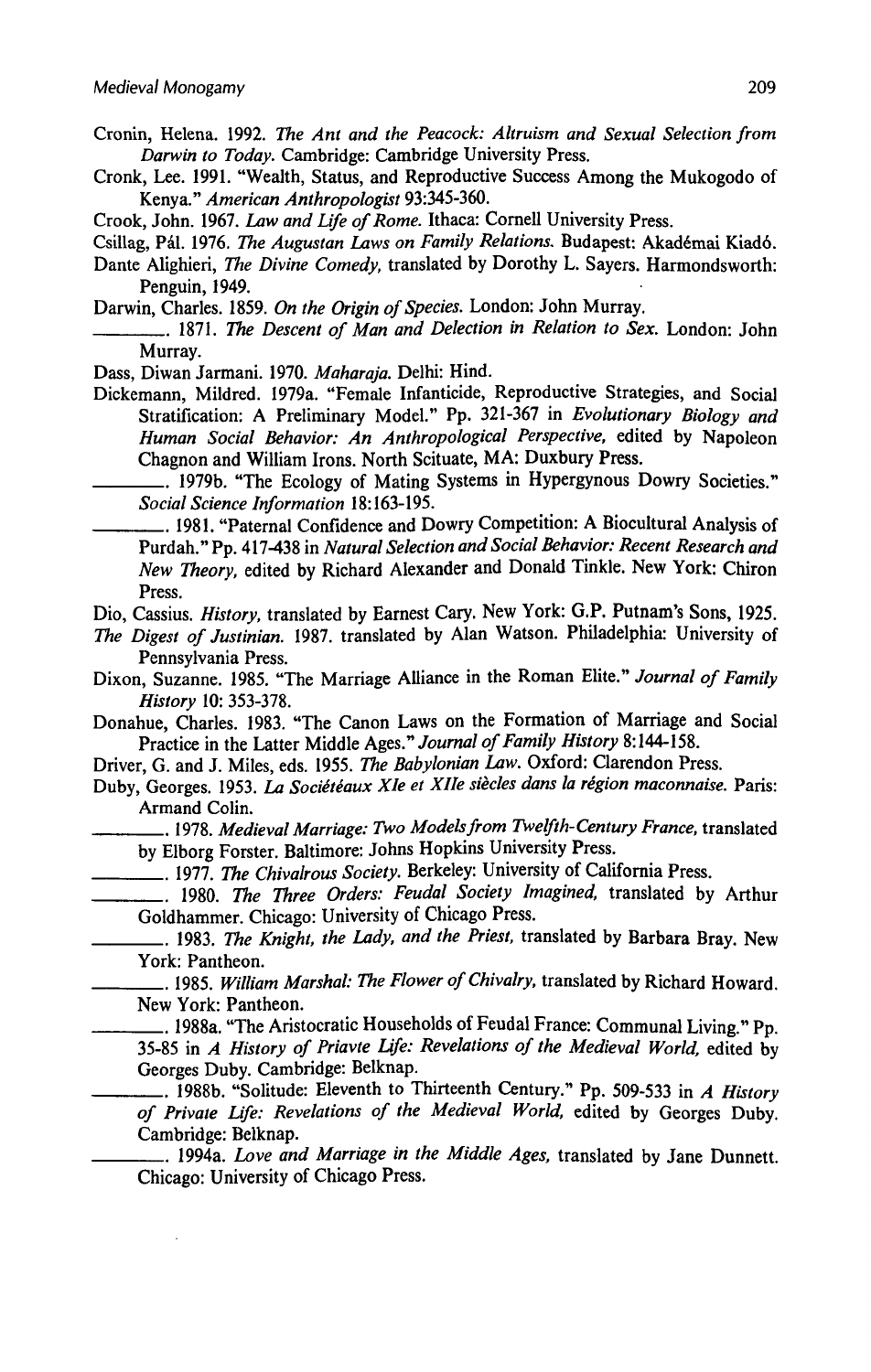- Cronin, Helena. 1992. The Ant and the Peacock: Altruism and Sexual Selection from Darwin to Today. Cambridge: Cambridge University Press.
- Cronk, Lee. 1991. "Wealth, Status, and Reproductive Success Among the Mukogodoof Kenya." American Anthropologist 93:345-360.
- Crook, John. 1967. Law and Life of Rome. Ithaca: Cornell University Press.
- Csillag, Pál. 1976. The Augustan Laws on Family Relations. Budapest: Akadémai Kiadó.
- Dante Alighieri, The Divine Comedy, translated by Dorothy L. Sayers. Harmondsworth: Penguin, 1949,
- Darwin, Charles. 1859. On the Origin of Species. London: John Murray.
- . 1871. The Descent of Man and Delection in Relation to Sex. London: John Murray.

Dass, Diwan Jarmani. 1970. Maharaja. Delhi: Hind.

Dickemann, Mildred. 1979a. "Female Infanticide, Reproductive Strategies, and Social Stratification: A Preliminary Model." Pp. 321-367 in Evolutionary Biology and Human Social Behavior: An Anthropological Perspective, edited by Napoleon Chagnon and William Irons. North Scituate, MA: Duxbury Press.

—\_\_\_\_\_.. 1979b. "The Ecology of Mating Systems in Hypergynous Dowry Societies." Social Science Information 18:163-195.

. 1981. "Paternal Confidence and Dowry Competition: A Biocultural Analysis of Purdah."Pp. 417-438 in Natural Selection and Social Behavior: Recent Research and New Theory, edited by Richard Alexander and Donald Tinkle. New York: Chiron Press.

Dio, Cassius. History, translated by Earnest Cary. New York: G.P. Putnam's Sons,1925.

- The Digest of Justinian. 1987. translated by Alan Watson. Philadelphia: University of Pennsylvania Press.
- Dixon, Suzanne. 1985. "The Marriage Alliance in the Roman Elite." Journal of Family History 10: 353-378.

Donahue, Charles. 1983. "The Canon Laws on the Formation of Marriage and Social Practice in the Latter Middle Ages." Journal of Family History 8:144-158.

Driver, G. and J. Miles, eds. 1955. The Babylonian Law. Oxford: Clarendon Press.

- Duby, Georges. 1953. La Sociétéaux XIe et XIIe siècles dans la région maconnaise. Paris: Armand Colin.
- . 1978. Medieval Marriage: Two Modelsfrom Twelfth-Century France, translated by Elborg Forster. Baltimore: Johns Hopkins University Press.

\_\_\_\_\_\_\_\_, 1977. The Chivalrous Society. Berkeley: University of California Press.

1980. The Three Orders: Feudal Society Imagined, translated by Arthur Goldhammer. Chicago: University of Chicago Press.

.. 1983. The Knight, the Lady, and the Priest, translated by Barbara Bray. New York: Pantheon.

. 1985, William Marshal: The Flower of Chivalry, translated by Richard Howard. New York: Pantheon.

. 1988a. "The Aristocratic Households of Feudal France: Communal Living." Pp. 35-85 in  $\overline{A}$  History of Priavte Life: Revelations of the Medieval World, edited by Georges Duby. Cambridge: Belknap.

.. 1988b. "Solitude: Eleventh to Thirteenth Century." Pp. 509-533 in A History of Private Life: Revelations of the Medieval World, edited by Georges Duby. Cambridge: Belknap.

. 1994a. Love and Marriage in the Middle Ages, translated by Jane Dunnett. Chicago: University of Chicago Press.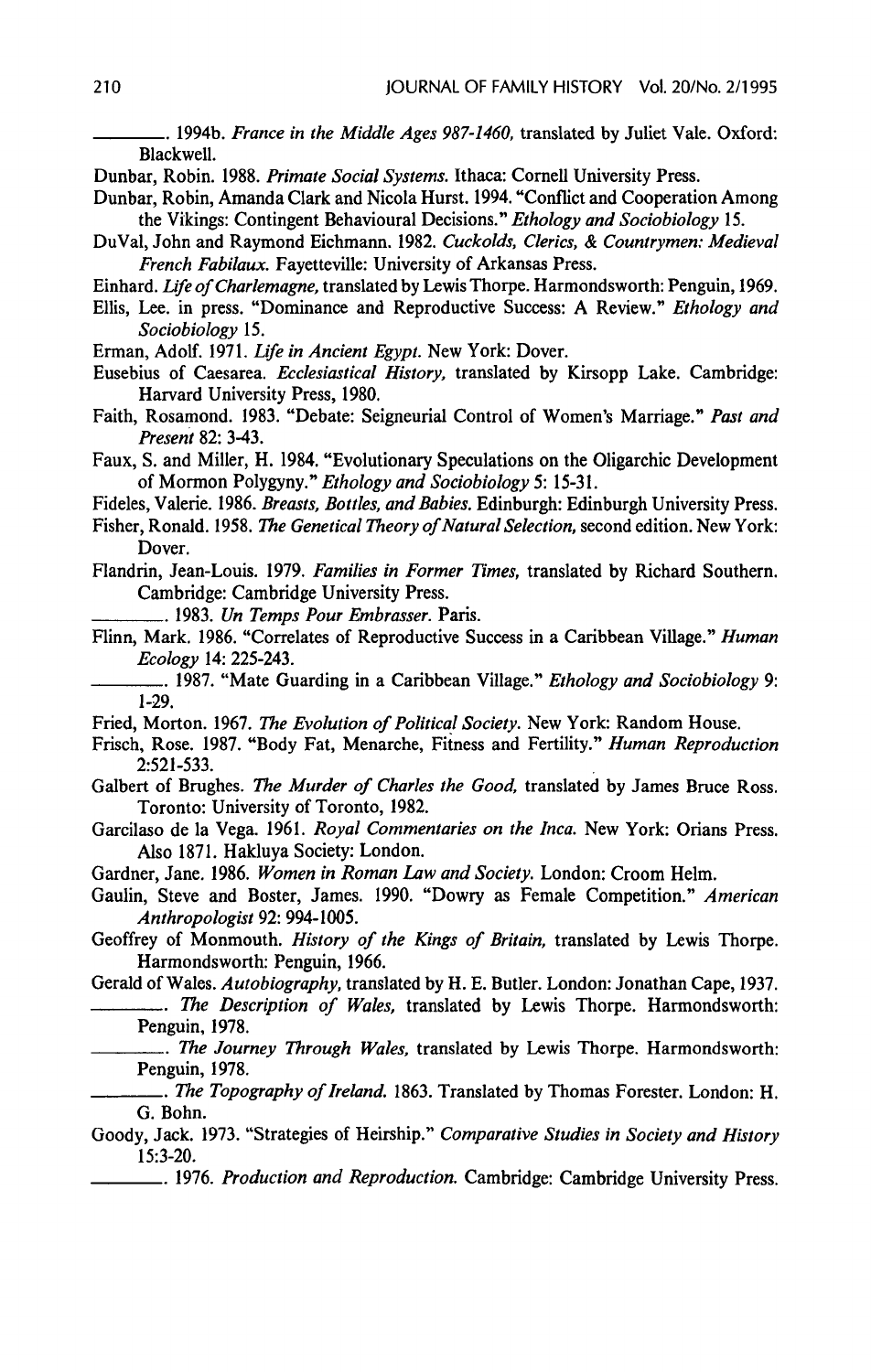.. 1994b. France in the Middle Ages 987-1460, translated by Juliet Vale. Oxford: Blackwell.

Dunbar, Robin. 1988. Primate Social Systems. Ithaca: Cornell University Press.

- Dunbar, Robin, Amanda Clark and Nicola Hurst. 1994. "Conflict and Cooperation Among the Vikings: Contingent Behavioural Decisions." Ethology and Sociobiology 15.
- DuVal, John and Raymond Eichmann. 1982. Cuckolds, Clerics, & Countrymen: Medieval French Fabilaux. Fayetteville: University of Arkansas Press.
- Einhard. Life of Charlemagne, translated by Lewis Thorpe. Harmondsworth: Penguin, 1969.
- Ellis, Lee. in press. "Dominance and Reproductive Success: A Review." Ethology and Sociobiology 15.

Erman, Adolf. 1971. Life in Ancient Egypt. New York: Dover.

- Eusebius of Caesarea. Ecclesiastical History, translated by Kirsopp Lake. Cambridge: Harvard University Press, 1980.
- Faith, Rosamond. 1983. "Debate: Seigneurial Control of Women's Marriage." Past and Present 82: 3-43.
- Faux, S. and Miller, H. 1984. "Evolutionary Speculations on the Oligarchic Development of Mormon Polygyny." Ethology and Sociobiology 5: 15-31.
- Fideles, Valerie. 1986. Breasts, Bottles, and Babies, Edinburgh: Edinburgh University Press.
- Fisher, Ronald. 1958. The Genetical Theory of Natural Selection, second edition. New York: Dover.
- Flandrin, Jean-Louis. 1979. Families in Former Times, translated by Richard Southern. Cambridge: Cambridge University Press.

—\_\_\_\_\_. 1983. Un Temps Pour Embrasser. Paris.

Flinn, Mark. 1986. "Correlates of Reproductive Success in a Caribbean Village." Human Ecology 14: 225-243.

... 1987. "Mate Guarding in a Caribbean Village." *Ethology and Sociobiology* 9: 1-29,

Fried, Morton. 1967. The Evolution of Political Society. New York: Random House.

- Frisch, Rose. 1987. "Body Fat, Menarche, Fitness and Fertility." Human Reproduction 2:521-533.
- Galbert of Brughes. The Murder of Charles the Good, translated by James Bruce Ross. Toronto: University of Toronto, 1982.
- Garcilaso de la Vega. 1961. Royal Commentaries on the Inca. New York: Orians Press. Also 1871. Hakluya Society: London.
- Gardner, Jane. 1986. Women in Roman Law and Society. London: Croom Helm.
- Gaulin, Steve and Boster, James. 1990. "Dowry as Female Competition." American Anthropologist 92: 994-1005.
- Geoffrey of Monmouth, History of the Kings of Britain, translated by Lewis Thorpe. Harmondsworth: Penguin, 1966.

Gerald of Wales. Autobiography, translated by H. E. Butler. London: Jonathan Cape, 1937.

- ... The Description of Wales, translated by Lewis Thorpe. Harmondsworth: Penguin, 1978.
	- . The Journey Through Wales, translated by Lewis Thorpe. Harmondsworth: Penguin, 1978.
- .. The Topography of Ireland. 1863. Translated by Thomas Forester. London: H. G. Bohn.
- Goody, Jack. 1973. "Strategies of Heirship." Comparative Studies in Society and History 15:3-20.
	- <sub>—</sub>. 1976. Production and Reproduction. Cambridge: Cambridge University Press.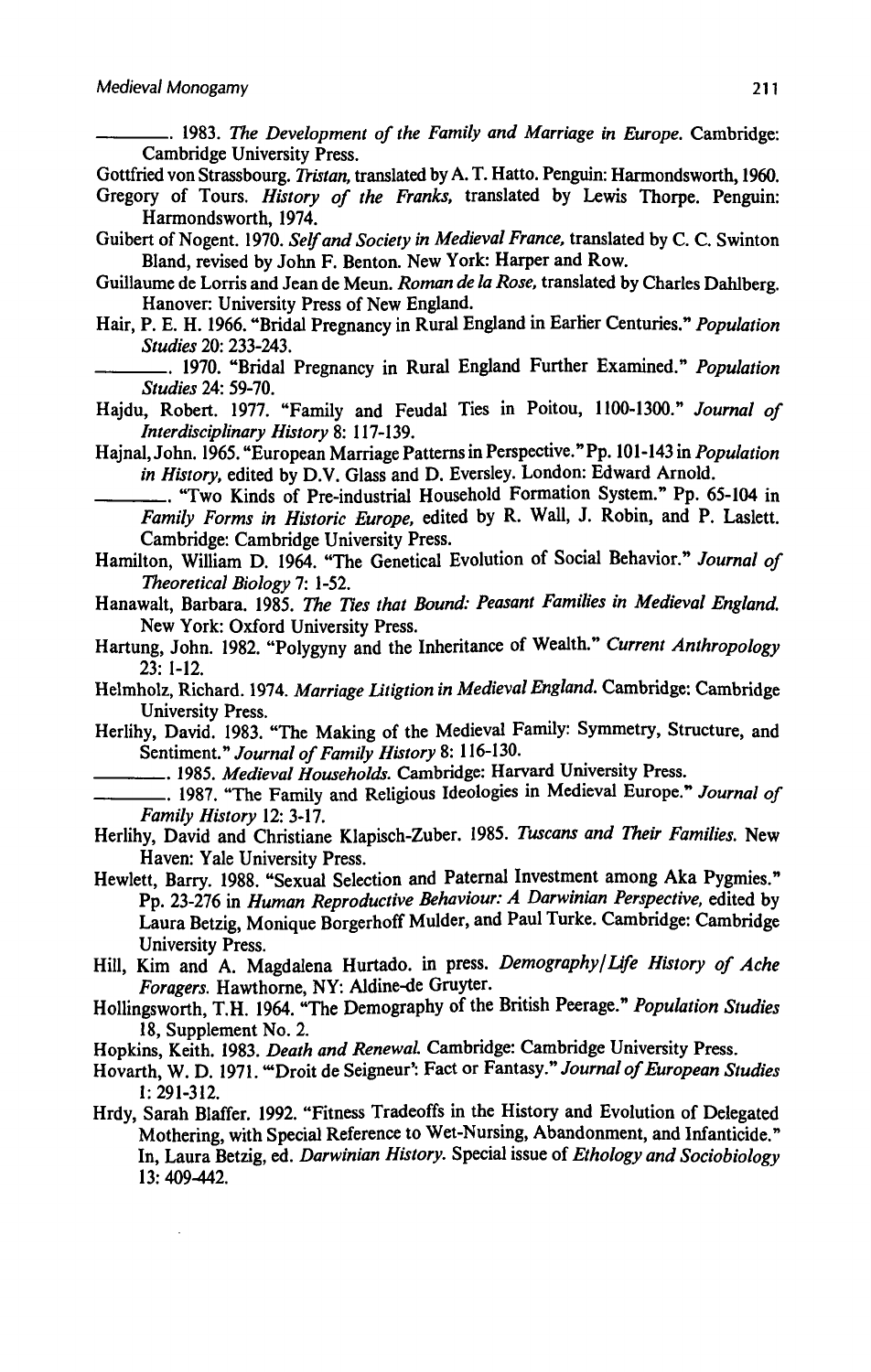—\_\_\_\_.. 1983. The Development of the Family and Marriage in Europe. Cambridge: Cambridge University Press.

Gottfried von Strassbourg. Tristan, translated by A. T. Hatto. Penguin: Harmondsworth, 1960.

- Gregory of Tours. History of the Franks, translated by Lewis Thorpe. Penguin: Harmondsworth, 1974.
- Guibert of Nogent. 1970. Self and Society in Medieval France, translated by C. C. Swinton Bland, revised by John F. Benton. New York: Harper and Row.
- Guillaume de Lorris and Jean de Meun. Roman de la Rose, translated by Charles Dahlberg. Hanover: University Press of New England.
- Hair, P. E. H. 1966. "Bridal Pregnancy in Rural England in Earlier Centuries." Population Studies 20: 233-243.
	- .. 1970. "Bridal Pregnancy in Rural England Further Examined." Population Studies 24: 59-70,
- Hajdu, Robert. 1977. "Family and Feudal Ties in Poitou, 1100-1300." Journal of Interdisciplinary History 8: 117-139.
- Hajnal, John. 1965. "European Marriage Patterns in Perspective." Pp. 101-143 in Population in History, edited by D.V. Glass and D. Eversley. London: Edward Arnold.

—\_\_\_\_\_.. "Two Kinds of Pre-industrial Household Formation System." Pp. 65-104 in Family Forms in Historic Europe, edited by R. Wall, J. Robin, and P. Laslett. Cambridge: Cambridge University Press.

- Hamilton, William D. 1964. "The Genetical Evolution of Social Behavior." Journal of Theoretical Biology 7: 1-52.
- Hanawalt, Barbara. 1985. The Ties that Bound: Peasant Families in Medieval England. New York: Oxford University Press.
- Hartung, John. 1982. "Polygyny and the Inheritance of Wealth." Current Anthropology 23: 1-12,
- Helmholz, Richard. 1974, Marriage Litigtion in Medieval England. Cambridge: Cambridge University Press. .
- Herlihy, David. 1983. "The Making of the Medieval Family: Symmetry, Structure, and Sentiment." Journal of Family History 8: 116-130.
	- ... 1985. Medieval Households. Cambridge: Harvard University Press.
	- ... 1987. "The Family and Religious Ideologies in Medieval Europe." Journal of Family History 12: 3-17.
- Herlihy, David and Christiane Klapisch-Zuber. 1985. Tuscans and Their Families. New Haven: Yale University Press.
- Hewlett, Barry. 1988. "Sexual Selection and Paternal Investment among Aka Pygmies." Pp. 23-276 in Human Reproductive Behaviour: A Darwinian Perspective, edited by Laura Betzig, Monique Borgerhoff Mulder, and Paul Turke. Cambridge: Cambridge University Press.
- Hill, Kim and A. Magdalena Hurtado. in press. Demography/Life History of Ache Foragers. Hawthorne, NY: Aldine-de Gruyter.
- Hollingsworth, T.H. 1964. "The Demography of the British Peerage." Population Studies 18, Supplement No. 2.
- Hopkins, Keith. 1983. Death and Renewal. Cambridge: Cambridge University Press.
- Hovarth, W. D. 1971. "Droit de Seigneur': Fact or Fantasy." Journal of European Studies 1: 291-312.
- Hrdy, Sarah Blaffer. 1992. "Fitness Tradeoffs in the History and Evolution of Delegated Mothering, with Special Reference to Wet-Nursing, Abandonment, and Infanticide." In, Laura Betzig, ed. Darwinian History. Special issue of Ethology and Sociobiology 13: 409-442.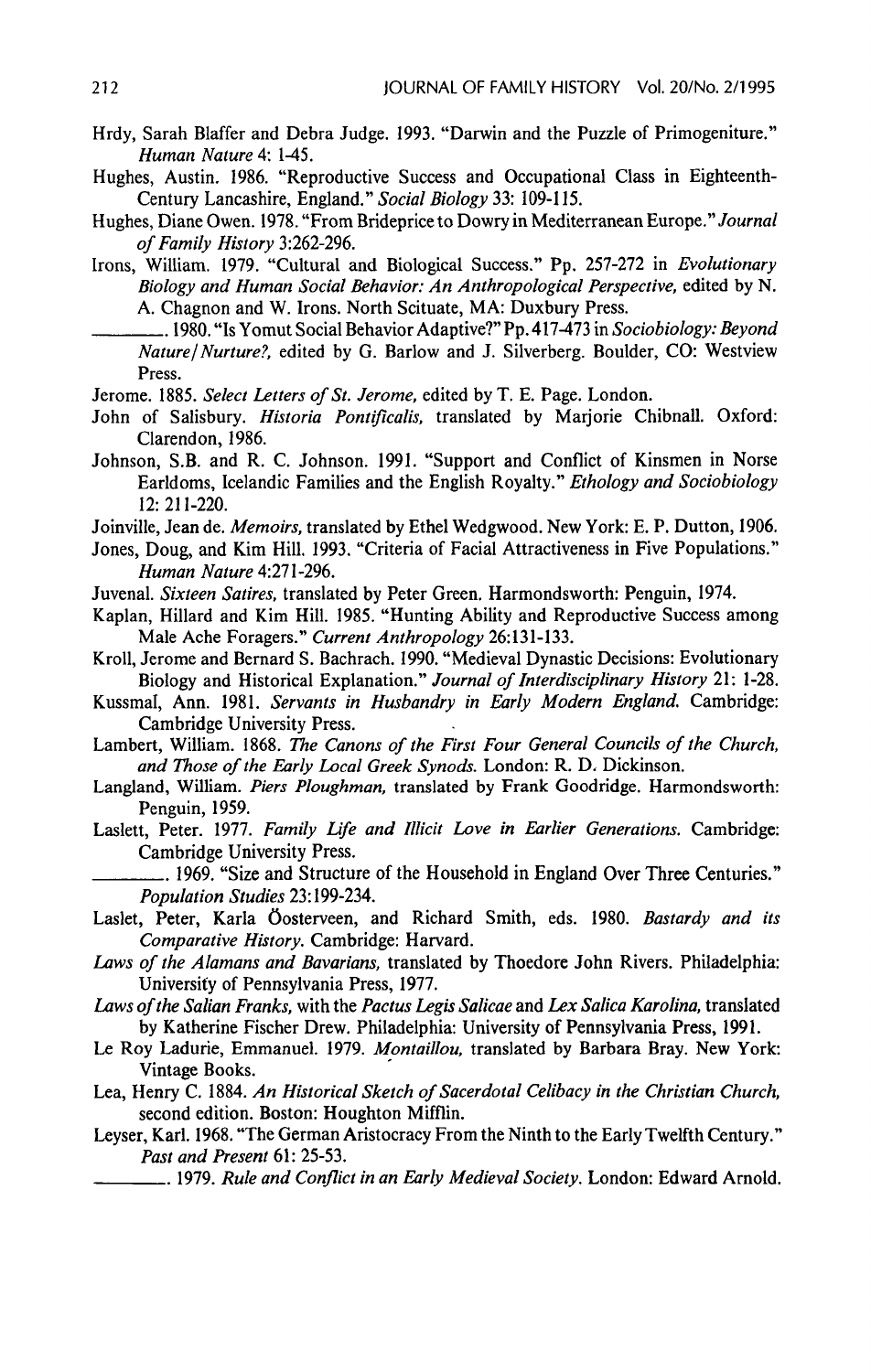- Hrdy, Sarah Blaffer and Debra Judge. 1993. "Darwin and the Puzzle of Primogeniture." Human Nature 4: 1-45.
- Hughes, Austin. 1986. "Reproductive Success and Occupational Class in Eighteenth-Century Lancashire, England." Social Biology 33: 109-115.
- Hughes, Diane Owen. 1978. "From Brideprice to Dowry in Mediterranean Europe." Journal of Family History 3:262-296.
- Irons, William. 1979. "Cultural and Biological Success." Pp, 257-272 in Evolutionary Biology and Human Social Behavior: An Anthropological Perspective, edited by N. A. Chagnon and W.Irons. North Scituate, MA: Duxbury Press.
- ... 1980. "Is Yomut Social Behavior Adaptive?" Pp. 417-473 in Sociobiology: Beyond Nature/ Nurture?, edited by G. Barlow and J. Silverberg. Boulder, CO: Westview Press.
- Jerome. 1885. Select Letters of St. Jerome, edited by T. E. Page. London.
- John of Salisbury. Historia Pontificalis, translated by Marjorie Chibnall. Oxford: Clarendon, 1986.
- Johnson, S.B. and R. C. Johnson. 1991. "Support and Conflict of Kinsmen in Norse Earldoms, Icelandic Families and the English Royalty." Ethology and Sociobiology 12: 211-220.
- Joinville, Jean de. Memoirs, translated by Ethel Wedgwood. New York: E. P. Dutton, 1906.
- Jones, Doug, and Kim Hill. 1993. "Criteria of Facial Attractiveness in Five Populations." Human Nature 4:271-296,
- Juvenal. Sixteen Satires, translated by Peter Green. Harmondsworth: Penguin, 1974.
- Kaplan, Hillard and Kim Hill. 1985. "Hunting Ability and Reproductive Success among Male Ache Foragers." Current Anthropology 26:131-133.
- Kroll, Jerome and Bernard S. Bachrach. 1990. "Medieval Dynastic Decisions: Evolutionary Biology and Historical Explanation." Journal of Interdisciplinary History 21. 1-28.
- Kussmal, Ann. 1981. Servants in Husbandry in Early Modern England. Cambridge: Cambridge University Press.
- Lambert, William. 1868. The Canons of the First Four General Councils of the Church, and Those of the Early Local Greek Synods. London: R. D. Dickinson.
- Langland, William. Piers Ploughman, translated by Frank Goodridge. Harmondsworth: Penguin, 1959.
- Laslett, Peter. 1977. Family Life and Illicit Love in Earlier Generations. Cambridge: Cambridge University Press.
	- . 1969. "Size and Structure of the Household in England Over Three Centuries." Population Studies 23:199-234.
- Laslet, Peter, Karla Öosterveen, and Richard Smith, eds. 1980. Bastardy and its Comparative History. Cambridge: Harvard.
- Laws of the Alamans and Bavarians, translated by Thoedore John Rivers. Philadelphia: University of Pennsylvania Press, 1977.
- Laws of the Salian Franks, with the Pactus Legis Salicae and Lex Salica Karolina, translated by Katherine Fischer Drew. Philadelphia: University of Pennsylvania Press, 1991.
- Le Roy Ladurie, Emmanuel. 1979. Montaillou, translated by Barbara Bray. New York: Vintage Books.
- Lea, Henry C. 1884. An Historical Sketch of Sacerdotal Celibacy in the Christian Church, second edition. Boston: Houghton Mifflin.
- Leyser, Karl. 1968. "The German Aristocracy From the Ninth to the Early Twelfth Century." Past and Present 61: 25-53.
	- . 1979. Rule and Conflict in an Early Medieval Society. London: Edward Arnold.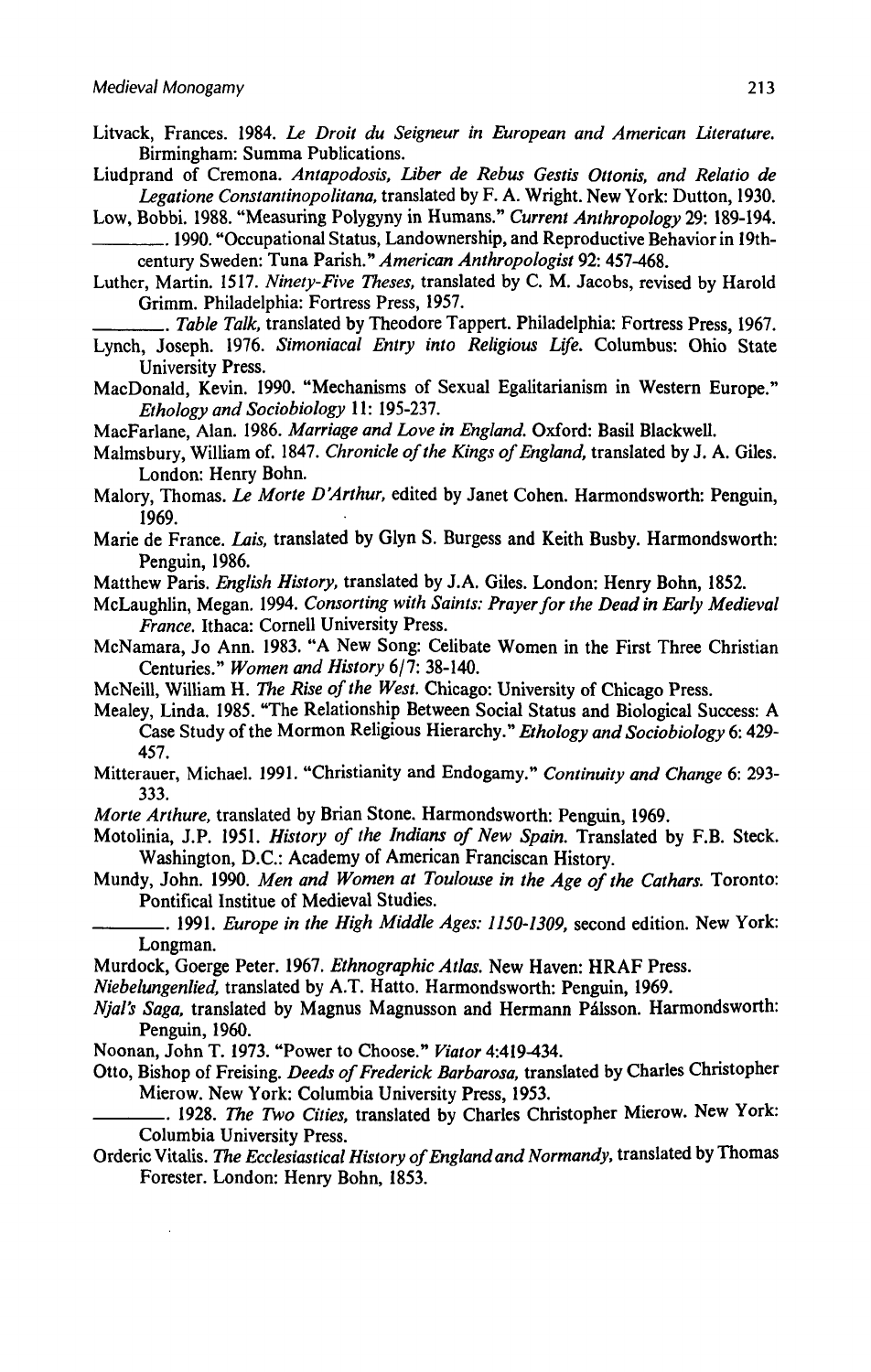- Litvack, Frances. 1984. Le Droit du Seigneur in European and American Literature. Birmingham: Summa Publications.
- Liudprand of Cremona. Antapodosis, Liber de Rebus Gestis Ottonis, and Relatio de Legatione Constantinopolitana, translated by F. A. Wright. New York: Dutton, 1930.
- Low, Bobbi. 1988. "Measuring Polygyny in Humans." Current Anthropology 29: 189-194. . 1990. "Occupational Status, Landownership, and Reproductive Behaviorin 19th
	- century Sweden: Tuna Parish." American Anthropologist 92: 457-468.
- Luther, Martin. 1517. Ninety-Five Theses, translated by C. M. Jacobs, revised by Harold Grimm. Philadelphia: Fortress Press, 1957.

.. Table Talk, translated by Theodore Tappert. Philadelphia: Fortress Press, 1967.

- Lynch, Joseph. 1976. Simoniacal Entry into Religious Life. Columbus: Ohio State University Press.
- MacDonald, Kevin. 1990. "Mechanisms of Sexual Egalitarianism in Western Europe." Ethology and Sociobiology 11: 195-237.
- MacFarlane, Alan. 1986. Marriage and Love in England. Oxford: Basil Blackwell.
- Malmsbury, William of. 1847. Chronicle of the Kings of England, translated by J. A. Giles. London: Henry Bohn.
- Malory, Thomas. Le Morte D'Arthur, edited by Janet Cohen. Harmondsworth: Penguin, 1969. .
- Marie de France. Lais, translated by Glyn S. Burgess and Keith Busby. Harmondsworth: Penguin, 1986.
- Matthew Paris. English History, translated by J.A. Giles. London: Henry Bohn, 1852.
- McLaughlin, Megan. 1994. Consorting with Saints: Prayer for the Dead in Early Medieval France. Ithaca: Cornell University Press.
- McNamara, Jo Ann. 1983. "A New Song: Celibate Women in the First Three Christian Centuries." Women and History 6/7: 38-140.
- MeNeill, William H. The Rise of the West. Chicago: University of Chicago Press.
- Mealey, Linda. 1985. "The Relationship Between Social Status and Biological Success: A Case Study of the Mormon Religious Hierarchy." Ethology and Sociobiology 6: 429-457.
- Mitterauer, Michael. 1991. "Christianity and Endogamy." Continuity and Change 6: 293-333.
- Morte Arthure, translated by Brian Stone. Harmondsworth: Penguin, 1969.
- Motolinia, J.P. 1951. History of the Indians of New Spain. Translated by F.B. Steck. Washington, D.C.: Academy of American Franciscan History.
- Mundy, John. 1990. Men and Women at Toulouse in the Age of the Cathars. Toronto: Pontifical Institue of Medieval Studies.
- .. 1991. Europe in the High Middle Ages: 1150-1309, second edition. New York: Longman.
- Murdock, Goerge Peter. 1967. Ethnographic Atlas. New Haven: HRAF Press.
- Niebelungenlied, translated by A.T. Hatto. Harmondsworth: Penguin, 1969.
- Njal's Saga, translated by Magnus Magnusson and Hermann Palsson. Harmondsworth: Penguin, 1960.
- Noonan, John T. 1973. "Power to Choose." Viator 4:419-434.
- Otto, Bishop of Freising. Deeds of Frederick Barbarosa, translated by Charles Christopher Mierow. New York: Columbia University Press, 1953.
- . 1928. The Two Cities, translated by Charles Christopher Mierow. New York: Columbia University Press.
- Orderic Vitalis. The Ecclesiastical History of England and Normandy, translated by Thomas Forester. London: Henry Bohn, 1853.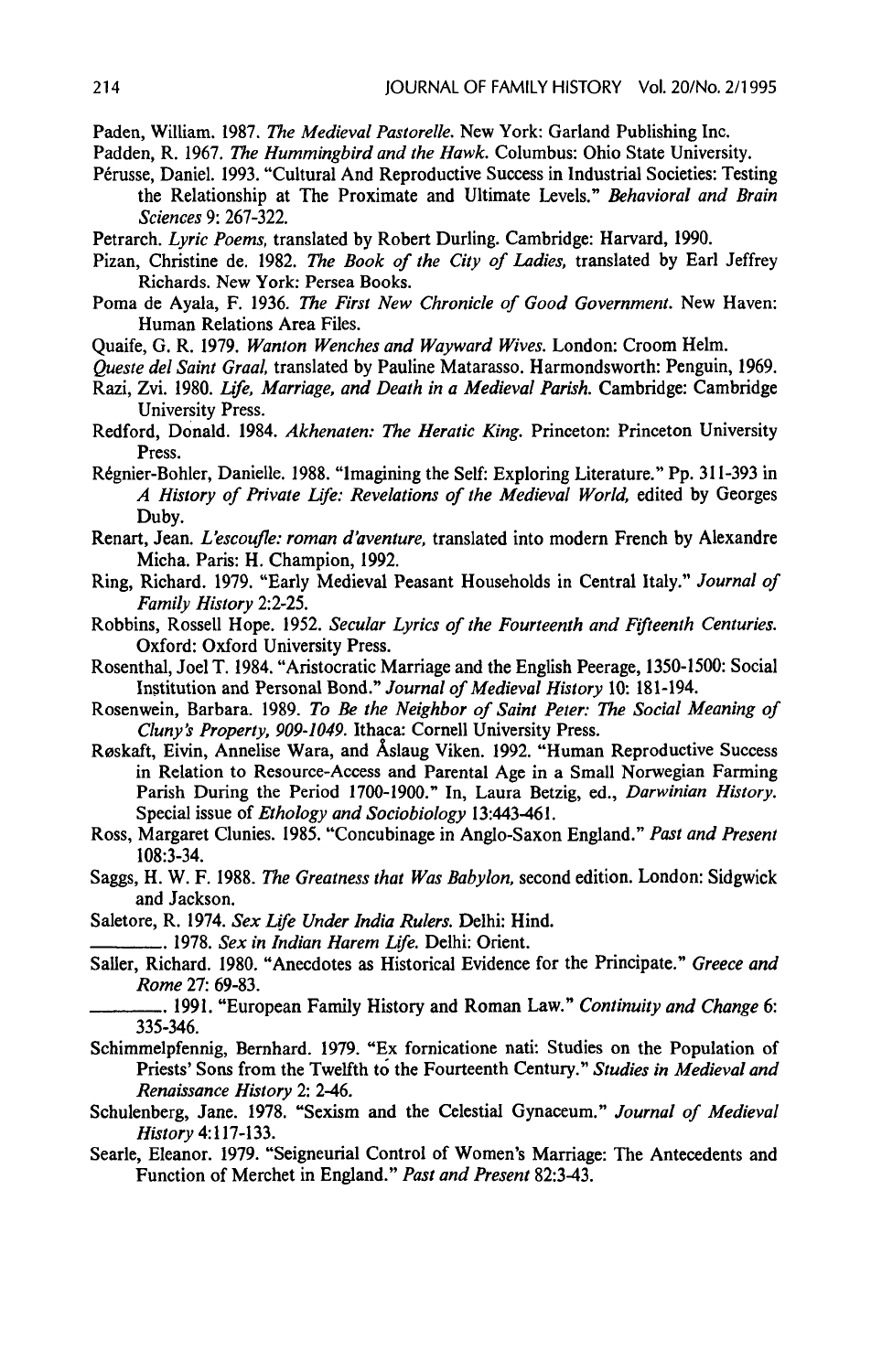Paden, William. 1987. The Medieval Pastorelle. New York: Garland Publishing Inc.

Padden, R. 1967. The Hummingbird and the Hawk. Columbus: Ohio State University.

Pérusse, Daniel. 1993. "Cultural And Reproductive Success in Industrial Societies: Testing the Relationship at The Proximate and Ultimate Levels." Behavioral and Brain Sciences 9: 267-322.

Petrarch. Lyric Poems, translated by Robert Durling. Cambridge: Harvard, 1990.

- Pizan, Christine de. 1982. The Book of the City of Ladies, translated by Earl Jeffrey Richards. New York: Persea Books.
- Poma de Ayala, F. 1936. The First New Chronicle of Good Government. New Haven: Human Relations Area Files.
- Quaife, G. R. 1979. Wanton Wenches and Wayward Wives. London: Croom Helm.
- Queste del Saint Graal, translated by Pauline Matarasso. Harmondsworth: Penguin, 1969.
- Razi, Zvi. 1980. Life, Marriage, and Death in a Medieval Parish. Cambridge: Cambridge University Press.
- Redford, Donald. 1984. Akhenaten: The Heratic King. Princeton: Princeton University Press.
- Régnier-Bohler, Danielle. 1988. "Imagining the Self: Exploring Literature." Pp. 311-393 in A History of Private Life: Revelations of the Medieval World, edited by Georges Duby.
- Renart, Jean. L'escoufle: roman d'aventure, translated into modern French by Alexandre Micha. Paris: H. Champion, 1992.
- Ring, Richard. 1979. "Early Medieval Peasant Households in Central Italy." Journal of Family History 2:2-25,
- Robbins, Rossell Hope. 1952. Secular Lyrics of the Fourteenth and Fifteenth Centuries. Oxford: Oxford University Press.
- Rosenthal, Joel T. 1984. "Aristocratic Marriage and the English Peerage, 1350-1500: Social Institution and Personal Bond." Journal of Medieval History 10: 181-194.
- Rosenwein, Barbara. 1989. To Be the Neighbor of Saint Peter: The Social Meaning of Cluny's Property, 909-1049. Ithaca: Cornell University Press.
- Reskaft, Eivin, Annelise Wara, and Aslaug Viken. 1992. "Human Reproductive Success in Relation to Resource-Access and Parental Age in a Small Norwegian Farming Parish During the Period 1700-1900." In, Laura Betzig, ed., Darwinian History. Special issue of *Ethology and Sociobiology* 13:443-461.
- Ross, Margaret Clunies. 1985. "Concubinage in Anglo-Saxon England." Past and Present 108:3-34.
- Saggs, H. W. F. 1988. The Greatness that Was Babylon, second edition. London: Sidgwick and Jackson.
- Saletore, R. 1974. Sex Life Under India Rulers. Delhi: Hind.

<sub>-</sub> 1978. Sex in Indian Harem Life. Delhi: Orient.

Saller, Richard. 1980. "Anecdotes as Historical Evidence for the Principate." Greece and Rome 27: 69-83.

- Schimmelpfennig, Bernhard. 1979. "Ex fornicatione nati: Studies on the Population of Priests' Sons from the Twelfth to the Fourteenth Century." Studies in Medieval and Renaissance History 2: 2-46.
- Schulenberg, Jane. 1978. "Sexism and the Celestial Gynaceum." Journal of Medieval History 4:117-133.
- Searle, Eleanor. 1979. "Seigneurial Control of Women's Marriage: The Antecedents and Function of Merchet in England." Past and Present 82:3-43.

<sup>. 1991. &</sup>quot;European Family History and Roman Law." Continuity and Change 6: 335-346.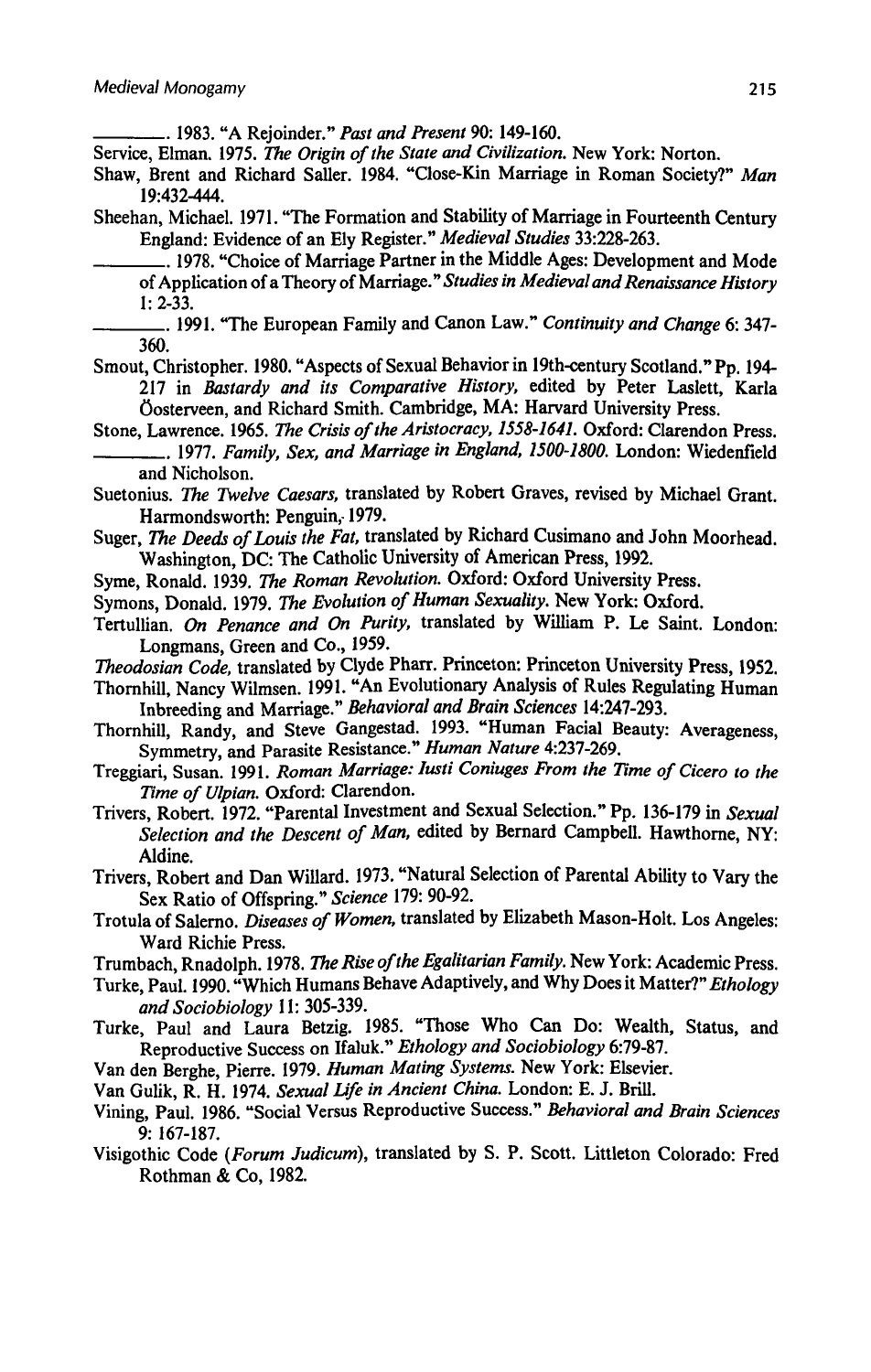.. 1983. "A Rejoinder." Past and Present 90: 149-160.

Service, Elman. 1975. The Origin of the State and Civilization. New York: Norton.

- Shaw, Brent and Richard Saller. 1984. "Close-Kin Marriage in Roman Society?" Man 19:432-444,
- Sheehan, Michael. 1971. "The Formation and Stability of Marriage in Fourteenth Century England: Evidence of an Ely Register." Medieval Studies 33:228-263.

—\_\_.. 1978. "Choice of Marriage Partner in the Middle Ages: Development and Mode of Application of a Theory of Marriage." Studies in Medieval and Renaissance History 1: 2-33.

- Smout, Christopher. 1980. "Aspects of Sexual Behavior in 19th-century Scotland." Pp. 194-217 in Bastardy and its Comparative History, edited by Peter Laslett. Karla Oosterveen, and Richard Smith. Cambridge, MA: Harvard University Press.
- Stone, Lawrence. 1965. The Crisis of the Aristocracy, 1558-1641. Oxford: Clarendon Press. —\_\_\_\_\_\_.. 1977. Family, Sex, and Marriage in England, 1500-1800. London: Wiedenfield and Nicholson.
- Suetonius. The Twelve Caesars, translated by Robert Graves, revised by Michael Grant. Harmondsworth: Penguin,1979.
- Suger, The Deeds of Louis the Fat, translated by Richard Cusimano and John Moorhead. Washington, DC: The Catholic University of American Press, 1992.
- Syme, Ronald. 1939. The Roman Revolution. Oxford: Oxford University Press,
- Symons, Donald. 1979. The Evolution of Human Sexuality. New York: Oxford.
- Tertullian. On Penance and On Purity, translated by William P. Le Saint. London: Longmans, Green and Co., 1959.
- Theodosian Code, translated by Clyde Pharr. Princeton: Princeton University Press, 1952.
- Thornhill, Nancy Wilmsen. 1991. "An Evolutionary Analysis of Rules Regulating Human Inbreeding and Marriage." Behavioral and Brain Sciences 14:247-293.
- Thornhill, Randy, and Steve Gangestad. 1993. "Human Facial Beauty: Averageness, Symmetry, and Parasite Resistance." Human Nature 4:237-269,
- Treggiari, Susan. 1991. Roman Marriage: lusti Coniuges From the Time of Cicero to the Time of Ulpian. Oxford: Clarendon.
- Trivers, Robert. 1972. "Parental Investment and Sexual Selection." Pp. 136-179 in Sexual Selection and the Descent of Man, edited by Bernard Campbell. Hawthorne, NY: Aldine.

Trivers, Robert and Dan Willard. 1973. "Natural Selection of Parental Ability to Vary the Sex Ratio of Offspring." Science 179: 90-92.

Trotula of Salerno. Diseases of Women, translated by Elizabeth Mason-Holt. Los Angeles: Ward Richie Press.

Trumbach, Rnadolph. 1978. The Rise of the Egalitarian Family. New York: Academic Press.

- Turke, Paul. 1990. "Which Humans Behave Adaptively, and Why Does it Matter?" Ethology and Sociobiology 11: 305-339.
- Turke, Paul and Laura Betzig. 1985. "Those Who Can Do: Wealth, Status, and Reproductive Success on Ifaluk." Ethology and Sociobiology 6:79-87.
- Van den Berghe, Pierre. 1979. Human Mating Systems. New York: Elsevier.

Van Gulik, R. H. 1974. Sexual Life in Ancient China. London: E. J. Brill.

- Vining, Paul. 1986. "Social Versus Reproductive Success." Behavioral and Brain Sciences 9: 167-187.
- Visigothic Code (Forum Judicum), translated by S. P. Scott. Littleton Colorado: Fred Rothman & Co, 1982.

<sup>.. 1991. &</sup>quot;The European Family and Canon Law." Continuity and Change 6: 347-360.